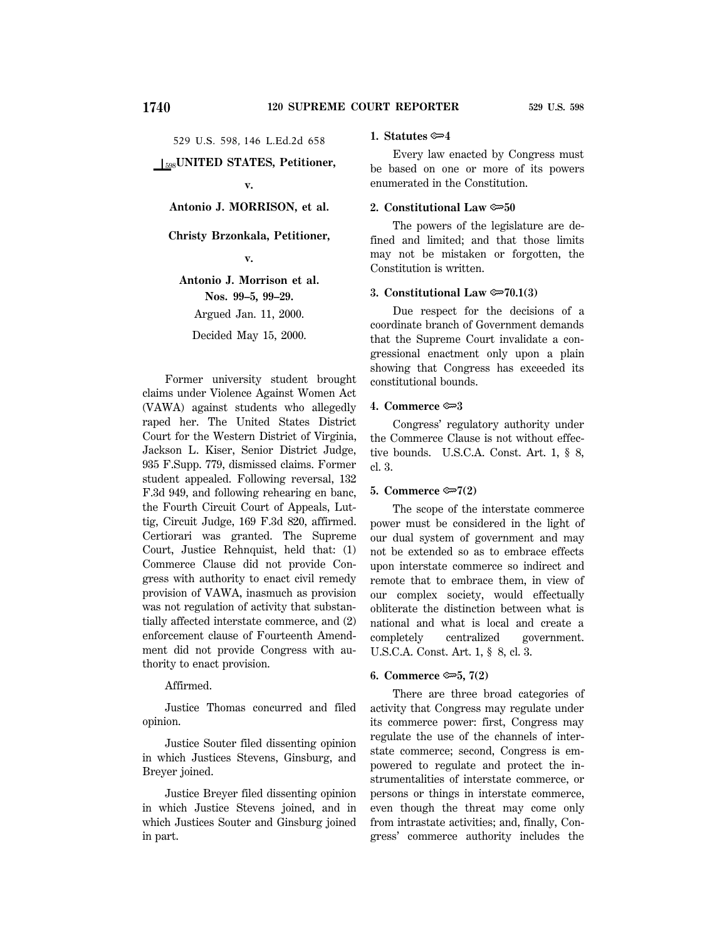529 U.S. 598, 146 L.Ed.2d 658

### S598**UNITED STATES, Petitioner,**

#### **v.**

# **Antonio J. MORRISON, et al.**

### **Christy Brzonkala, Petitioner,**

**v.**

# **Antonio J. Morrison et al.**

**Nos. 99–5, 99–29.**

Argued Jan. 11, 2000.

Decided May 15, 2000.

Former university student brought claims under Violence Against Women Act (VAWA) against students who allegedly raped her. The United States District Court for the Western District of Virginia, Jackson L. Kiser, Senior District Judge, 935 F.Supp. 779, dismissed claims. Former student appealed. Following reversal, 132 F.3d 949, and following rehearing en banc, the Fourth Circuit Court of Appeals, Luttig, Circuit Judge, 169 F.3d 820, affirmed. Certiorari was granted. The Supreme Court, Justice Rehnquist, held that: (1) Commerce Clause did not provide Congress with authority to enact civil remedy provision of VAWA, inasmuch as provision was not regulation of activity that substantially affected interstate commerce, and (2) enforcement clause of Fourteenth Amendment did not provide Congress with authority to enact provision.

# Affirmed.

Justice Thomas concurred and filed opinion.

Justice Souter filed dissenting opinion in which Justices Stevens, Ginsburg, and Breyer joined.

Justice Breyer filed dissenting opinion in which Justice Stevens joined, and in which Justices Souter and Ginsburg joined in part.

# **1.** Statutes  $\approx 4$

Every law enacted by Congress must be based on one or more of its powers enumerated in the Constitution.

#### **2. Constitutional Law**  $\approx 50$

The powers of the legislature are defined and limited; and that those limits may not be mistaken or forgotten, the Constitution is written.

# **3. Constitutional Law**  $\approx 70.1(3)$

Due respect for the decisions of a coordinate branch of Government demands that the Supreme Court invalidate a congressional enactment only upon a plain showing that Congress has exceeded its constitutional bounds.

#### **4. Commerce**  $\approx 3$

Congress' regulatory authority under the Commerce Clause is not without effective bounds. U.S.C.A. Const. Art. 1, § 8, cl. 3.

#### **5. Commerce** O**7(2)**

The scope of the interstate commerce power must be considered in the light of our dual system of government and may not be extended so as to embrace effects upon interstate commerce so indirect and remote that to embrace them, in view of our complex society, would effectually obliterate the distinction between what is national and what is local and create a completely centralized government. U.S.C.A. Const. Art. 1, § 8, cl. 3.

#### **6. Commerce** O**5, 7(2)**

There are three broad categories of activity that Congress may regulate under its commerce power: first, Congress may regulate the use of the channels of interstate commerce; second, Congress is empowered to regulate and protect the instrumentalities of interstate commerce, or persons or things in interstate commerce, even though the threat may come only from intrastate activities; and, finally, Congress' commerce authority includes the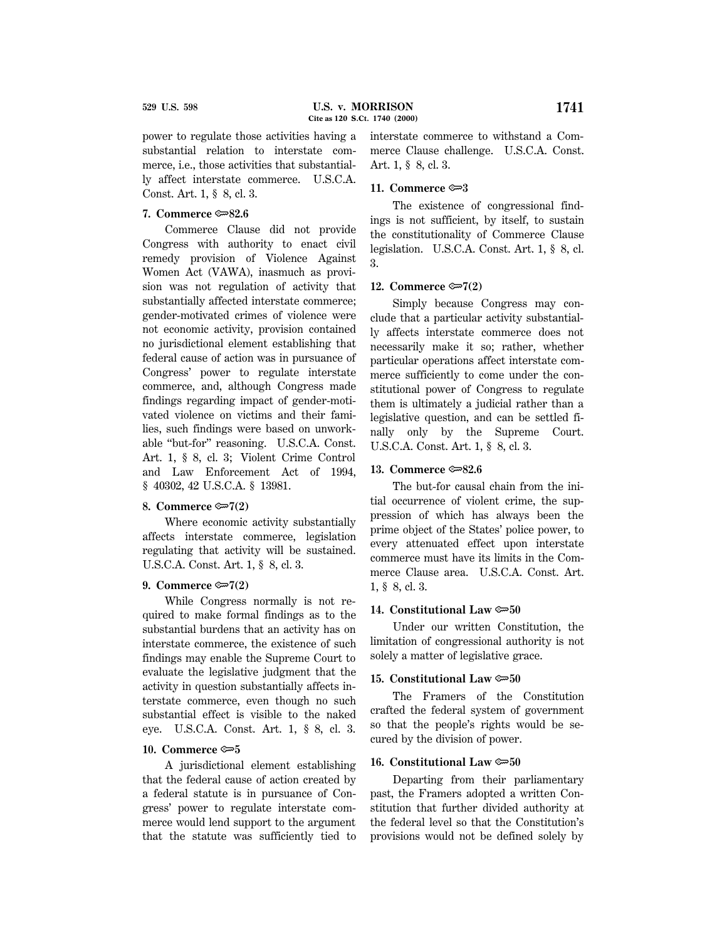power to regulate those activities having a substantial relation to interstate commerce, i.e., those activities that substantially affect interstate commerce. U.S.C.A. Const. Art. 1, § 8, cl. 3.

# **7. Commerce**  $\infty$ **82.6**

Commerce Clause did not provide Congress with authority to enact civil remedy provision of Violence Against Women Act (VAWA), inasmuch as provision was not regulation of activity that substantially affected interstate commerce; gender-motivated crimes of violence were not economic activity, provision contained no jurisdictional element establishing that federal cause of action was in pursuance of Congress' power to regulate interstate commerce, and, although Congress made findings regarding impact of gender-motivated violence on victims and their families, such findings were based on unworkable ''but-for'' reasoning. U.S.C.A. Const. Art. 1, § 8, cl. 3; Violent Crime Control and Law Enforcement Act of 1994, § 40302, 42 U.S.C.A. § 13981.

#### **8. Commerce** O**7(2)**

Where economic activity substantially affects interstate commerce, legislation regulating that activity will be sustained. U.S.C.A. Const. Art. 1, § 8, cl. 3.

# **9. Commerce** O**7(2)**

While Congress normally is not required to make formal findings as to the substantial burdens that an activity has on interstate commerce, the existence of such findings may enable the Supreme Court to evaluate the legislative judgment that the activity in question substantially affects interstate commerce, even though no such substantial effect is visible to the naked eye. U.S.C.A. Const. Art. 1, § 8, cl. 3.

#### 10. Commerce  $\approx 5$

A jurisdictional element establishing that the federal cause of action created by a federal statute is in pursuance of Congress' power to regulate interstate commerce would lend support to the argument that the statute was sufficiently tied to interstate commerce to withstand a Commerce Clause challenge. U.S.C.A. Const. Art. 1, § 8, cl. 3.

#### 11. Commerce  $\approx 3$

The existence of congressional findings is not sufficient, by itself, to sustain the constitutionality of Commerce Clause legislation. U.S.C.A. Const. Art. 1, § 8, cl. 3.

### **12. Commerce** O**7(2)**

Simply because Congress may conclude that a particular activity substantially affects interstate commerce does not necessarily make it so; rather, whether particular operations affect interstate commerce sufficiently to come under the constitutional power of Congress to regulate them is ultimately a judicial rather than a legislative question, and can be settled finally only by the Supreme Court. U.S.C.A. Const. Art. 1, § 8, cl. 3.

#### **13. Commerce**  $\infty$ **82.6**

The but-for causal chain from the initial occurrence of violent crime, the suppression of which has always been the prime object of the States' police power, to every attenuated effect upon interstate commerce must have its limits in the Commerce Clause area. U.S.C.A. Const. Art. 1, § 8, cl. 3.

#### **14. Constitutional Law**  $\approx 50$

Under our written Constitution, the limitation of congressional authority is not solely a matter of legislative grace.

#### **15. Constitutional Law**  $\approx 50$

The Framers of the Constitution crafted the federal system of government so that the people's rights would be secured by the division of power.

#### **16. Constitutional Law**  $\approx 50$

Departing from their parliamentary past, the Framers adopted a written Constitution that further divided authority at the federal level so that the Constitution's provisions would not be defined solely by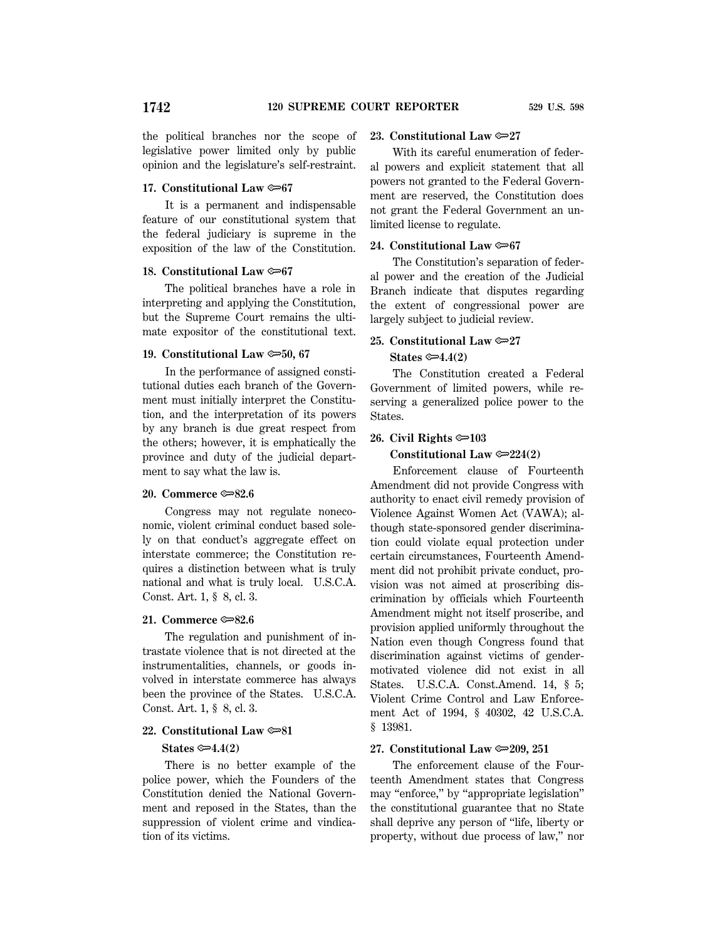the political branches nor the scope of legislative power limited only by public opinion and the legislature's self-restraint.

# **17. Constitutional Law**  $\approx 67$

It is a permanent and indispensable feature of our constitutional system that the federal judiciary is supreme in the exposition of the law of the Constitution.

#### **18. Constitutional Law**  $\approx 67$

The political branches have a role in interpreting and applying the Constitution, but the Supreme Court remains the ultimate expositor of the constitutional text.

### **19. Constitutional Law**  $\approx 50, 67$

In the performance of assigned constitutional duties each branch of the Government must initially interpret the Constitution, and the interpretation of its powers by any branch is due great respect from the others; however, it is emphatically the province and duty of the judicial department to say what the law is.

### **20. Commerce** O**82.6**

Congress may not regulate noneconomic, violent criminal conduct based solely on that conduct's aggregate effect on interstate commerce; the Constitution requires a distinction between what is truly national and what is truly local. U.S.C.A. Const. Art. 1, § 8, cl. 3.

### **21. Commerce**  $\infty$ **82.6**

The regulation and punishment of intrastate violence that is not directed at the instrumentalities, channels, or goods involved in interstate commerce has always been the province of the States. U.S.C.A. Const. Art. 1, § 8, cl. 3.

# **22. Constitutional Law**  $\approx 81$

# **States <del>©</del>**<sub>4.4(2)</sub>

There is no better example of the police power, which the Founders of the Constitution denied the National Government and reposed in the States, than the suppression of violent crime and vindication of its victims.

# **23. Constitutional Law** O**27**

With its careful enumeration of federal powers and explicit statement that all powers not granted to the Federal Government are reserved, the Constitution does not grant the Federal Government an unlimited license to regulate.

### **24. Constitutional Law**  $\approx 67$

The Constitution's separation of federal power and the creation of the Judicial Branch indicate that disputes regarding the extent of congressional power are largely subject to judicial review.

# **25. Constitutional Law** O**27 States ©**<sup>4.4(2)</sup>

The Constitution created a Federal Government of limited powers, while reserving a generalized police power to the States.

#### **26. Civil Rights** O**103**

**Constitutional Law**  $\approx 224(2)$ 

Enforcement clause of Fourteenth Amendment did not provide Congress with authority to enact civil remedy provision of Violence Against Women Act (VAWA); although state-sponsored gender discrimination could violate equal protection under certain circumstances, Fourteenth Amendment did not prohibit private conduct, provision was not aimed at proscribing discrimination by officials which Fourteenth Amendment might not itself proscribe, and provision applied uniformly throughout the Nation even though Congress found that discrimination against victims of gendermotivated violence did not exist in all States. U.S.C.A. Const.Amend. 14, § 5; Violent Crime Control and Law Enforcement Act of 1994, § 40302, 42 U.S.C.A. § 13981.

### **27. Constitutional Law**  $\approx 209$ **, 251**

The enforcement clause of the Fourteenth Amendment states that Congress may "enforce," by "appropriate legislation" the constitutional guarantee that no State shall deprive any person of ''life, liberty or property, without due process of law,'' nor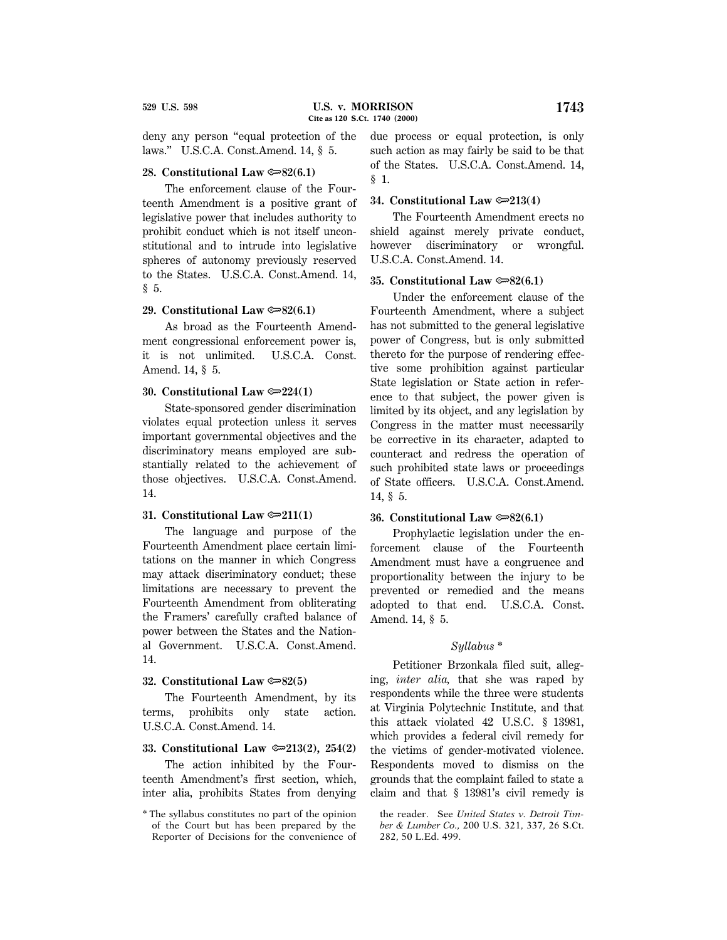deny any person ''equal protection of the laws.'' U.S.C.A. Const.Amend. 14, § 5.

#### 28. Constitutional Law  $\infty$ 82(6.1)

The enforcement clause of the Fourteenth Amendment is a positive grant of legislative power that includes authority to prohibit conduct which is not itself unconstitutional and to intrude into legislative spheres of autonomy previously reserved to the States. U.S.C.A. Const.Amend. 14, § 5.

# 29. Constitutional Law  $\infty$ 82(6.1)

As broad as the Fourteenth Amendment congressional enforcement power is, it is not unlimited. U.S.C.A. Const. Amend. 14, § 5.

### **30. Constitutional Law**  $\approx 224(1)$

State-sponsored gender discrimination violates equal protection unless it serves important governmental objectives and the discriminatory means employed are substantially related to the achievement of those objectives. U.S.C.A. Const.Amend. 14.

# **31. Constitutional Law**  $\infty$  **211(1)**

The language and purpose of the Fourteenth Amendment place certain limitations on the manner in which Congress may attack discriminatory conduct; these limitations are necessary to prevent the Fourteenth Amendment from obliterating the Framers' carefully crafted balance of power between the States and the National Government. U.S.C.A. Const.Amend. 14.

#### **32. Constitutional Law**  $\approx 82(5)$

The Fourteenth Amendment, by its terms, prohibits only state action. U.S.C.A. Const.Amend. 14.

#### **33. Constitutional Law** O**213(2), 254(2)**

The action inhibited by the Fourteenth Amendment's first section, which, inter alia, prohibits States from denying due process or equal protection, is only such action as may fairly be said to be that of the States. U.S.C.A. Const.Amend. 14, § 1.

### **34. Constitutional Law** O**213(4)**

The Fourteenth Amendment erects no shield against merely private conduct, however discriminatory or wrongful. U.S.C.A. Const.Amend. 14.

### **35. Constitutional Law**  $\approx 82(6.1)$

Under the enforcement clause of the Fourteenth Amendment, where a subject has not submitted to the general legislative power of Congress, but is only submitted thereto for the purpose of rendering effective some prohibition against particular State legislation or State action in reference to that subject, the power given is limited by its object, and any legislation by Congress in the matter must necessarily be corrective in its character, adapted to counteract and redress the operation of such prohibited state laws or proceedings of State officers. U.S.C.A. Const.Amend. 14, § 5.

### **36. Constitutional Law**  $\approx 82(6.1)$

Prophylactic legislation under the enforcement clause of the Fourteenth Amendment must have a congruence and proportionality between the injury to be prevented or remedied and the means adopted to that end. U.S.C.A. Const. Amend. 14, § 5.

#### *Syllabus \**

Petitioner Brzonkala filed suit, alleging, *inter alia,* that she was raped by respondents while the three were students at Virginia Polytechnic Institute, and that this attack violated 42 U.S.C. § 13981, which provides a federal civil remedy for the victims of gender-motivated violence. Respondents moved to dismiss on the grounds that the complaint failed to state a claim and that § 13981's civil remedy is

<sup>\*</sup> The syllabus constitutes no part of the opinion of the Court but has been prepared by the Reporter of Decisions for the convenience of

the reader. See *United States v. Detroit Timber & Lumber Co.,* 200 U.S. 321, 337, 26 S.Ct. 282, 50 L.Ed. 499.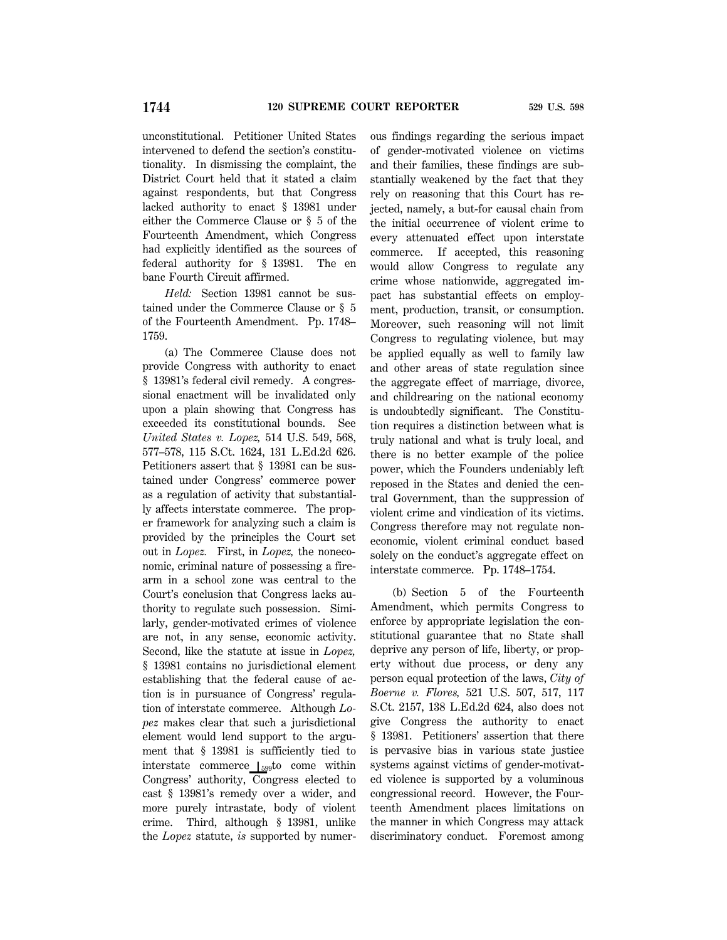unconstitutional. Petitioner United States intervened to defend the section's constitutionality. In dismissing the complaint, the District Court held that it stated a claim against respondents, but that Congress lacked authority to enact § 13981 under either the Commerce Clause or § 5 of the Fourteenth Amendment, which Congress had explicitly identified as the sources of federal authority for § 13981. The en banc Fourth Circuit affirmed.

*Held:* Section 13981 cannot be sustained under the Commerce Clause or § 5 of the Fourteenth Amendment. Pp. 1748– 1759.

(a) The Commerce Clause does not provide Congress with authority to enact § 13981's federal civil remedy. A congressional enactment will be invalidated only upon a plain showing that Congress has exceeded its constitutional bounds. See *United States v. Lopez,* 514 U.S. 549, 568, 577–578, 115 S.Ct. 1624, 131 L.Ed.2d 626. Petitioners assert that § 13981 can be sustained under Congress' commerce power as a regulation of activity that substantially affects interstate commerce. The proper framework for analyzing such a claim is provided by the principles the Court set out in *Lopez.* First, in *Lopez,* the noneconomic, criminal nature of possessing a firearm in a school zone was central to the Court's conclusion that Congress lacks authority to regulate such possession. Similarly, gender-motivated crimes of violence are not, in any sense, economic activity. Second, like the statute at issue in *Lopez,* § 13981 contains no jurisdictional element establishing that the federal cause of action is in pursuance of Congress' regulation of interstate commerce. Although *Lopez* makes clear that such a jurisdictional element would lend support to the argument that § 13981 is sufficiently tied to interstate commerce  $\vert_{599}$ to come within Congress' authority, Congress elected to cast § 13981's remedy over a wider, and more purely intrastate, body of violent crime. Third, although § 13981, unlike the *Lopez* statute, *is* supported by numer-

ous findings regarding the serious impact of gender-motivated violence on victims and their families, these findings are substantially weakened by the fact that they rely on reasoning that this Court has rejected, namely, a but-for causal chain from the initial occurrence of violent crime to every attenuated effect upon interstate commerce. If accepted, this reasoning would allow Congress to regulate any crime whose nationwide, aggregated impact has substantial effects on employment, production, transit, or consumption. Moreover, such reasoning will not limit Congress to regulating violence, but may be applied equally as well to family law and other areas of state regulation since the aggregate effect of marriage, divorce, and childrearing on the national economy is undoubtedly significant. The Constitution requires a distinction between what is truly national and what is truly local, and there is no better example of the police power, which the Founders undeniably left reposed in the States and denied the central Government, than the suppression of violent crime and vindication of its victims. Congress therefore may not regulate noneconomic, violent criminal conduct based solely on the conduct's aggregate effect on interstate commerce. Pp. 1748–1754.

(b) Section 5 of the Fourteenth Amendment, which permits Congress to enforce by appropriate legislation the constitutional guarantee that no State shall deprive any person of life, liberty, or property without due process, or deny any person equal protection of the laws, *City of Boerne v. Flores,* 521 U.S. 507, 517, 117 S.Ct. 2157, 138 L.Ed.2d 624, also does not give Congress the authority to enact § 13981. Petitioners' assertion that there is pervasive bias in various state justice systems against victims of gender-motivated violence is supported by a voluminous congressional record. However, the Fourteenth Amendment places limitations on the manner in which Congress may attack discriminatory conduct. Foremost among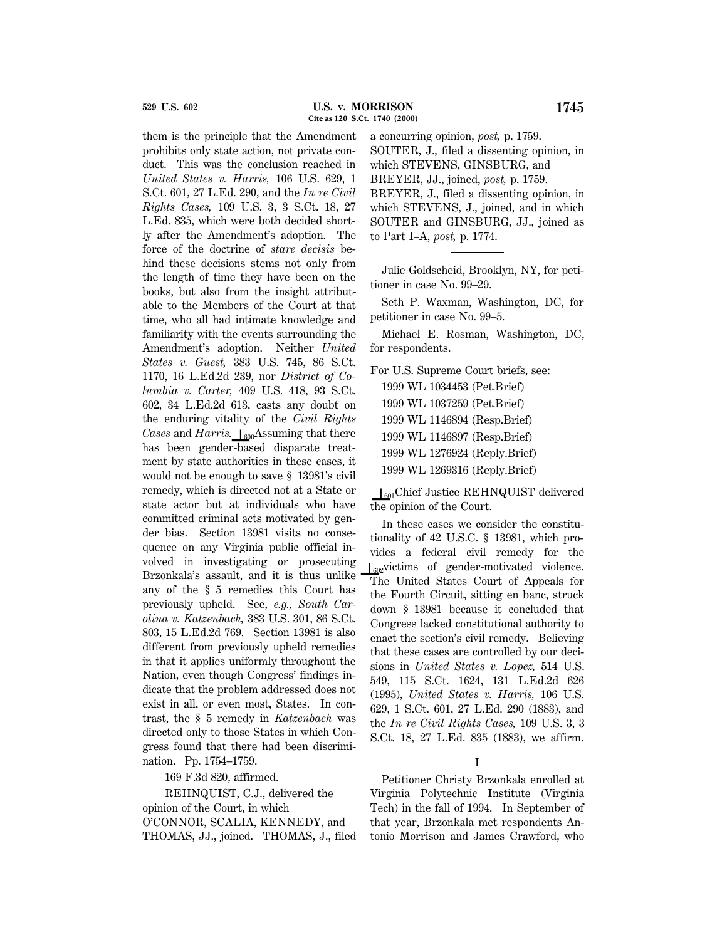them is the principle that the Amendment prohibits only state action, not private conduct. This was the conclusion reached in *United States v. Harris,* 106 U.S. 629, 1 S.Ct. 601, 27 L.Ed. 290, and the *In re Civil Rights Cases,* 109 U.S. 3, 3 S.Ct. 18, 27 L.Ed. 835, which were both decided shortly after the Amendment's adoption. The force of the doctrine of *stare decisis* behind these decisions stems not only from the length of time they have been on the books, but also from the insight attributable to the Members of the Court at that time, who all had intimate knowledge and familiarity with the events surrounding the Amendment's adoption. Neither *United States v. Guest,* 383 U.S. 745, 86 S.Ct. 1170, 16 L.Ed.2d 239, nor *District of Columbia v. Carter,* 409 U.S. 418, 93 S.Ct. 602, 34 L.Ed.2d 613, casts any doubt on the enduring vitality of the *Civil Rights Cases* and *Harris*. **S**<sub>600</sub>Assuming that there has been gender-based disparate treatment by state authorities in these cases, it would not be enough to save § 13981's civil remedy, which is directed not at a State or state actor but at individuals who have committed criminal acts motivated by gender bias. Section 13981 visits no consequence on any Virginia public official involved in investigating or prosecuting Brzonkala's assault, and it is thus unlike any of the § 5 remedies this Court has previously upheld. See, *e.g., South Carolina v. Katzenbach,* 383 U.S. 301, 86 S.Ct. 803, 15 L.Ed.2d 769. Section 13981 is also different from previously upheld remedies in that it applies uniformly throughout the Nation, even though Congress' findings indicate that the problem addressed does not exist in all, or even most, States. In contrast, the § 5 remedy in *Katzenbach* was directed only to those States in which Congress found that there had been discrimination. Pp. 1754–1759.

169 F.3d 820, affirmed.

REHNQUIST, C.J., delivered the opinion of the Court, in which O'CONNOR, SCALIA, KENNEDY, and THOMAS, JJ., joined. THOMAS, J., filed a concurring opinion, *post,* p. 1759. SOUTER, J., filed a dissenting opinion, in which STEVENS, GINSBURG, and BREYER, JJ., joined, *post,* p. 1759. BREYER, J., filed a dissenting opinion, in which STEVENS, J., joined, and in which SOUTER and GINSBURG, JJ., joined as to Part I–A, *post,* p. 1774.

Julie Goldscheid, Brooklyn, NY, for petitioner in case No. 99–29.

Seth P. Waxman, Washington, DC, for petitioner in case No. 99–5.

Michael E. Rosman, Washington, DC, for respondents.

For U.S. Supreme Court briefs, see: 1999 WL 1034453 (Pet.Brief) 1999 WL 1037259 (Pet.Brief) 1999 WL 1146894 (Resp.Brief) 1999 WL 1146897 (Resp.Brief) 1999 WL 1276924 (Reply.Brief) 1999 WL 1269316 (Reply.Brief)

**I**<sub>601</sub>Chief Justice REHNQUIST delivered the opinion of the Court.

In these cases we consider the constitutionality of 42 U.S.C. § 13981, which provides a federal civil remedy for the  $\int_{602}$ victims of gender-motivated violence. The United States Court of Appeals for the Fourth Circuit, sitting en banc, struck down § 13981 because it concluded that Congress lacked constitutional authority to enact the section's civil remedy. Believing that these cases are controlled by our decisions in *United States v. Lopez,* 514 U.S. 549, 115 S.Ct. 1624, 131 L.Ed.2d 626 (1995), *United States v. Harris,* 106 U.S. 629, 1 S.Ct. 601, 27 L.Ed. 290 (1883), and the *In re Civil Rights Cases,* 109 U.S. 3, 3 S.Ct. 18, 27 L.Ed. 835 (1883), we affirm.

### I

Petitioner Christy Brzonkala enrolled at Virginia Polytechnic Institute (Virginia Tech) in the fall of 1994. In September of that year, Brzonkala met respondents Antonio Morrison and James Crawford, who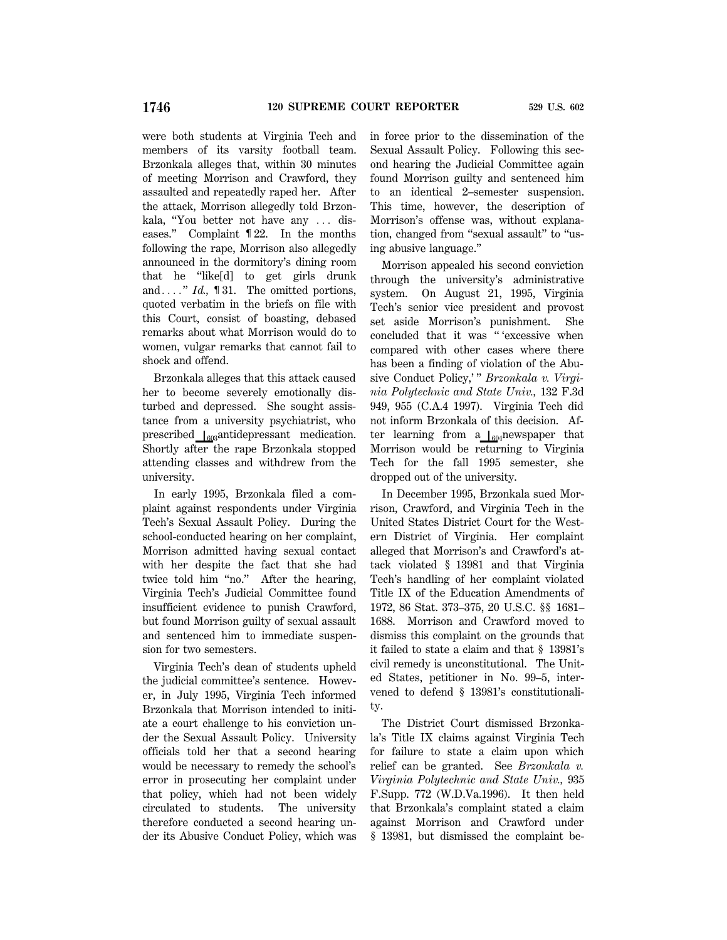were both students at Virginia Tech and members of its varsity football team. Brzonkala alleges that, within 30 minutes of meeting Morrison and Crawford, they assaulted and repeatedly raped her. After the attack, Morrison allegedly told Brzonkala, "You better not have any ... diseases.'' Complaint ¶ 22. In the months following the rape, Morrison also allegedly announced in the dormitory's dining room that he ''like[d] to get girls drunk and...."  $Id$ , **131.** The omitted portions, quoted verbatim in the briefs on file with this Court, consist of boasting, debased remarks about what Morrison would do to women, vulgar remarks that cannot fail to shock and offend.

Brzonkala alleges that this attack caused her to become severely emotionally disturbed and depressed. She sought assistance from a university psychiatrist, who prescribed  $_{603}$ antidepressant medication. Shortly after the rape Brzonkala stopped attending classes and withdrew from the university.

In early 1995, Brzonkala filed a complaint against respondents under Virginia Tech's Sexual Assault Policy. During the school-conducted hearing on her complaint, Morrison admitted having sexual contact with her despite the fact that she had twice told him "no." After the hearing, Virginia Tech's Judicial Committee found insufficient evidence to punish Crawford, but found Morrison guilty of sexual assault and sentenced him to immediate suspension for two semesters.

Virginia Tech's dean of students upheld the judicial committee's sentence. However, in July 1995, Virginia Tech informed Brzonkala that Morrison intended to initiate a court challenge to his conviction under the Sexual Assault Policy. University officials told her that a second hearing would be necessary to remedy the school's error in prosecuting her complaint under that policy, which had not been widely circulated to students. The university therefore conducted a second hearing under its Abusive Conduct Policy, which was in force prior to the dissemination of the Sexual Assault Policy. Following this second hearing the Judicial Committee again found Morrison guilty and sentenced him to an identical 2–semester suspension. This time, however, the description of Morrison's offense was, without explanation, changed from ''sexual assault'' to ''using abusive language.''

Morrison appealed his second conviction through the university's administrative system. On August 21, 1995, Virginia Tech's senior vice president and provost set aside Morrison's punishment. She concluded that it was '' 'excessive when compared with other cases where there has been a finding of violation of the Abusive Conduct Policy,'" *Brzonkala v. Virginia Polytechnic and State Univ.,* 132 F.3d 949, 955 (C.A.4 1997). Virginia Tech did not inform Brzonkala of this decision. After learning from a  $\log_{100}$  newspaper that Morrison would be returning to Virginia Tech for the fall 1995 semester, she dropped out of the university.

In December 1995, Brzonkala sued Morrison, Crawford, and Virginia Tech in the United States District Court for the Western District of Virginia. Her complaint alleged that Morrison's and Crawford's attack violated § 13981 and that Virginia Tech's handling of her complaint violated Title IX of the Education Amendments of 1972, 86 Stat. 373–375, 20 U.S.C. §§ 1681– 1688. Morrison and Crawford moved to dismiss this complaint on the grounds that it failed to state a claim and that § 13981's civil remedy is unconstitutional. The United States, petitioner in No. 99–5, intervened to defend § 13981's constitutionality.

The District Court dismissed Brzonkala's Title IX claims against Virginia Tech for failure to state a claim upon which relief can be granted. See *Brzonkala v. Virginia Polytechnic and State Univ.,* 935 F.Supp. 772 (W.D.Va.1996). It then held that Brzonkala's complaint stated a claim against Morrison and Crawford under § 13981, but dismissed the complaint be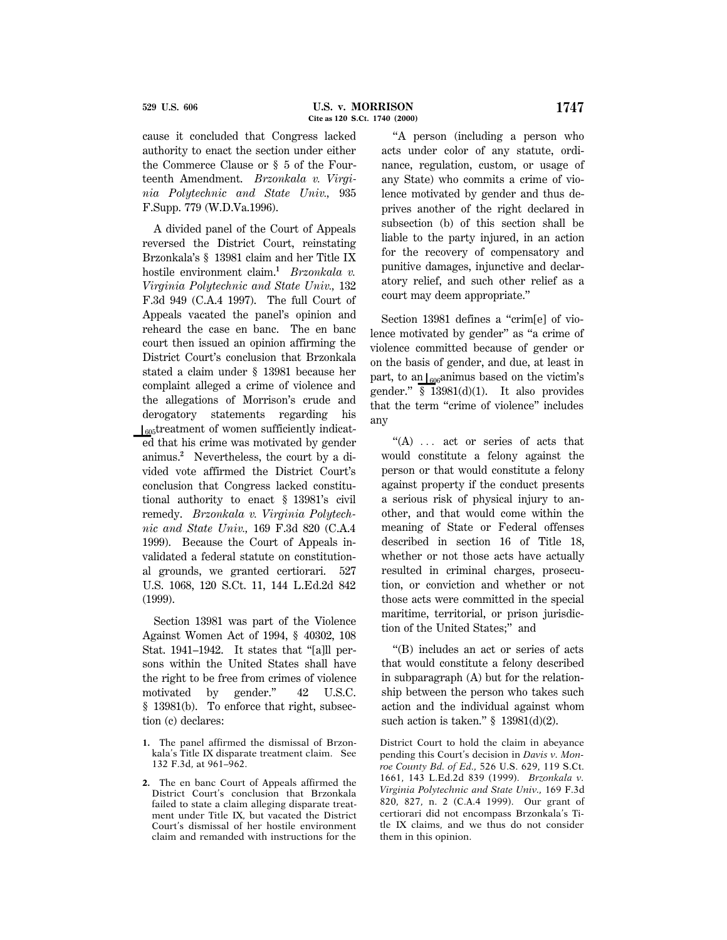cause it concluded that Congress lacked authority to enact the section under either the Commerce Clause or § 5 of the Fourteenth Amendment. *Brzonkala v. Virginia Polytechnic and State Univ.,* 935 F.Supp. 779 (W.D.Va.1996).

A divided panel of the Court of Appeals reversed the District Court, reinstating Brzonkala's § 13981 claim and her Title IX hostile environment claim.**<sup>1</sup>** *Brzonkala v. Virginia Polytechnic and State Univ.,* 132 F.3d 949 (C.A.4 1997). The full Court of Appeals vacated the panel's opinion and reheard the case en banc. The en banc court then issued an opinion affirming the District Court's conclusion that Brzonkala stated a claim under § 13981 because her complaint alleged a crime of violence and the allegations of Morrison's crude and derogatory statements regarding his  $\int_{605}$ treatment of women sufficiently indicated that his crime was motivated by gender animus.**<sup>2</sup>** Nevertheless, the court by a divided vote affirmed the District Court's conclusion that Congress lacked constitutional authority to enact § 13981's civil remedy. *Brzonkala v. Virginia Polytechnic and State Univ.,* 169 F.3d 820 (C.A.4 1999). Because the Court of Appeals invalidated a federal statute on constitutional grounds, we granted certiorari. 527 U.S. 1068, 120 S.Ct. 11, 144 L.Ed.2d 842 (1999).

Section 13981 was part of the Violence Against Women Act of 1994, § 40302, 108 Stat. 1941–1942. It states that "[a]ll persons within the United States shall have the right to be free from crimes of violence motivated by gender." 42 U.S.C. § 13981(b). To enforce that right, subsection (c) declares:

- **1.** The panel affirmed the dismissal of Brzonkala's Title IX disparate treatment claim. See 132 F.3d, at 961–962.
- **2.** The en banc Court of Appeals affirmed the District Court's conclusion that Brzonkala failed to state a claim alleging disparate treatment under Title IX, but vacated the District Court's dismissal of her hostile environment claim and remanded with instructions for the

''A person (including a person who acts under color of any statute, ordinance, regulation, custom, or usage of any State) who commits a crime of violence motivated by gender and thus deprives another of the right declared in subsection (b) of this section shall be liable to the party injured, in an action for the recovery of compensatory and punitive damages, injunctive and declaratory relief, and such other relief as a court may deem appropriate.''

Section 13981 defines a "crim[e] of violence motivated by gender'' as ''a crime of violence committed because of gender or on the basis of gender, and due, at least in part, to an  $\int_{606}$ animus based on the victim's gender."  $\S$  13981(d)(1). It also provides that the term ''crime of violence'' includes any

 $\mathcal{H}(A)$  ... act or series of acts that would constitute a felony against the person or that would constitute a felony against property if the conduct presents a serious risk of physical injury to another, and that would come within the meaning of State or Federal offenses described in section 16 of Title 18, whether or not those acts have actually resulted in criminal charges, prosecution, or conviction and whether or not those acts were committed in the special maritime, territorial, or prison jurisdiction of the United States;'' and

''(B) includes an act or series of acts that would constitute a felony described in subparagraph (A) but for the relationship between the person who takes such action and the individual against whom such action is taken."  $$ 13981(d)(2)$ .

District Court to hold the claim in abeyance pending this Court's decision in *Davis v. Monroe County Bd. of Ed.,* 526 U.S. 629, 119 S.Ct. 1661, 143 L.Ed.2d 839 (1999). *Brzonkala v. Virginia Polytechnic and State Univ.,* 169 F.3d 820, 827, n. 2 (C.A.4 1999). Our grant of certiorari did not encompass Brzonkala's Title IX claims, and we thus do not consider them in this opinion.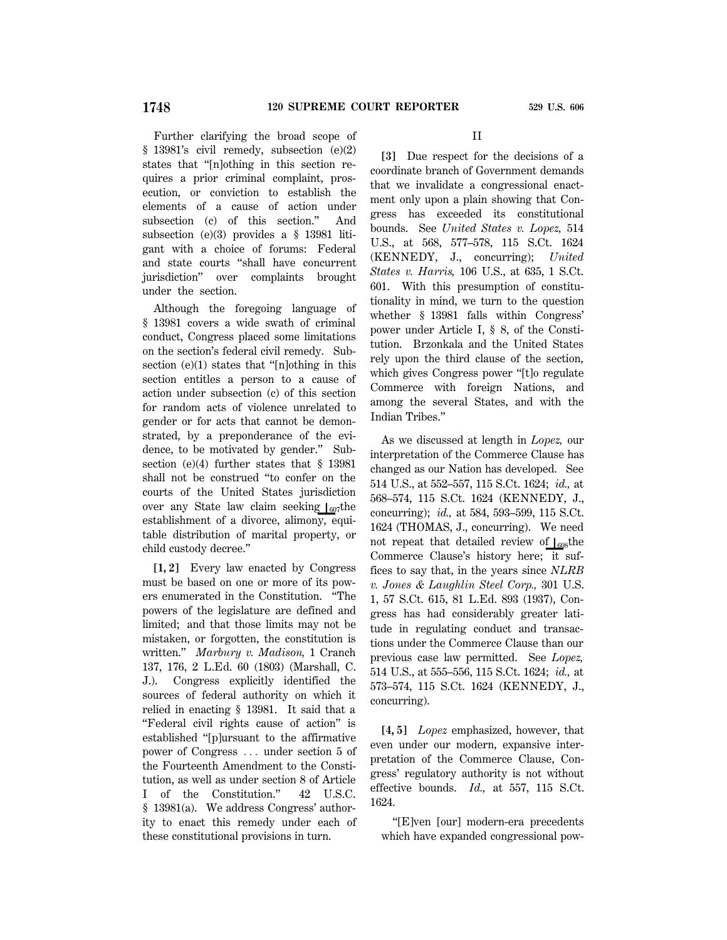Further clarifying the broad scope of § 13981's civil remedy, subsection (e)(2) states that ''[n]othing in this section requires a prior criminal complaint, prosecution, or conviction to establish the elements of a cause of action under subsection (c) of this section.'' And subsection (e)(3) provides a § 13981 litigant with a choice of forums: Federal and state courts ''shall have concurrent jurisdiction'' over complaints brought under the section.

Although the foregoing language of § 13981 covers a wide swath of criminal conduct, Congress placed some limitations on the section's federal civil remedy. Subsection (e)(1) states that "[n]othing in this section entitles a person to a cause of action under subsection (c) of this section for random acts of violence unrelated to gender or for acts that cannot be demonstrated, by a preponderance of the evidence, to be motivated by gender.'' Subsection (e)(4) further states that § 13981 shall not be construed ''to confer on the courts of the United States jurisdiction over any State law claim seeking  $\int_{607}$ the establishment of a divorce, alimony, equitable distribution of marital property, or child custody decree.''

**[1, 2]** Every law enacted by Congress must be based on one or more of its powers enumerated in the Constitution. ''The powers of the legislature are defined and limited; and that those limits may not be mistaken, or forgotten, the constitution is written.'' *Marbury v. Madison,* 1 Cranch 137, 176, 2 L.Ed. 60 (1803) (Marshall, C. J.). Congress explicitly identified the sources of federal authority on which it relied in enacting § 13981. It said that a ''Federal civil rights cause of action'' is established ''[p]ursuant to the affirmative power of Congress ... under section 5 of the Fourteenth Amendment to the Constitution, as well as under section 8 of Article I of the Constitution.'' 42 U.S.C. § 13981(a). We address Congress' authority to enact this remedy under each of these constitutional provisions in turn.

II

**[3]** Due respect for the decisions of a coordinate branch of Government demands that we invalidate a congressional enactment only upon a plain showing that Congress has exceeded its constitutional bounds. See *United States v. Lopez,* 514 U.S., at 568, 577–578, 115 S.Ct. 1624 (KENNEDY, J., concurring); *United States v. Harris,* 106 U.S., at 635, 1 S.Ct. 601. With this presumption of constitutionality in mind, we turn to the question whether § 13981 falls within Congress' power under Article I, § 8, of the Constitution. Brzonkala and the United States rely upon the third clause of the section, which gives Congress power "[t]o regulate Commerce with foreign Nations, and among the several States, and with the Indian Tribes.''

As we discussed at length in *Lopez,* our interpretation of the Commerce Clause has changed as our Nation has developed. See 514 U.S., at 552–557, 115 S.Ct. 1624; *id.,* at 568–574, 115 S.Ct. 1624 (KENNEDY, J., concurring); *id.,* at 584, 593–599, 115 S.Ct. 1624 (THOMAS, J., concurring). We need not repeat that detailed review of  $\mathcal{L}_{608}$ the Commerce Clause's history here; it suffices to say that, in the years since *NLRB v. Jones & Laughlin Steel Corp.,* 301 U.S. 1, 57 S.Ct. 615, 81 L.Ed. 893 (1937), Congress has had considerably greater latitude in regulating conduct and transactions under the Commerce Clause than our previous case law permitted. See *Lopez,* 514 U.S., at 555–556, 115 S.Ct. 1624; *id.,* at 573–574, 115 S.Ct. 1624 (KENNEDY, J., concurring).

**[4, 5]** *Lopez* emphasized, however, that even under our modern, expansive interpretation of the Commerce Clause, Congress' regulatory authority is not without effective bounds. *Id.,* at 557, 115 S.Ct. 1624.

''[E]ven [our] modern-era precedents which have expanded congressional pow-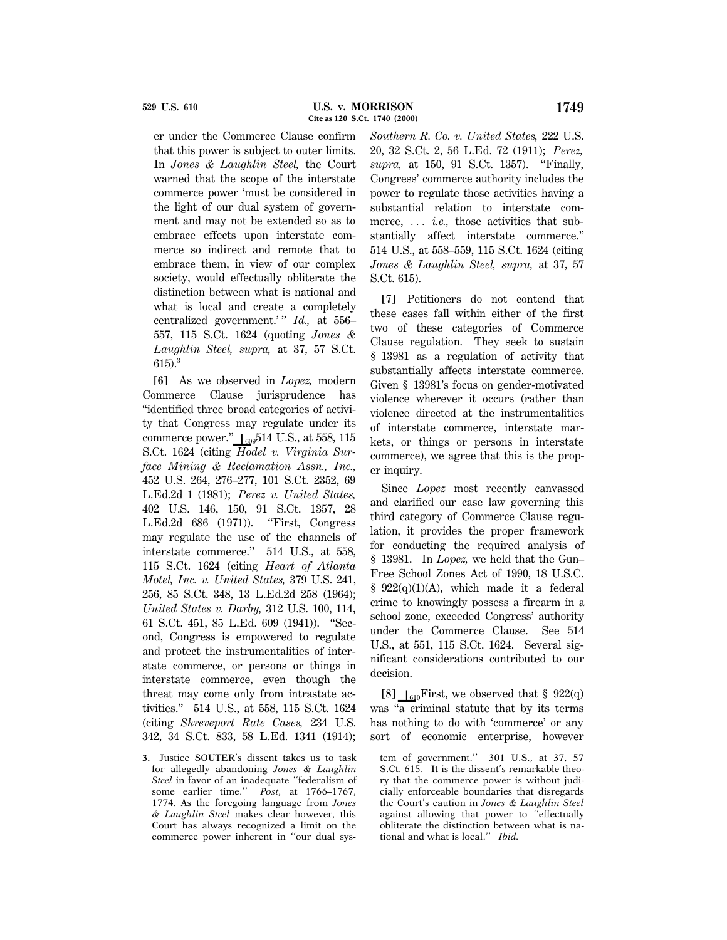er under the Commerce Clause confirm that this power is subject to outer limits. In *Jones & Laughlin Steel,* the Court warned that the scope of the interstate commerce power 'must be considered in the light of our dual system of government and may not be extended so as to embrace effects upon interstate commerce so indirect and remote that to embrace them, in view of our complex society, would effectually obliterate the distinction between what is national and what is local and create a completely centralized government.'" *Id.*, at 556– 557, 115 S.Ct. 1624 (quoting *Jones & Laughlin Steel, supra,* at 37, 57 S.Ct. 615).**<sup>3</sup>**

**[6]** As we observed in *Lopez,* modern Commerce Clause jurisprudence has ''identified three broad categories of activity that Congress may regulate under its commerce power." $_{609}$ 514 U.S., at 558, 115 S.Ct. 1624 (citing *Hodel v. Virginia Surface Mining & Reclamation Assn., Inc.,* 452 U.S. 264, 276–277, 101 S.Ct. 2352, 69 L.Ed.2d 1 (1981); *Perez v. United States,* 402 U.S. 146, 150, 91 S.Ct. 1357, 28 L.Ed.2d 686 (1971)). ''First, Congress may regulate the use of the channels of interstate commerce.'' 514 U.S., at 558, 115 S.Ct. 1624 (citing *Heart of Atlanta Motel, Inc. v. United States,* 379 U.S. 241, 256, 85 S.Ct. 348, 13 L.Ed.2d 258 (1964); *United States v. Darby,* 312 U.S. 100, 114, 61 S.Ct. 451, 85 L.Ed. 609 (1941)). ''Second, Congress is empowered to regulate and protect the instrumentalities of interstate commerce, or persons or things in interstate commerce, even though the threat may come only from intrastate activities.'' 514 U.S., at 558, 115 S.Ct. 1624 (citing *Shreveport Rate Cases,* 234 U.S. 342, 34 S.Ct. 833, 58 L.Ed. 1341 (1914);

**3.** Justice SOUTER's dissent takes us to task for allegedly abandoning *Jones & Laughlin Steel* in favor of an inadequate ''federalism of some earlier time.'' *Post,* at 1766–1767, 1774. As the foregoing language from *Jones & Laughlin Steel* makes clear however, this Court has always recognized a limit on the commerce power inherent in ''our dual sys*Southern R. Co. v. United States,* 222 U.S. 20, 32 S.Ct. 2, 56 L.Ed. 72 (1911); *Perez, supra,* at 150, 91 S.Ct. 1357). ''Finally, Congress' commerce authority includes the power to regulate those activities having a substantial relation to interstate commerce, ... *i.e.*, those activities that substantially affect interstate commerce.'' 514 U.S., at 558–559, 115 S.Ct. 1624 (citing *Jones & Laughlin Steel, supra,* at 37, 57 S.Ct. 615).

**[7]** Petitioners do not contend that these cases fall within either of the first two of these categories of Commerce Clause regulation. They seek to sustain § 13981 as a regulation of activity that substantially affects interstate commerce. Given § 13981's focus on gender-motivated violence wherever it occurs (rather than violence directed at the instrumentalities of interstate commerce, interstate markets, or things or persons in interstate commerce), we agree that this is the proper inquiry.

Since *Lopez* most recently canvassed and clarified our case law governing this third category of Commerce Clause regulation, it provides the proper framework for conducting the required analysis of § 13981. In *Lopez,* we held that the Gun– Free School Zones Act of 1990, 18 U.S.C. §  $922(q)(1)(A)$ , which made it a federal crime to knowingly possess a firearm in a school zone, exceeded Congress' authority under the Commerce Clause. See 514 U.S., at 551, 115 S.Ct. 1624. Several significant considerations contributed to our decision.

[8]  $I_{610}$ First, we observed that § 922(q) was ''a criminal statute that by its terms has nothing to do with 'commerce' or any sort of economic enterprise, however

tem of government.'' 301 U.S., at 37, 57 S.Ct. 615. It is the dissent's remarkable theory that the commerce power is without judicially enforceable boundaries that disregards the Court's caution in *Jones & Laughlin Steel* against allowing that power to ''effectually obliterate the distinction between what is national and what is local.'' *Ibid.*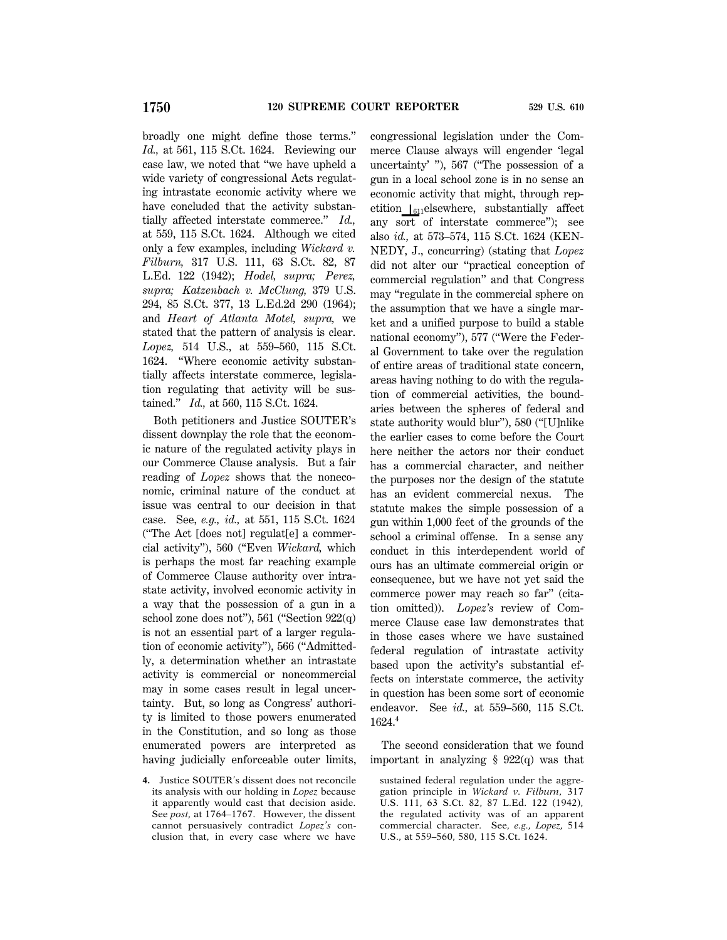broadly one might define those terms.'' *Id.,* at 561, 115 S.Ct. 1624. Reviewing our case law, we noted that ''we have upheld a wide variety of congressional Acts regulating intrastate economic activity where we have concluded that the activity substantially affected interstate commerce.'' *Id.,* at 559, 115 S.Ct. 1624. Although we cited only a few examples, including *Wickard v. Filburn,* 317 U.S. 111, 63 S.Ct. 82, 87 L.Ed. 122 (1942); *Hodel, supra; Perez, supra; Katzenbach v. McClung,* 379 U.S. 294, 85 S.Ct. 377, 13 L.Ed.2d 290 (1964); and *Heart of Atlanta Motel, supra,* we stated that the pattern of analysis is clear. *Lopez,* 514 U.S., at 559–560, 115 S.Ct. 1624. ''Where economic activity substantially affects interstate commerce, legislation regulating that activity will be sustained.'' *Id.,* at 560, 115 S.Ct. 1624.

Both petitioners and Justice SOUTER's dissent downplay the role that the economic nature of the regulated activity plays in our Commerce Clause analysis. But a fair reading of *Lopez* shows that the noneconomic, criminal nature of the conduct at issue was central to our decision in that case. See, *e.g., id.,* at 551, 115 S.Ct. 1624 (''The Act [does not] regulat[e] a commercial activity''), 560 (''Even *Wickard,* which is perhaps the most far reaching example of Commerce Clause authority over intrastate activity, involved economic activity in a way that the possession of a gun in a school zone does not''), 561 (''Section 922(q) is not an essential part of a larger regulation of economic activity''), 566 (''Admittedly, a determination whether an intrastate activity is commercial or noncommercial may in some cases result in legal uncertainty. But, so long as Congress' authority is limited to those powers enumerated in the Constitution, and so long as those enumerated powers are interpreted as having judicially enforceable outer limits,

**4.** Justice SOUTER's dissent does not reconcile its analysis with our holding in *Lopez* because it apparently would cast that decision aside. See *post,* at 1764–1767. However, the dissent cannot persuasively contradict *Lopez's* conclusion that, in every case where we have

congressional legislation under the Commerce Clause always will engender 'legal uncertainty' ''), 567 (''The possession of a gun in a local school zone is in no sense an economic activity that might, through repetition  $\int_{611}$ elsewhere, substantially affect any sort of interstate commerce''); see also *id.,* at 573–574, 115 S.Ct. 1624 (KEN-NEDY, J., concurring) (stating that *Lopez* did not alter our ''practical conception of commercial regulation'' and that Congress may ''regulate in the commercial sphere on the assumption that we have a single market and a unified purpose to build a stable national economy''), 577 (''Were the Federal Government to take over the regulation of entire areas of traditional state concern, areas having nothing to do with the regulation of commercial activities, the boundaries between the spheres of federal and state authority would blur''), 580 (''[U]nlike the earlier cases to come before the Court here neither the actors nor their conduct has a commercial character, and neither the purposes nor the design of the statute has an evident commercial nexus. The statute makes the simple possession of a gun within 1,000 feet of the grounds of the school a criminal offense. In a sense any conduct in this interdependent world of ours has an ultimate commercial origin or consequence, but we have not yet said the commerce power may reach so far'' (citation omitted)). *Lopez's* review of Commerce Clause case law demonstrates that in those cases where we have sustained federal regulation of intrastate activity based upon the activity's substantial effects on interstate commerce, the activity in question has been some sort of economic endeavor. See *id.,* at 559–560, 115 S.Ct. 1624.**<sup>4</sup>**

The second consideration that we found important in analyzing  $\S$  922(q) was that

sustained federal regulation under the aggregation principle in *Wickard v. Filburn*, 317 U.S. 111, 63 S.Ct. 82, 87 L.Ed. 122 (1942), the regulated activity was of an apparent commercial character. See, *e.g., Lopez,* 514 U.S., at 559–560, 580, 115 S.Ct. 1624.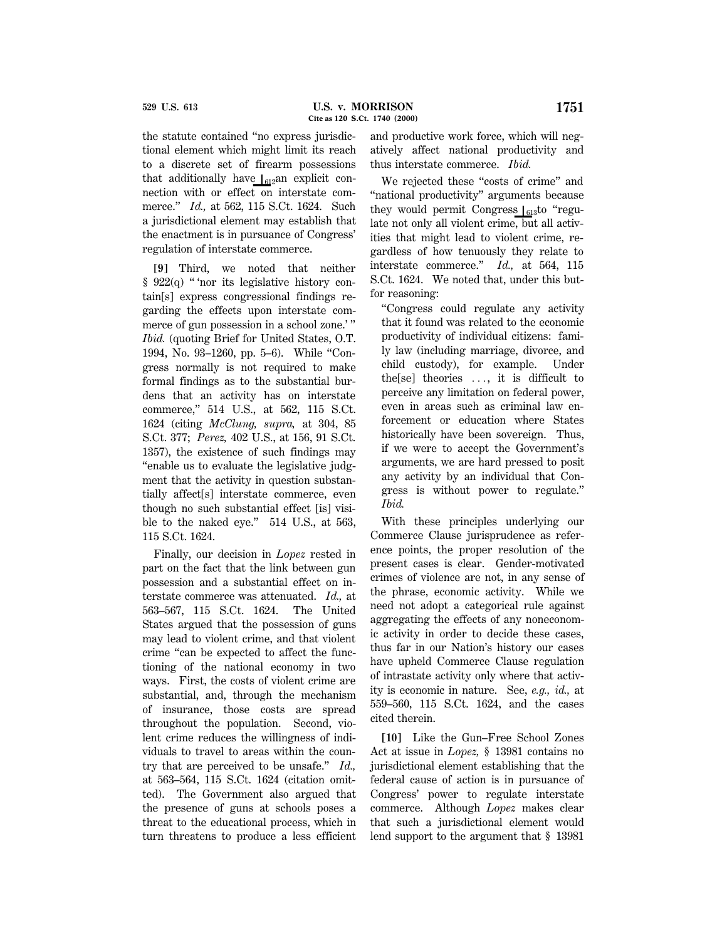the statute contained ''no express jurisdictional element which might limit its reach to a discrete set of firearm possessions that additionally have  $\log_{12}$ an explicit connection with or effect on interstate commerce.'' *Id.,* at 562, 115 S.Ct. 1624. Such a jurisdictional element may establish that the enactment is in pursuance of Congress' regulation of interstate commerce.

**[9]** Third, we noted that neither  $§$  922(q) "' nor its legislative history contain[s] express congressional findings regarding the effects upon interstate commerce of gun possession in a school zone.'" *Ibid.* (quoting Brief for United States, O.T. 1994, No. 93–1260, pp. 5–6). While ''Congress normally is not required to make formal findings as to the substantial burdens that an activity has on interstate commerce,'' 514 U.S., at 562, 115 S.Ct. 1624 (citing *McClung, supra,* at 304, 85 S.Ct. 377; *Perez,* 402 U.S., at 156, 91 S.Ct. 1357), the existence of such findings may ''enable us to evaluate the legislative judgment that the activity in question substantially affect[s] interstate commerce, even though no such substantial effect [is] visible to the naked eye.'' 514 U.S., at 563, 115 S.Ct. 1624.

Finally, our decision in *Lopez* rested in part on the fact that the link between gun possession and a substantial effect on interstate commerce was attenuated. *Id.,* at 563–567, 115 S.Ct. 1624. The United States argued that the possession of guns may lead to violent crime, and that violent crime ''can be expected to affect the functioning of the national economy in two ways. First, the costs of violent crime are substantial, and, through the mechanism of insurance, those costs are spread throughout the population. Second, violent crime reduces the willingness of individuals to travel to areas within the country that are perceived to be unsafe.'' *Id.,* at 563–564, 115 S.Ct. 1624 (citation omitted). The Government also argued that the presence of guns at schools poses a threat to the educational process, which in turn threatens to produce a less efficient and productive work force, which will negatively affect national productivity and thus interstate commerce. *Ibid.*

We rejected these ''costs of crime'' and "national productivity" arguments because they would permit Congress  $\int_{613}$ to "regulate not only all violent crime, but all activities that might lead to violent crime, regardless of how tenuously they relate to interstate commerce.'' *Id.,* at 564, 115 S.Ct. 1624. We noted that, under this butfor reasoning:

''Congress could regulate any activity that it found was related to the economic productivity of individual citizens: family law (including marriage, divorce, and child custody), for example. Under the[se] theories  $\ldots$ , it is difficult to perceive any limitation on federal power, even in areas such as criminal law enforcement or education where States historically have been sovereign. Thus, if we were to accept the Government's arguments, we are hard pressed to posit any activity by an individual that Congress is without power to regulate.'' *Ibid.*

With these principles underlying our Commerce Clause jurisprudence as reference points, the proper resolution of the present cases is clear. Gender-motivated crimes of violence are not, in any sense of the phrase, economic activity. While we need not adopt a categorical rule against aggregating the effects of any noneconomic activity in order to decide these cases, thus far in our Nation's history our cases have upheld Commerce Clause regulation of intrastate activity only where that activity is economic in nature. See, *e.g., id.,* at 559–560, 115 S.Ct. 1624, and the cases cited therein.

**[10]** Like the Gun–Free School Zones Act at issue in *Lopez,* § 13981 contains no jurisdictional element establishing that the federal cause of action is in pursuance of Congress' power to regulate interstate commerce. Although *Lopez* makes clear that such a jurisdictional element would lend support to the argument that § 13981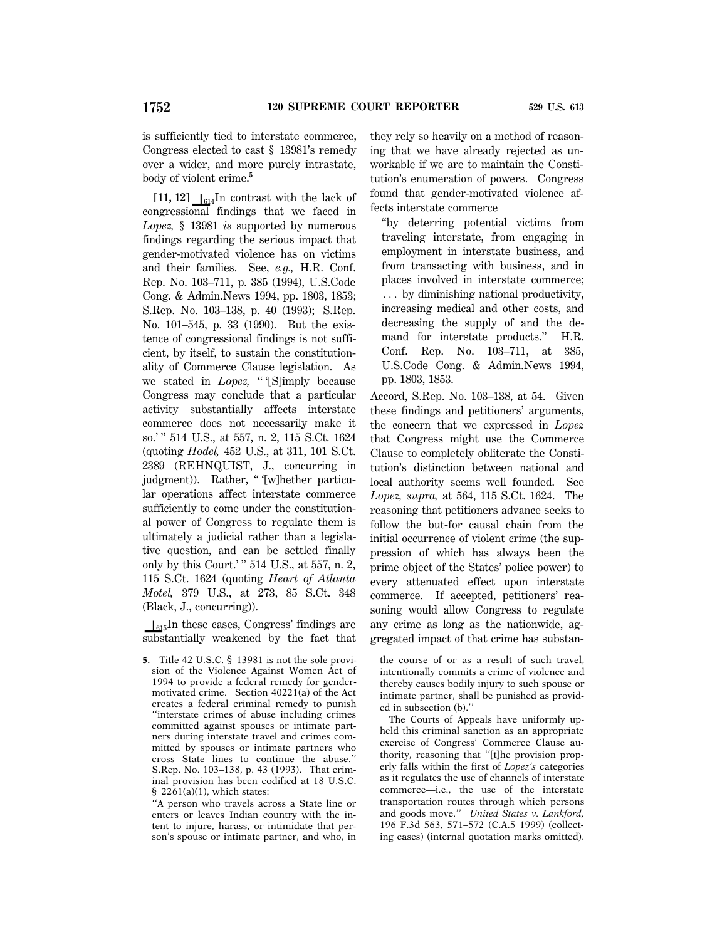is sufficiently tied to interstate commerce, Congress elected to cast § 13981's remedy over a wider, and more purely intrastate, body of violent crime.**<sup>5</sup>**

 $[11, 12]$   $\vert_{614}$ In contrast with the lack of congressional findings that we faced in *Lopez,* § 13981 *is* supported by numerous findings regarding the serious impact that gender-motivated violence has on victims and their families. See, *e.g.,* H.R. Conf. Rep. No. 103–711, p. 385 (1994), U.S.Code Cong. & Admin.News 1994, pp. 1803, 1853; S.Rep. No. 103–138, p. 40 (1993); S.Rep. No. 101–545, p. 33 (1990). But the existence of congressional findings is not sufficient, by itself, to sustain the constitutionality of Commerce Clause legislation. As we stated in *Lopez,* '' '[S]imply because Congress may conclude that a particular activity substantially affects interstate commerce does not necessarily make it so.' '' 514 U.S., at 557, n. 2, 115 S.Ct. 1624 (quoting *Hodel,* 452 U.S., at 311, 101 S.Ct. 2389 (REHNQUIST, J., concurring in judgment)). Rather, '' '[w]hether particular operations affect interstate commerce sufficiently to come under the constitutional power of Congress to regulate them is ultimately a judicial rather than a legislative question, and can be settled finally only by this Court.' '' 514 U.S., at 557, n. 2, 115 S.Ct. 1624 (quoting *Heart of Atlanta Motel,* 379 U.S., at 273, 85 S.Ct. 348 (Black, J., concurring)).

 $\frac{1}{615}$ In these cases, Congress' findings are substantially weakened by the fact that

**5.** Title 42 U.S.C. § 13981 is not the sole provision of the Violence Against Women Act of 1994 to provide a federal remedy for gendermotivated crime. Section 40221(a) of the Act creates a federal criminal remedy to punish ''interstate crimes of abuse including crimes committed against spouses or intimate partners during interstate travel and crimes committed by spouses or intimate partners who cross State lines to continue the abuse.'' S.Rep. No. 103–138, p. 43 (1993). That criminal provision has been codified at 18 U.S.C. § 2261(a)(1), which states:

''A person who travels across a State line or enters or leaves Indian country with the intent to injure, harass, or intimidate that person's spouse or intimate partner, and who, in they rely so heavily on a method of reasoning that we have already rejected as unworkable if we are to maintain the Constitution's enumeration of powers. Congress found that gender-motivated violence affects interstate commerce

''by deterring potential victims from traveling interstate, from engaging in employment in interstate business, and from transacting with business, and in places involved in interstate commerce;  $\ldots$  by diminishing national productivity, increasing medical and other costs, and decreasing the supply of and the demand for interstate products.'' H.R. Conf. Rep. No. 103–711, at 385, U.S.Code Cong. & Admin.News 1994, pp. 1803, 1853.

Accord, S.Rep. No. 103–138, at 54. Given these findings and petitioners' arguments, the concern that we expressed in *Lopez* that Congress might use the Commerce Clause to completely obliterate the Constitution's distinction between national and local authority seems well founded. See *Lopez, supra,* at 564, 115 S.Ct. 1624. The reasoning that petitioners advance seeks to follow the but-for causal chain from the initial occurrence of violent crime (the suppression of which has always been the prime object of the States' police power) to every attenuated effect upon interstate commerce. If accepted, petitioners' reasoning would allow Congress to regulate any crime as long as the nationwide, aggregated impact of that crime has substan-

the course of or as a result of such travel, intentionally commits a crime of violence and thereby causes bodily injury to such spouse or intimate partner, shall be punished as provided in subsection (b).''

The Courts of Appeals have uniformly upheld this criminal sanction as an appropriate exercise of Congress' Commerce Clause authority, reasoning that ''[t]he provision properly falls within the first of *Lopez's* categories as it regulates the use of channels of interstate commerce—i.e., the use of the interstate transportation routes through which persons and goods move.'' *United States v. Lankford,* 196 F.3d 563, 571–572 (C.A.5 1999) (collecting cases) (internal quotation marks omitted).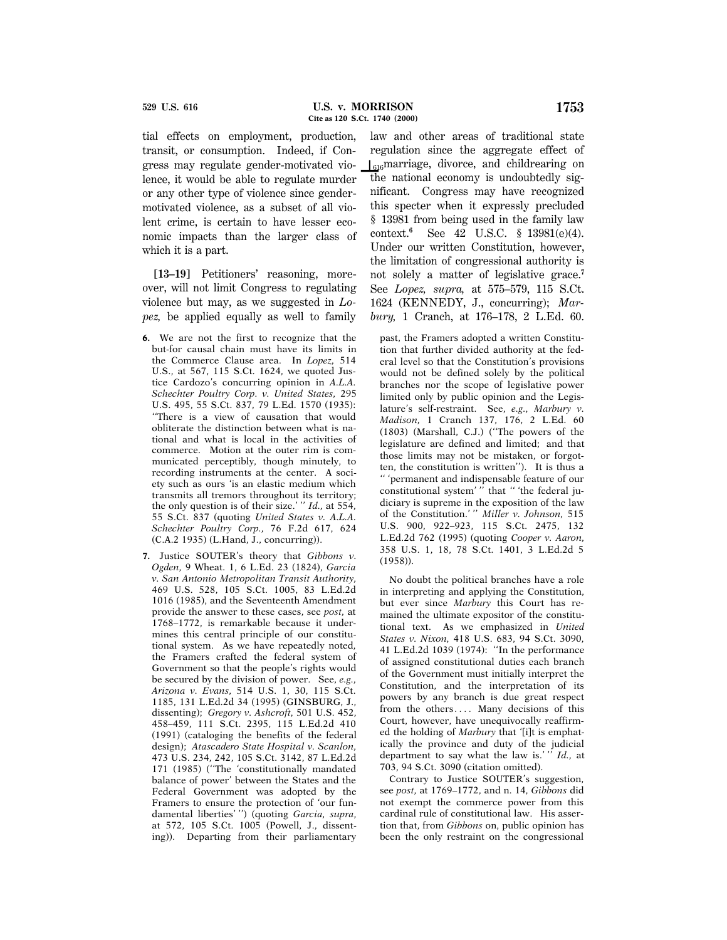tial effects on employment, production, transit, or consumption. Indeed, if Congress may regulate gender-motivated violence, it would be able to regulate murder or any other type of violence since gendermotivated violence, as a subset of all violent crime, is certain to have lesser economic impacts than the larger class of which it is a part.

**[13–19]** Petitioners' reasoning, moreover, will not limit Congress to regulating violence but may, as we suggested in *Lopez,* be applied equally as well to family

- **6.** We are not the first to recognize that the but-for causal chain must have its limits in the Commerce Clause area. In *Lopez,* 514 U.S., at 567, 115 S.Ct. 1624, we quoted Justice Cardozo's concurring opinion in *A.L.A. Schechter Poultry Corp. v. United States,* 295 U.S. 495, 55 S.Ct. 837, 79 L.Ed. 1570 (1935): ''There is a view of causation that would obliterate the distinction between what is national and what is local in the activities of commerce. Motion at the outer rim is communicated perceptibly, though minutely, to recording instruments at the center. A society such as ours 'is an elastic medium which transmits all tremors throughout its territory; the only question is of their size.' '' *Id.,* at 554, 55 S.Ct. 837 (quoting *United States v. A.L.A. Schechter Poultry Corp.,* 76 F.2d 617, 624 (C.A.2 1935) (L.Hand, J., concurring)).
- **7.** Justice SOUTER's theory that *Gibbons v. Ogden,* 9 Wheat. 1, 6 L.Ed. 23 (1824), *Garcia v. San Antonio Metropolitan Transit Authority,* 469 U.S. 528, 105 S.Ct. 1005, 83 L.Ed.2d 1016 (1985), and the Seventeenth Amendment provide the answer to these cases, see *post,* at 1768–1772, is remarkable because it undermines this central principle of our constitutional system. As we have repeatedly noted, the Framers crafted the federal system of Government so that the people's rights would be secured by the division of power. See, *e.g., Arizona v. Evans,* 514 U.S. 1, 30, 115 S.Ct. 1185, 131 L.Ed.2d 34 (1995) (GINSBURG, J., dissenting); *Gregory v. Ashcroft,* 501 U.S. 452, 458–459, 111 S.Ct. 2395, 115 L.Ed.2d 410 (1991) (cataloging the benefits of the federal design); *Atascadero State Hospital v. Scanlon,* 473 U.S. 234, 242, 105 S.Ct. 3142, 87 L.Ed.2d 171 (1985) (''The 'constitutionally mandated balance of power' between the States and the Federal Government was adopted by the Framers to ensure the protection of 'our fundamental liberties' '') (quoting *Garcia, supra,* at 572, 105 S.Ct. 1005 (Powell, J., dissenting)). Departing from their parliamentary

law and other areas of traditional state regulation since the aggregate effect of  $\mathcal{L}_{616}$ marriage, divorce, and childrearing on the national economy is undoubtedly significant. Congress may have recognized this specter when it expressly precluded § 13981 from being used in the family law context.**<sup>6</sup>** See 42 U.S.C. § 13981(e)(4). Under our written Constitution, however, the limitation of congressional authority is not solely a matter of legislative grace.**<sup>7</sup>** See *Lopez, supra,* at 575–579, 115 S.Ct. 1624 (KENNEDY, J., concurring); *Marbury,* 1 Cranch, at 176–178, 2 L.Ed. 60.

past, the Framers adopted a written Constitution that further divided authority at the federal level so that the Constitution's provisions would not be defined solely by the political branches nor the scope of legislative power limited only by public opinion and the Legislature's self-restraint. See, *e.g., Marbury v. Madison,* 1 Cranch 137, 176, 2 L.Ed. 60 (1803) (Marshall, C.J.) (''The powers of the legislature are defined and limited; and that those limits may not be mistaken, or forgotten, the constitution is written''). It is thus a '' 'permanent and indispensable feature of our constitutional system' '' that '' 'the federal judiciary is supreme in the exposition of the law of the Constitution.' '' *Miller v. Johnson,* 515 U.S. 900, 922–923, 115 S.Ct. 2475, 132 L.Ed.2d 762 (1995) (quoting *Cooper v. Aaron,* 358 U.S. 1, 18, 78 S.Ct. 1401, 3 L.Ed.2d 5 (1958)).

No doubt the political branches have a role in interpreting and applying the Constitution, but ever since *Marbury* this Court has remained the ultimate expositor of the constitutional text. As we emphasized in *United States v. Nixon,* 418 U.S. 683, 94 S.Ct. 3090, 41 L.Ed.2d 1039 (1974): ''In the performance of assigned constitutional duties each branch of the Government must initially interpret the Constitution, and the interpretation of its powers by any branch is due great respect from the others.... Many decisions of this Court, however, have unequivocally reaffirmed the holding of *Marbury* that '[i]t is emphatically the province and duty of the judicial department to say what the law is.' '' *Id.,* at 703, 94 S.Ct. 3090 (citation omitted).

Contrary to Justice SOUTER's suggestion, see *post,* at 1769–1772, and n. 14, *Gibbons* did not exempt the commerce power from this cardinal rule of constitutional law. His assertion that, from *Gibbons* on, public opinion has been the only restraint on the congressional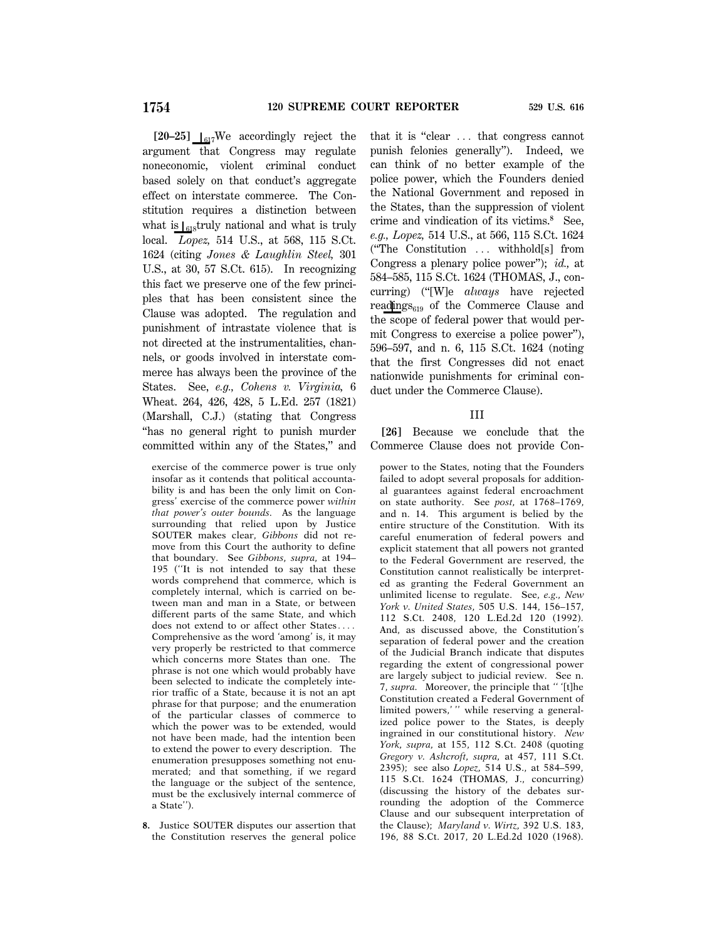$[20-25]$   $\vert_{617}$ We accordingly reject the argument that Congress may regulate noneconomic, violent criminal conduct based solely on that conduct's aggregate effect on interstate commerce. The Constitution requires a distinction between what is  $\int_{618}$ truly national and what is truly local. *Lopez,* 514 U.S., at 568, 115 S.Ct. 1624 (citing *Jones & Laughlin Steel,* 301 U.S., at 30, 57 S.Ct. 615). In recognizing this fact we preserve one of the few principles that has been consistent since the Clause was adopted. The regulation and punishment of intrastate violence that is not directed at the instrumentalities, channels, or goods involved in interstate commerce has always been the province of the States. See, *e.g., Cohens v. Virginia,* 6 Wheat. 264, 426, 428, 5 L.Ed. 257 (1821) (Marshall, C.J.) (stating that Congress "has no general right to punish murder committed within any of the States,'' and

exercise of the commerce power is true only insofar as it contends that political accountability is and has been the only limit on Congress' exercise of the commerce power *within that power's outer bounds.* As the language surrounding that relied upon by Justice SOUTER makes clear, *Gibbons* did not remove from this Court the authority to define that boundary. See *Gibbons, supra,* at 194– 195 (''It is not intended to say that these words comprehend that commerce, which is completely internal, which is carried on between man and man in a State, or between different parts of the same State, and which does not extend to or affect other States.... Comprehensive as the word 'among' is, it may very properly be restricted to that commerce which concerns more States than one. The phrase is not one which would probably have been selected to indicate the completely interior traffic of a State, because it is not an apt phrase for that purpose; and the enumeration of the particular classes of commerce to which the power was to be extended, would not have been made, had the intention been to extend the power to every description. The enumeration presupposes something not enumerated; and that something, if we regard the language or the subject of the sentence, must be the exclusively internal commerce of a State'').

**8.** Justice SOUTER disputes our assertion that the Constitution reserves the general police

that it is "clear  $\dots$  that congress cannot punish felonies generally''). Indeed, we can think of no better example of the police power, which the Founders denied the National Government and reposed in the States, than the suppression of violent crime and vindication of its victims.**<sup>8</sup>** See, *e.g., Lopez,* 514 U.S., at 566, 115 S.Ct. 1624 ("The Constitution  $\ldots$  withhold[s] from Congress a plenary police power''); *id.,* at 584–585, 115 S.Ct. 1624 (THOMAS, J., concurring) (''[W]e *always* have rejected read $\text{pings}_{619}$  of the Commerce Clause and the scope of federal power that would permit Congress to exercise a police power''), 596–597, and n. 6, 115 S.Ct. 1624 (noting that the first Congresses did not enact nationwide punishments for criminal conduct under the Commerce Clause).

#### III

**[26]** Because we conclude that the Commerce Clause does not provide Con-

power to the States, noting that the Founders failed to adopt several proposals for additional guarantees against federal encroachment on state authority. See *post,* at 1768–1769, and n. 14. This argument is belied by the entire structure of the Constitution. With its careful enumeration of federal powers and explicit statement that all powers not granted to the Federal Government are reserved, the Constitution cannot realistically be interpreted as granting the Federal Government an unlimited license to regulate. See, *e.g., New York v. United States,* 505 U.S. 144, 156–157, 112 S.Ct. 2408, 120 L.Ed.2d 120 (1992). And, as discussed above, the Constitution's separation of federal power and the creation of the Judicial Branch indicate that disputes regarding the extent of congressional power are largely subject to judicial review. See n. 7, *supra.* Moreover, the principle that '' '[t]he Constitution created a Federal Government of limited powers,' " while reserving a generalized police power to the States, is deeply ingrained in our constitutional history. *New York, supra,* at 155, 112 S.Ct. 2408 (quoting *Gregory v. Ashcroft, supra,* at 457, 111 S.Ct. 2395); see also *Lopez,* 514 U.S., at 584–599, 115 S.Ct. 1624 (THOMAS, J., concurring) (discussing the history of the debates surrounding the adoption of the Commerce Clause and our subsequent interpretation of the Clause); *Maryland v. Wirtz,* 392 U.S. 183, 196, 88 S.Ct. 2017, 20 L.Ed.2d 1020 (1968).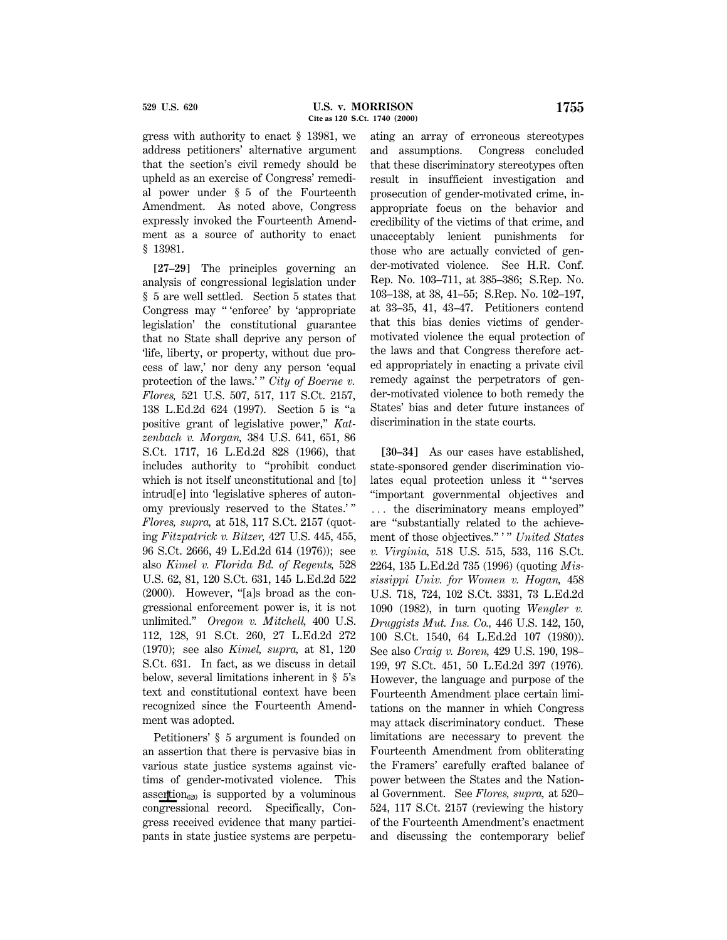gress with authority to enact § 13981, we address petitioners' alternative argument that the section's civil remedy should be upheld as an exercise of Congress' remedial power under § 5 of the Fourteenth Amendment. As noted above, Congress expressly invoked the Fourteenth Amendment as a source of authority to enact § 13981.

**[27–29]** The principles governing an analysis of congressional legislation under § 5 are well settled. Section 5 states that Congress may '' 'enforce' by 'appropriate legislation' the constitutional guarantee that no State shall deprive any person of 'life, liberty, or property, without due process of law,' nor deny any person 'equal protection of the laws.'" *City of Boerne v. Flores,* 521 U.S. 507, 517, 117 S.Ct. 2157, 138 L.Ed.2d 624 (1997). Section 5 is ''a positive grant of legislative power,'' *Katzenbach v. Morgan,* 384 U.S. 641, 651, 86 S.Ct. 1717, 16 L.Ed.2d 828 (1966), that includes authority to ''prohibit conduct which is not itself unconstitutional and [to] intrud[e] into 'legislative spheres of autonomy previously reserved to the States.' '' *Flores, supra,* at 518, 117 S.Ct. 2157 (quoting *Fitzpatrick v. Bitzer,* 427 U.S. 445, 455, 96 S.Ct. 2666, 49 L.Ed.2d 614 (1976)); see also *Kimel v. Florida Bd. of Regents,* 528 U.S. 62, 81, 120 S.Ct. 631, 145 L.Ed.2d 522 (2000). However, ''[a]s broad as the congressional enforcement power is, it is not unlimited.'' *Oregon v. Mitchell,* 400 U.S. 112, 128, 91 S.Ct. 260, 27 L.Ed.2d 272 (1970); see also *Kimel, supra,* at 81, 120 S.Ct. 631. In fact, as we discuss in detail below, several limitations inherent in § 5's text and constitutional context have been recognized since the Fourteenth Amendment was adopted.

Petitioners' § 5 argument is founded on an assertion that there is pervasive bias in various state justice systems against victims of gender-motivated violence. This assertion<sub>620</sub> is supported by a voluminous congressional record. Specifically, Congress received evidence that many participants in state justice systems are perpetuating an array of erroneous stereotypes and assumptions. Congress concluded that these discriminatory stereotypes often result in insufficient investigation and prosecution of gender-motivated crime, inappropriate focus on the behavior and credibility of the victims of that crime, and unacceptably lenient punishments for those who are actually convicted of gender-motivated violence. See H.R. Conf. Rep. No. 103–711, at 385–386; S.Rep. No. 103–138, at 38, 41–55; S.Rep. No. 102–197, at 33–35, 41, 43–47. Petitioners contend that this bias denies victims of gendermotivated violence the equal protection of the laws and that Congress therefore acted appropriately in enacting a private civil remedy against the perpetrators of gender-motivated violence to both remedy the States' bias and deter future instances of discrimination in the state courts.

**[30–34]** As our cases have established, state-sponsored gender discrimination violates equal protection unless it '' 'serves ''important governmental objectives and ... the discriminatory means employed" are ''substantially related to the achievement of those objectives.'' ' '' *United States v. Virginia,* 518 U.S. 515, 533, 116 S.Ct. 2264, 135 L.Ed.2d 735 (1996) (quoting *Mississippi Univ. for Women v. Hogan,* 458 U.S. 718, 724, 102 S.Ct. 3331, 73 L.Ed.2d 1090 (1982), in turn quoting *Wengler v. Druggists Mut. Ins. Co.,* 446 U.S. 142, 150, 100 S.Ct. 1540, 64 L.Ed.2d 107 (1980)). See also *Craig v. Boren,* 429 U.S. 190, 198– 199, 97 S.Ct. 451, 50 L.Ed.2d 397 (1976). However, the language and purpose of the Fourteenth Amendment place certain limitations on the manner in which Congress may attack discriminatory conduct. These limitations are necessary to prevent the Fourteenth Amendment from obliterating the Framers' carefully crafted balance of power between the States and the National Government. See *Flores, supra,* at 520– 524, 117 S.Ct. 2157 (reviewing the history of the Fourteenth Amendment's enactment and discussing the contemporary belief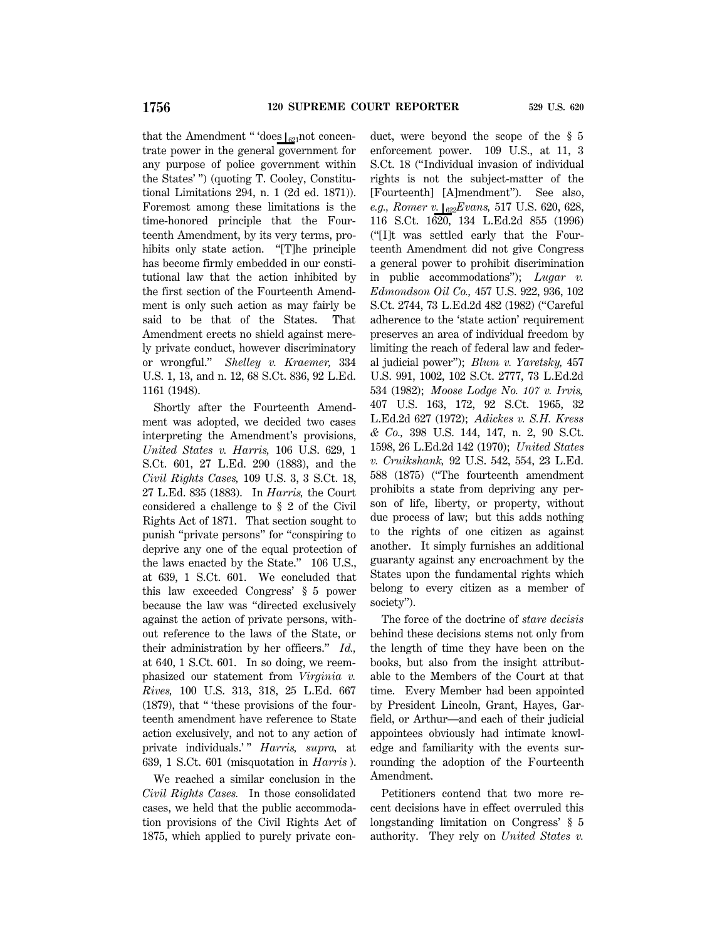that the Amendment "'does  $\int_{621}$ not concentrate power in the general government for any purpose of police government within the States' '') (quoting T. Cooley, Constitutional Limitations 294, n. 1 (2d ed. 1871)). Foremost among these limitations is the time-honored principle that the Fourteenth Amendment, by its very terms, prohibits only state action. "[T]he principle has become firmly embedded in our constitutional law that the action inhibited by the first section of the Fourteenth Amendment is only such action as may fairly be said to be that of the States. That Amendment erects no shield against merely private conduct, however discriminatory or wrongful.'' *Shelley v. Kraemer,* 334 U.S. 1, 13, and n. 12, 68 S.Ct. 836, 92 L.Ed. 1161 (1948).

Shortly after the Fourteenth Amendment was adopted, we decided two cases interpreting the Amendment's provisions, *United States v. Harris,* 106 U.S. 629, 1 S.Ct. 601, 27 L.Ed. 290 (1883), and the *Civil Rights Cases,* 109 U.S. 3, 3 S.Ct. 18, 27 L.Ed. 835 (1883). In *Harris,* the Court considered a challenge to § 2 of the Civil Rights Act of 1871. That section sought to punish ''private persons'' for ''conspiring to deprive any one of the equal protection of the laws enacted by the State.'' 106 U.S., at 639, 1 S.Ct. 601. We concluded that this law exceeded Congress' § 5 power because the law was ''directed exclusively against the action of private persons, without reference to the laws of the State, or their administration by her officers.'' *Id.,* at 640, 1 S.Ct. 601. In so doing, we reemphasized our statement from *Virginia v. Rives,* 100 U.S. 313, 318, 25 L.Ed. 667 (1879), that '' 'these provisions of the fourteenth amendment have reference to State action exclusively, and not to any action of private individuals.' '' *Harris, supra,* at 639, 1 S.Ct. 601 (misquotation in *Harris* ).

We reached a similar conclusion in the *Civil Rights Cases.* In those consolidated cases, we held that the public accommodation provisions of the Civil Rights Act of 1875, which applied to purely private conduct, were beyond the scope of the § 5 enforcement power. 109 U.S., at 11, 3 S.Ct. 18 (''Individual invasion of individual rights is not the subject-matter of the [Fourteenth] [A]mendment''). See also, *e.g., Romer v.*  $I_{622}Evans, 517$  U.S. 620, 628, 116 S.Ct. 1620, 134 L.Ed.2d 855 (1996) (''[I]t was settled early that the Fourteenth Amendment did not give Congress a general power to prohibit discrimination in public accommodations''); *Lugar v. Edmondson Oil Co.,* 457 U.S. 922, 936, 102 S.Ct. 2744, 73 L.Ed.2d 482 (1982) (''Careful adherence to the 'state action' requirement preserves an area of individual freedom by limiting the reach of federal law and federal judicial power''); *Blum v. Yaretsky,* 457 U.S. 991, 1002, 102 S.Ct. 2777, 73 L.Ed.2d 534 (1982); *Moose Lodge No. 107 v. Irvis,* 407 U.S. 163, 172, 92 S.Ct. 1965, 32 L.Ed.2d 627 (1972); *Adickes v. S.H. Kress & Co.,* 398 U.S. 144, 147, n. 2, 90 S.Ct. 1598, 26 L.Ed.2d 142 (1970); *United States v. Cruikshank,* 92 U.S. 542, 554, 23 L.Ed. 588 (1875) (''The fourteenth amendment prohibits a state from depriving any person of life, liberty, or property, without due process of law; but this adds nothing to the rights of one citizen as against another. It simply furnishes an additional guaranty against any encroachment by the States upon the fundamental rights which belong to every citizen as a member of society'').

The force of the doctrine of *stare decisis* behind these decisions stems not only from the length of time they have been on the books, but also from the insight attributable to the Members of the Court at that time. Every Member had been appointed by President Lincoln, Grant, Hayes, Garfield, or Arthur—and each of their judicial appointees obviously had intimate knowledge and familiarity with the events surrounding the adoption of the Fourteenth Amendment.

Petitioners contend that two more recent decisions have in effect overruled this longstanding limitation on Congress' § 5 authority. They rely on *United States v.*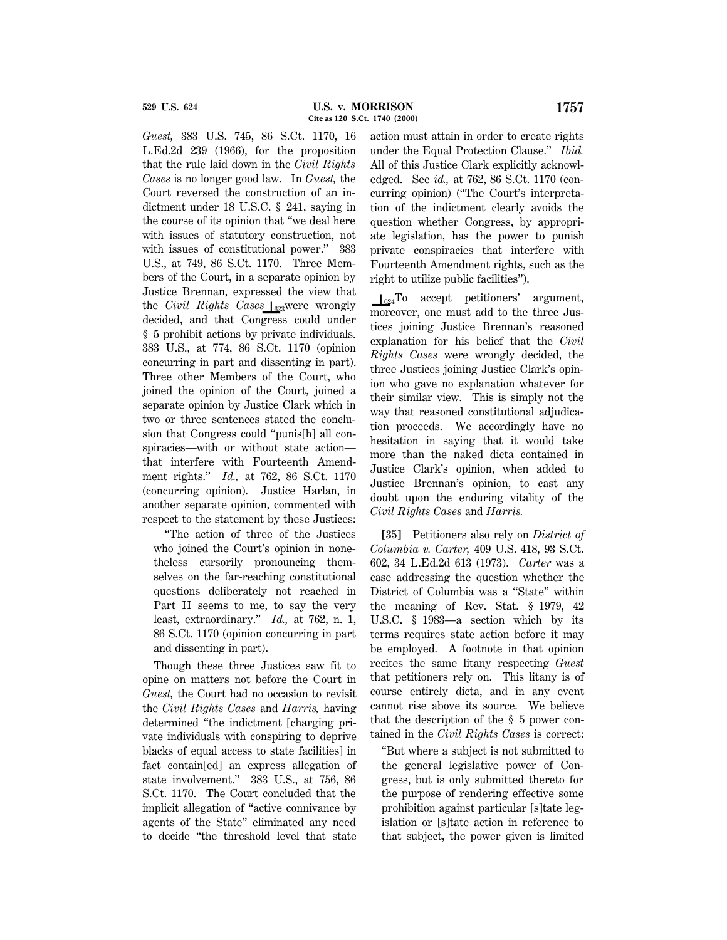*Guest,* 383 U.S. 745, 86 S.Ct. 1170, 16 L.Ed.2d 239 (1966), for the proposition that the rule laid down in the *Civil Rights Cases* is no longer good law. In *Guest,* the Court reversed the construction of an indictment under 18 U.S.C. § 241, saying in the course of its opinion that ''we deal here with issues of statutory construction, not with issues of constitutional power.'' 383 U.S., at 749, 86 S.Ct. 1170. Three Members of the Court, in a separate opinion by Justice Brennan, expressed the view that the *Civil Rights Cases* <sub>1623</sub> were wrongly decided, and that Congress could under § 5 prohibit actions by private individuals. 383 U.S., at 774, 86 S.Ct. 1170 (opinion concurring in part and dissenting in part). Three other Members of the Court, who joined the opinion of the Court, joined a separate opinion by Justice Clark which in two or three sentences stated the conclusion that Congress could ''punis[h] all conspiracies—with or without state action that interfere with Fourteenth Amendment rights.'' *Id.,* at 762, 86 S.Ct. 1170 (concurring opinion). Justice Harlan, in another separate opinion, commented with respect to the statement by these Justices:

''The action of three of the Justices who joined the Court's opinion in nonetheless cursorily pronouncing themselves on the far-reaching constitutional questions deliberately not reached in Part II seems to me, to say the very least, extraordinary.'' *Id.,* at 762, n. 1, 86 S.Ct. 1170 (opinion concurring in part and dissenting in part).

Though these three Justices saw fit to opine on matters not before the Court in *Guest,* the Court had no occasion to revisit the *Civil Rights Cases* and *Harris,* having determined ''the indictment [charging private individuals with conspiring to deprive blacks of equal access to state facilities] in fact contain[ed] an express allegation of state involvement.'' 383 U.S., at 756, 86 S.Ct. 1170. The Court concluded that the implicit allegation of ''active connivance by agents of the State'' eliminated any need to decide ''the threshold level that state action must attain in order to create rights under the Equal Protection Clause.'' *Ibid.* All of this Justice Clark explicitly acknowledged. See *id.,* at 762, 86 S.Ct. 1170 (concurring opinion) (''The Court's interpretation of the indictment clearly avoids the question whether Congress, by appropriate legislation, has the power to punish private conspiracies that interfere with Fourteenth Amendment rights, such as the right to utilize public facilities'').

 $\int_{624}$ To accept petitioners' argument, moreover, one must add to the three Justices joining Justice Brennan's reasoned explanation for his belief that the *Civil Rights Cases* were wrongly decided, the three Justices joining Justice Clark's opinion who gave no explanation whatever for their similar view. This is simply not the way that reasoned constitutional adjudication proceeds. We accordingly have no hesitation in saying that it would take more than the naked dicta contained in Justice Clark's opinion, when added to Justice Brennan's opinion, to cast any doubt upon the enduring vitality of the *Civil Rights Cases* and *Harris.*

**[35]** Petitioners also rely on *District of Columbia v. Carter,* 409 U.S. 418, 93 S.Ct. 602, 34 L.Ed.2d 613 (1973). *Carter* was a case addressing the question whether the District of Columbia was a ''State'' within the meaning of Rev. Stat. § 1979, 42 U.S.C. § 1983—a section which by its terms requires state action before it may be employed. A footnote in that opinion recites the same litany respecting *Guest* that petitioners rely on. This litany is of course entirely dicta, and in any event cannot rise above its source. We believe that the description of the § 5 power contained in the *Civil Rights Cases* is correct:

''But where a subject is not submitted to the general legislative power of Congress, but is only submitted thereto for the purpose of rendering effective some prohibition against particular [s]tate legislation or [s]tate action in reference to that subject, the power given is limited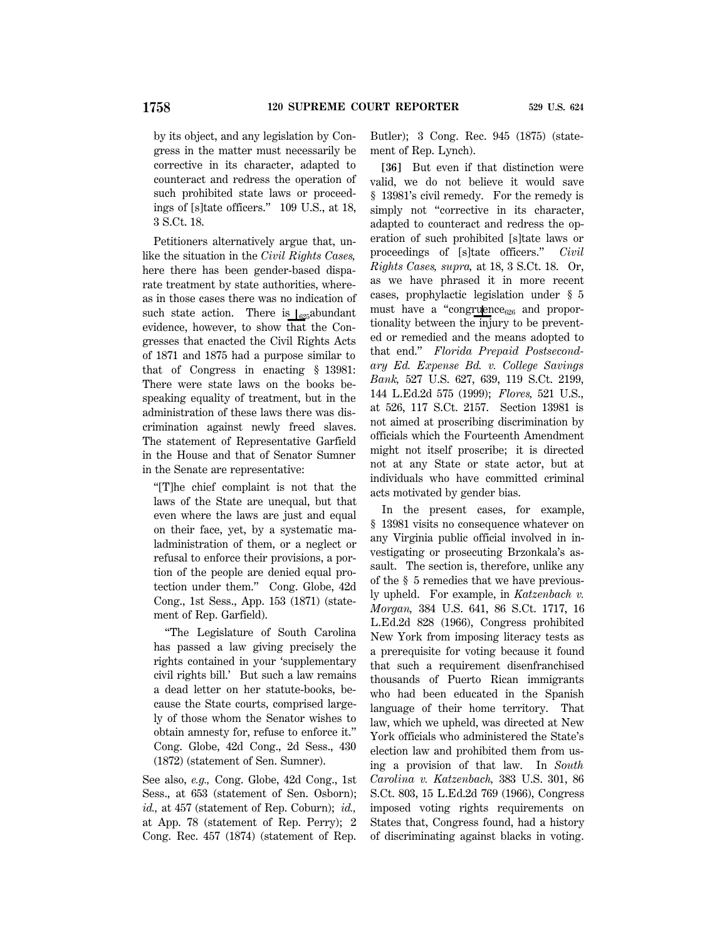by its object, and any legislation by Congress in the matter must necessarily be corrective in its character, adapted to counteract and redress the operation of such prohibited state laws or proceedings of [s]tate officers.'' 109 U.S., at 18, 3 S.Ct. 18.

Petitioners alternatively argue that, unlike the situation in the *Civil Rights Cases,* here there has been gender-based disparate treatment by state authorities, whereas in those cases there was no indication of such state action. There is  $\int_{625}$ abundant evidence, however, to show that the Congresses that enacted the Civil Rights Acts of 1871 and 1875 had a purpose similar to that of Congress in enacting § 13981: There were state laws on the books bespeaking equality of treatment, but in the administration of these laws there was discrimination against newly freed slaves. The statement of Representative Garfield in the House and that of Senator Sumner in the Senate are representative:

''[T]he chief complaint is not that the laws of the State are unequal, but that even where the laws are just and equal on their face, yet, by a systematic maladministration of them, or a neglect or refusal to enforce their provisions, a portion of the people are denied equal protection under them.'' Cong. Globe, 42d Cong., 1st Sess., App. 153 (1871) (statement of Rep. Garfield).

''The Legislature of South Carolina has passed a law giving precisely the rights contained in your 'supplementary civil rights bill.' But such a law remains a dead letter on her statute-books, because the State courts, comprised largely of those whom the Senator wishes to obtain amnesty for, refuse to enforce it.'' Cong. Globe, 42d Cong., 2d Sess., 430 (1872) (statement of Sen. Sumner).

See also, *e.g.,* Cong. Globe, 42d Cong., 1st Sess., at 653 (statement of Sen. Osborn); *id.,* at 457 (statement of Rep. Coburn); *id.,* at App. 78 (statement of Rep. Perry); 2 Cong. Rec. 457 (1874) (statement of Rep. Butler); 3 Cong. Rec. 945 (1875) (statement of Rep. Lynch).

**[36]** But even if that distinction were valid, we do not believe it would save § 13981's civil remedy. For the remedy is simply not "corrective in its character, adapted to counteract and redress the operation of such prohibited [s]tate laws or proceedings of [s]tate officers.'' *Civil Rights Cases, supra,* at 18, 3 S.Ct. 18. Or, as we have phrased it in more recent cases, prophylactic legislation under § 5 must have a "congruence $_{626}$  and proportionality between the injury to be prevented or remedied and the means adopted to that end.'' *Florida Prepaid Postsecondary Ed. Expense Bd. v. College Savings Bank,* 527 U.S. 627, 639, 119 S.Ct. 2199, 144 L.Ed.2d 575 (1999); *Flores,* 521 U.S., at 526, 117 S.Ct. 2157. Section 13981 is not aimed at proscribing discrimination by officials which the Fourteenth Amendment might not itself proscribe; it is directed not at any State or state actor, but at individuals who have committed criminal acts motivated by gender bias.

In the present cases, for example, § 13981 visits no consequence whatever on any Virginia public official involved in investigating or prosecuting Brzonkala's assault. The section is, therefore, unlike any of the § 5 remedies that we have previously upheld. For example, in *Katzenbach v. Morgan,* 384 U.S. 641, 86 S.Ct. 1717, 16 L.Ed.2d 828 (1966), Congress prohibited New York from imposing literacy tests as a prerequisite for voting because it found that such a requirement disenfranchised thousands of Puerto Rican immigrants who had been educated in the Spanish language of their home territory. That law, which we upheld, was directed at New York officials who administered the State's election law and prohibited them from using a provision of that law. In *South Carolina v. Katzenbach,* 383 U.S. 301, 86 S.Ct. 803, 15 L.Ed.2d 769 (1966), Congress imposed voting rights requirements on States that, Congress found, had a history of discriminating against blacks in voting.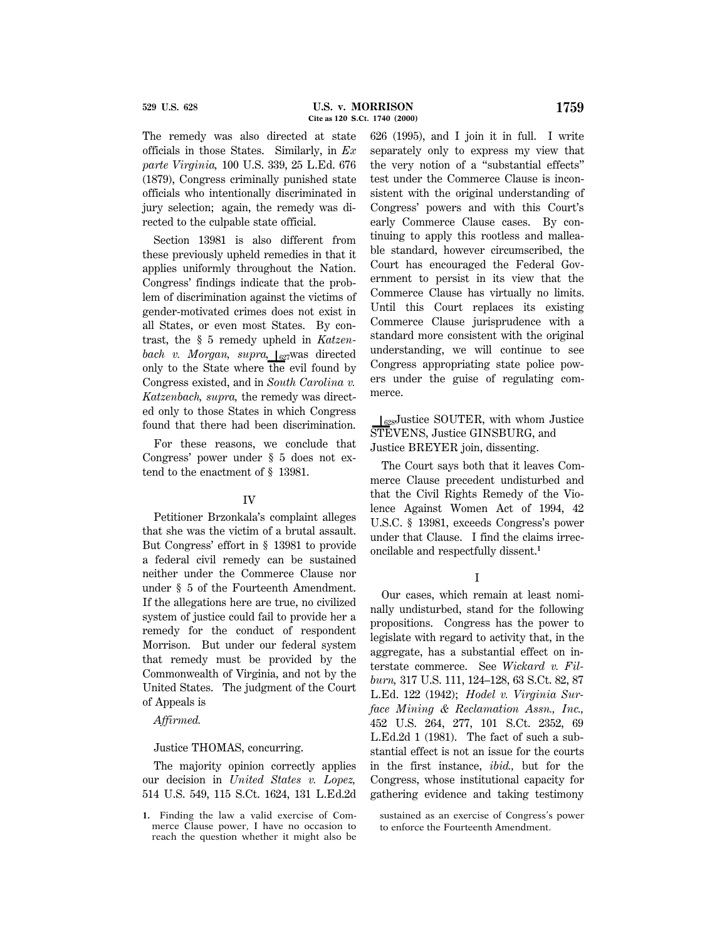The remedy was also directed at state officials in those States. Similarly, in *Ex parte Virginia,* 100 U.S. 339, 25 L.Ed. 676 (1879), Congress criminally punished state officials who intentionally discriminated in jury selection; again, the remedy was directed to the culpable state official.

Section 13981 is also different from these previously upheld remedies in that it applies uniformly throughout the Nation. Congress' findings indicate that the problem of discrimination against the victims of gender-motivated crimes does not exist in all States, or even most States. By contrast, the § 5 remedy upheld in *Katzenbach v. Morgan, supra*,  $I_{627}$ was directed only to the State where the evil found by Congress existed, and in *South Carolina v. Katzenbach, supra,* the remedy was directed only to those States in which Congress found that there had been discrimination.

For these reasons, we conclude that Congress' power under § 5 does not extend to the enactment of § 13981.

### IV

Petitioner Brzonkala's complaint alleges that she was the victim of a brutal assault. But Congress' effort in § 13981 to provide a federal civil remedy can be sustained neither under the Commerce Clause nor under § 5 of the Fourteenth Amendment. If the allegations here are true, no civilized system of justice could fail to provide her a remedy for the conduct of respondent Morrison. But under our federal system that remedy must be provided by the Commonwealth of Virginia, and not by the United States. The judgment of the Court of Appeals is

#### *Affirmed.*

#### Justice THOMAS, concurring.

The majority opinion correctly applies our decision in *United States v. Lopez,* 514 U.S. 549, 115 S.Ct. 1624, 131 L.Ed.2d 626 (1995), and I join it in full. I write separately only to express my view that the very notion of a ''substantial effects'' test under the Commerce Clause is inconsistent with the original understanding of Congress' powers and with this Court's early Commerce Clause cases. By continuing to apply this rootless and malleable standard, however circumscribed, the Court has encouraged the Federal Government to persist in its view that the Commerce Clause has virtually no limits. Until this Court replaces its existing Commerce Clause jurisprudence with a standard more consistent with the original understanding, we will continue to see Congress appropriating state police powers under the guise of regulating commerce.

 $\int_{628}$ Justice SOUTER, with whom Justice STEVENS, Justice GINSBURG, and Justice BREYER join, dissenting.

The Court says both that it leaves Commerce Clause precedent undisturbed and that the Civil Rights Remedy of the Violence Against Women Act of 1994, 42 U.S.C. § 13981, exceeds Congress's power under that Clause. I find the claims irreconcilable and respectfully dissent.**<sup>1</sup>**

#### I

Our cases, which remain at least nominally undisturbed, stand for the following propositions. Congress has the power to legislate with regard to activity that, in the aggregate, has a substantial effect on interstate commerce. See *Wickard v. Filburn,* 317 U.S. 111, 124–128, 63 S.Ct. 82, 87 L.Ed. 122 (1942); *Hodel v. Virginia Surface Mining & Reclamation Assn., Inc.,* 452 U.S. 264, 277, 101 S.Ct. 2352, 69 L.Ed.2d 1 (1981). The fact of such a substantial effect is not an issue for the courts in the first instance, *ibid.,* but for the Congress, whose institutional capacity for gathering evidence and taking testimony

**<sup>1.</sup>** Finding the law a valid exercise of Commerce Clause power, I have no occasion to reach the question whether it might also be

sustained as an exercise of Congress's power to enforce the Fourteenth Amendment.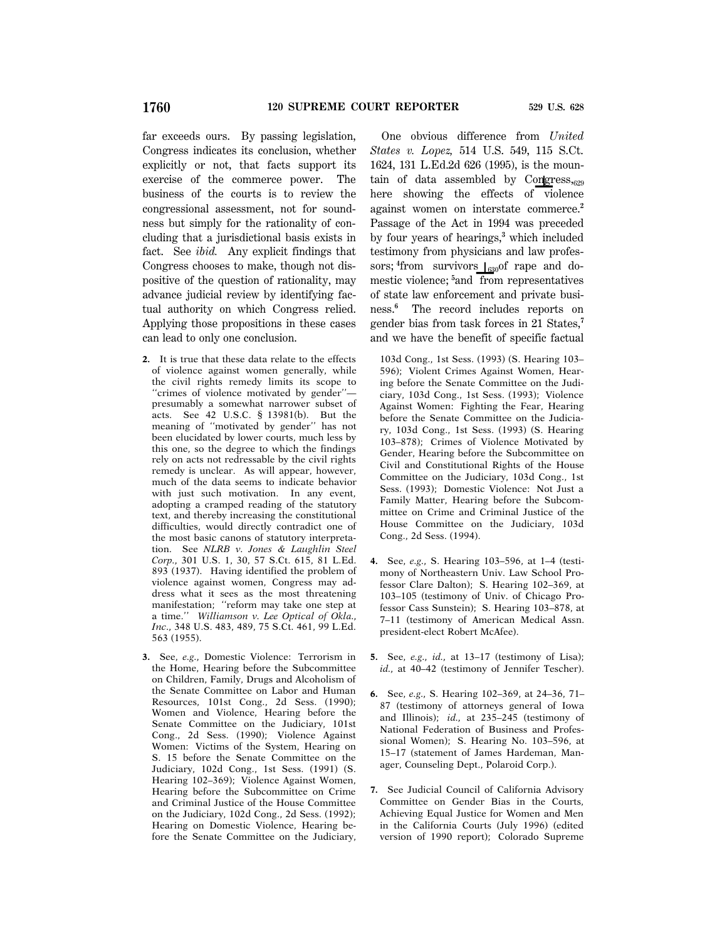far exceeds ours. By passing legislation, Congress indicates its conclusion, whether explicitly or not, that facts support its exercise of the commerce power. The business of the courts is to review the congressional assessment, not for soundness but simply for the rationality of concluding that a jurisdictional basis exists in fact. See *ibid.* Any explicit findings that Congress chooses to make, though not dispositive of the question of rationality, may advance judicial review by identifying factual authority on which Congress relied. Applying those propositions in these cases can lead to only one conclusion.

- **2.** It is true that these data relate to the effects of violence against women generally, while the civil rights remedy limits its scope to ''crimes of violence motivated by gender'' presumably a somewhat narrower subset of acts. See 42 U.S.C. § 13981(b). But the meaning of ''motivated by gender'' has not been elucidated by lower courts, much less by this one, so the degree to which the findings rely on acts not redressable by the civil rights remedy is unclear. As will appear, however, much of the data seems to indicate behavior with just such motivation. In any event, adopting a cramped reading of the statutory text, and thereby increasing the constitutional difficulties, would directly contradict one of the most basic canons of statutory interpretation. See *NLRB v. Jones & Laughlin Steel Corp.,* 301 U.S. 1, 30, 57 S.Ct. 615, 81 L.Ed. 893 (1937). Having identified the problem of violence against women, Congress may address what it sees as the most threatening manifestation; ''reform may take one step at a time.'' *Williamson v. Lee Optical of Okla., Inc.,* 348 U.S. 483, 489, 75 S.Ct. 461, 99 L.Ed. 563 (1955).
- **3.** See, *e.g.,* Domestic Violence: Terrorism in the Home, Hearing before the Subcommittee on Children, Family, Drugs and Alcoholism of the Senate Committee on Labor and Human Resources, 101st Cong., 2d Sess. (1990); Women and Violence, Hearing before the Senate Committee on the Judiciary, 101st Cong., 2d Sess. (1990); Violence Against Women: Victims of the System, Hearing on S. 15 before the Senate Committee on the Judiciary, 102d Cong., 1st Sess. (1991) (S. Hearing 102–369); Violence Against Women, Hearing before the Subcommittee on Crime and Criminal Justice of the House Committee on the Judiciary, 102d Cong., 2d Sess. (1992); Hearing on Domestic Violence, Hearing before the Senate Committee on the Judiciary,

One obvious difference from *United States v. Lopez,* 514 U.S. 549, 115 S.Ct. 1624, 131 L.Ed.2d 626 (1995), is the mountain of data assembled by Congress, $629$ here showing the effects of violence against women on interstate commerce.**<sup>2</sup>** Passage of the Act in 1994 was preceded by four years of hearings,**<sup>3</sup>** which included testimony from physicians and law professors; <sup>4</sup>from survivors <sub>630</sub>of rape and domestic violence; **<sup>5</sup>** and from representatives of state law enforcement and private business.**<sup>6</sup>** The record includes reports on gender bias from task forces in 21 States,**<sup>7</sup>** and we have the benefit of specific factual

103d Cong., 1st Sess. (1993) (S. Hearing 103– 596); Violent Crimes Against Women, Hearing before the Senate Committee on the Judiciary, 103d Cong., 1st Sess. (1993); Violence Against Women: Fighting the Fear, Hearing before the Senate Committee on the Judiciary, 103d Cong., 1st Sess. (1993) (S. Hearing 103–878); Crimes of Violence Motivated by Gender, Hearing before the Subcommittee on Civil and Constitutional Rights of the House Committee on the Judiciary, 103d Cong., 1st Sess. (1993); Domestic Violence: Not Just a Family Matter, Hearing before the Subcommittee on Crime and Criminal Justice of the House Committee on the Judiciary, 103d Cong., 2d Sess. (1994).

- **4.** See, *e.g.,* S. Hearing 103–596, at 1–4 (testimony of Northeastern Univ. Law School Professor Clare Dalton); S. Hearing 102–369, at 103–105 (testimony of Univ. of Chicago Professor Cass Sunstein); S. Hearing 103–878, at 7–11 (testimony of American Medical Assn. president-elect Robert McAfee).
- **5.** See, *e.g., id.,* at 13–17 (testimony of Lisa); *id.,* at 40–42 (testimony of Jennifer Tescher).
- **6.** See, *e.g.,* S. Hearing 102–369, at 24–36, 71– 87 (testimony of attorneys general of Iowa and Illinois); *id.,* at 235–245 (testimony of National Federation of Business and Professional Women); S. Hearing No. 103–596, at 15–17 (statement of James Hardeman, Manager, Counseling Dept., Polaroid Corp.).
- **7.** See Judicial Council of California Advisory Committee on Gender Bias in the Courts, Achieving Equal Justice for Women and Men in the California Courts (July 1996) (edited version of 1990 report); Colorado Supreme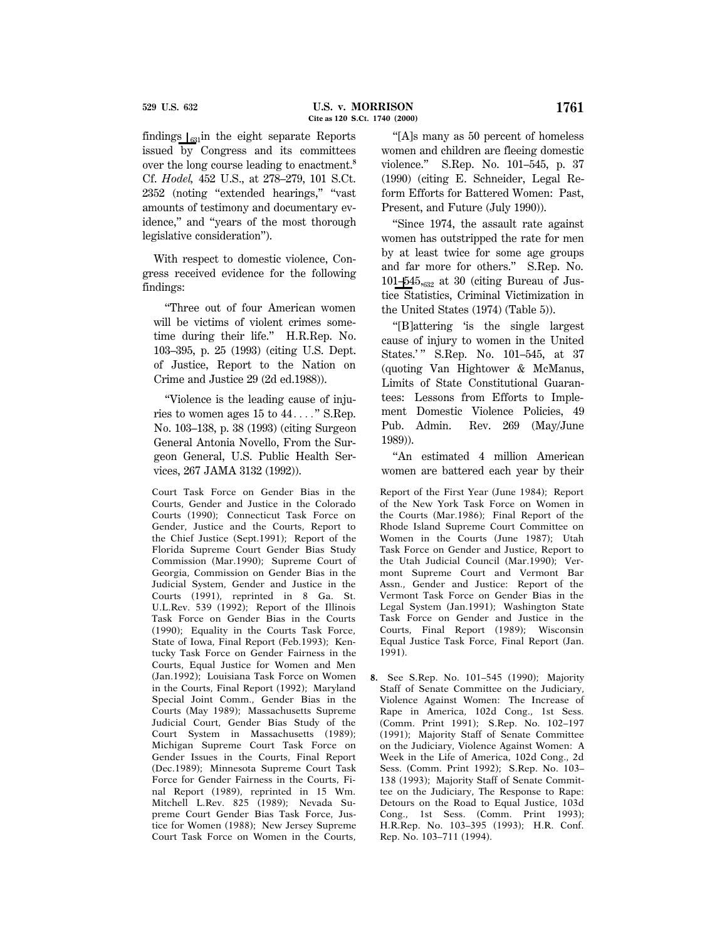findings  $\left\vert_{631} \right\vert$  the eight separate Reports issued  $\overline{by}$  Congress and its committees over the long course leading to enactment.**<sup>8</sup>** Cf. *Hodel,* 452 U.S., at 278–279, 101 S.Ct. 2352 (noting ''extended hearings,'' ''vast amounts of testimony and documentary evidence,'' and ''years of the most thorough legislative consideration'').

With respect to domestic violence, Congress received evidence for the following findings:

''Three out of four American women will be victims of violent crimes sometime during their life.'' H.R.Rep. No. 103–395, p. 25 (1993) (citing U.S. Dept. of Justice, Report to the Nation on Crime and Justice 29 (2d ed.1988)).

''Violence is the leading cause of injuries to women ages  $15$  to  $44$ ...." S.Rep. No. 103–138, p. 38 (1993) (citing Surgeon General Antonia Novello, From the Surgeon General, U.S. Public Health Services, 267 JAMA 3132 (1992)).

Court Task Force on Gender Bias in the Courts, Gender and Justice in the Colorado Courts (1990); Connecticut Task Force on Gender, Justice and the Courts, Report to the Chief Justice (Sept.1991); Report of the Florida Supreme Court Gender Bias Study Commission (Mar.1990); Supreme Court of Georgia, Commission on Gender Bias in the Judicial System, Gender and Justice in the Courts (1991), reprinted in 8 Ga. St. U.L.Rev. 539 (1992); Report of the Illinois Task Force on Gender Bias in the Courts (1990); Equality in the Courts Task Force, State of Iowa, Final Report (Feb.1993); Kentucky Task Force on Gender Fairness in the Courts, Equal Justice for Women and Men (Jan.1992); Louisiana Task Force on Women in the Courts, Final Report (1992); Maryland Special Joint Comm., Gender Bias in the Courts (May 1989); Massachusetts Supreme Judicial Court, Gender Bias Study of the Court System in Massachusetts (1989); Michigan Supreme Court Task Force on Gender Issues in the Courts, Final Report (Dec.1989); Minnesota Supreme Court Task Force for Gender Fairness in the Courts, Final Report (1989), reprinted in 15 Wm. Mitchell L.Rev. 825 (1989); Nevada Supreme Court Gender Bias Task Force, Justice for Women (1988); New Jersey Supreme Court Task Force on Women in the Courts,

''[A]s many as 50 percent of homeless women and children are fleeing domestic violence.'' S.Rep. No. 101–545, p. 37 (1990) (citing E. Schneider, Legal Reform Efforts for Battered Women: Past, Present, and Future (July 1990)).

''Since 1974, the assault rate against women has outstripped the rate for men by at least twice for some age groups and far more for others.'' S.Rep. No. 101– $545_{632}$  at 30 (citing Bureau of Justice Statistics, Criminal Victimization in the United States (1974) (Table 5)).

''[B]attering 'is the single largest cause of injury to women in the United States.'" S.Rep. No. 101-545, at 37 (quoting Van Hightower & McManus, Limits of State Constitutional Guarantees: Lessons from Efforts to Implement Domestic Violence Policies, 49 Pub. Admin. Rev. 269 (May/June 1989)).

''An estimated 4 million American women are battered each year by their

Report of the First Year (June 1984); Report of the New York Task Force on Women in the Courts (Mar.1986); Final Report of the Rhode Island Supreme Court Committee on Women in the Courts (June 1987); Utah Task Force on Gender and Justice, Report to the Utah Judicial Council (Mar.1990); Vermont Supreme Court and Vermont Bar Assn., Gender and Justice: Report of the Vermont Task Force on Gender Bias in the Legal System (Jan.1991); Washington State Task Force on Gender and Justice in the Courts, Final Report (1989); Wisconsin Equal Justice Task Force, Final Report (Jan. 1991).

**8.** See S.Rep. No. 101–545 (1990); Majority Staff of Senate Committee on the Judiciary, Violence Against Women: The Increase of Rape in America, 102d Cong., 1st Sess. (Comm. Print 1991); S.Rep. No. 102–197 (1991); Majority Staff of Senate Committee on the Judiciary, Violence Against Women: A Week in the Life of America, 102d Cong., 2d Sess. (Comm. Print 1992); S.Rep. No. 103– 138 (1993); Majority Staff of Senate Committee on the Judiciary, The Response to Rape: Detours on the Road to Equal Justice, 103d Cong., 1st Sess. (Comm. Print 1993); H.R.Rep. No. 103–395 (1993); H.R. Conf. Rep. No. 103–711 (1994).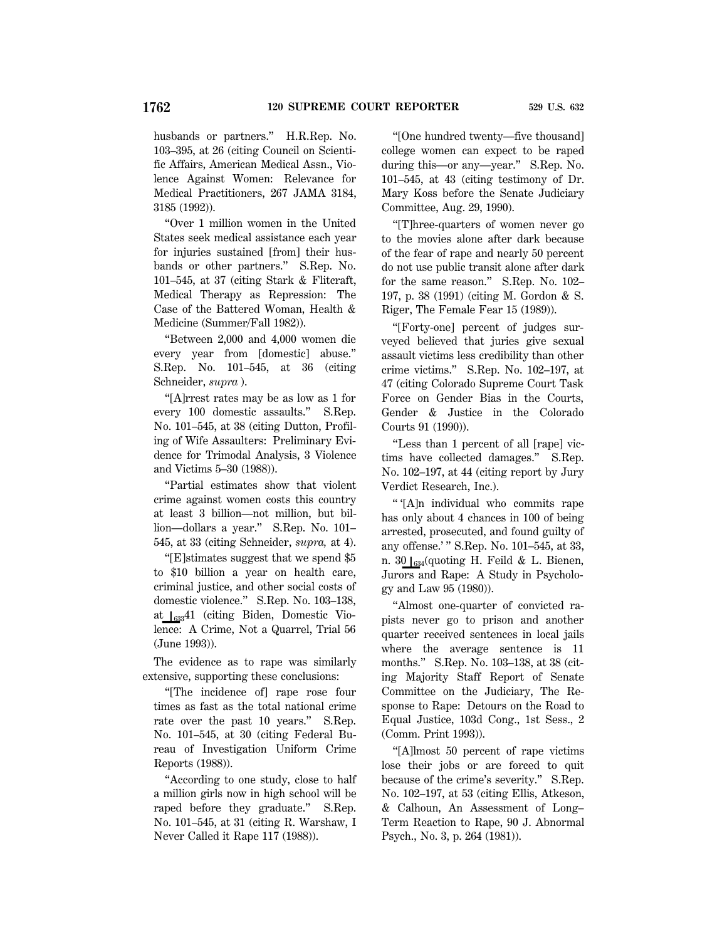husbands or partners.'' H.R.Rep. No. 103–395, at 26 (citing Council on Scientific Affairs, American Medical Assn., Violence Against Women: Relevance for Medical Practitioners, 267 JAMA 3184, 3185 (1992)).

''Over 1 million women in the United States seek medical assistance each year for injuries sustained [from] their husbands or other partners.'' S.Rep. No. 101–545, at 37 (citing Stark & Flitcraft, Medical Therapy as Repression: The Case of the Battered Woman, Health & Medicine (Summer/Fall 1982)).

''Between 2,000 and 4,000 women die every year from [domestic] abuse.'' S.Rep. No. 101–545, at 36 (citing Schneider, *supra* ).

''[A]rrest rates may be as low as 1 for every 100 domestic assaults.'' S.Rep. No. 101–545, at 38 (citing Dutton, Profiling of Wife Assaulters: Preliminary Evidence for Trimodal Analysis, 3 Violence and Victims 5–30 (1988)).

''Partial estimates show that violent crime against women costs this country at least 3 billion—not million, but billion—dollars a year.'' S.Rep. No. 101– 545, at 33 (citing Schneider, *supra,* at 4).

''[E]stimates suggest that we spend \$5 to \$10 billion a year on health care, criminal justice, and other social costs of domestic violence.'' S.Rep. No. 103–138, at  $\int_{633}$ 41 (citing Biden, Domestic Violence: A Crime, Not a Quarrel, Trial 56 (June 1993)).

The evidence as to rape was similarly extensive, supporting these conclusions:

''[The incidence of] rape rose four times as fast as the total national crime rate over the past 10 years.'' S.Rep. No. 101–545, at 30 (citing Federal Bureau of Investigation Uniform Crime Reports (1988)).

''According to one study, close to half a million girls now in high school will be raped before they graduate.'' S.Rep. No. 101–545, at 31 (citing R. Warshaw, I Never Called it Rape 117 (1988)).

''[One hundred twenty—five thousand] college women can expect to be raped during this—or any—year.'' S.Rep. No. 101–545, at 43 (citing testimony of Dr. Mary Koss before the Senate Judiciary Committee, Aug. 29, 1990).

''[T]hree-quarters of women never go to the movies alone after dark because of the fear of rape and nearly 50 percent do not use public transit alone after dark for the same reason.'' S.Rep. No. 102– 197, p. 38 (1991) (citing M. Gordon & S. Riger, The Female Fear 15 (1989)).

''[Forty-one] percent of judges surveyed believed that juries give sexual assault victims less credibility than other crime victims.'' S.Rep. No. 102–197, at 47 (citing Colorado Supreme Court Task Force on Gender Bias in the Courts, Gender & Justice in the Colorado Courts 91 (1990)).

''Less than 1 percent of all [rape] victims have collected damages.'' S.Rep. No. 102–197, at 44 (citing report by Jury Verdict Research, Inc.).

'' '[A]n individual who commits rape has only about 4 chances in 100 of being arrested, prosecuted, and found guilty of any offense.' '' S.Rep. No. 101–545, at 33, n. 30  $_{634}$ (quoting H. Feild & L. Bienen, Jurors and Rape: A Study in Psychology and Law 95 (1980)).

''Almost one-quarter of convicted rapists never go to prison and another quarter received sentences in local jails where the average sentence is 11 months.'' S.Rep. No. 103–138, at 38 (citing Majority Staff Report of Senate Committee on the Judiciary, The Response to Rape: Detours on the Road to Equal Justice, 103d Cong., 1st Sess., 2 (Comm. Print 1993)).

''[A]lmost 50 percent of rape victims lose their jobs or are forced to quit because of the crime's severity.'' S.Rep. No. 102–197, at 53 (citing Ellis, Atkeson, & Calhoun, An Assessment of Long– Term Reaction to Rape, 90 J. Abnormal Psych., No. 3, p. 264 (1981)).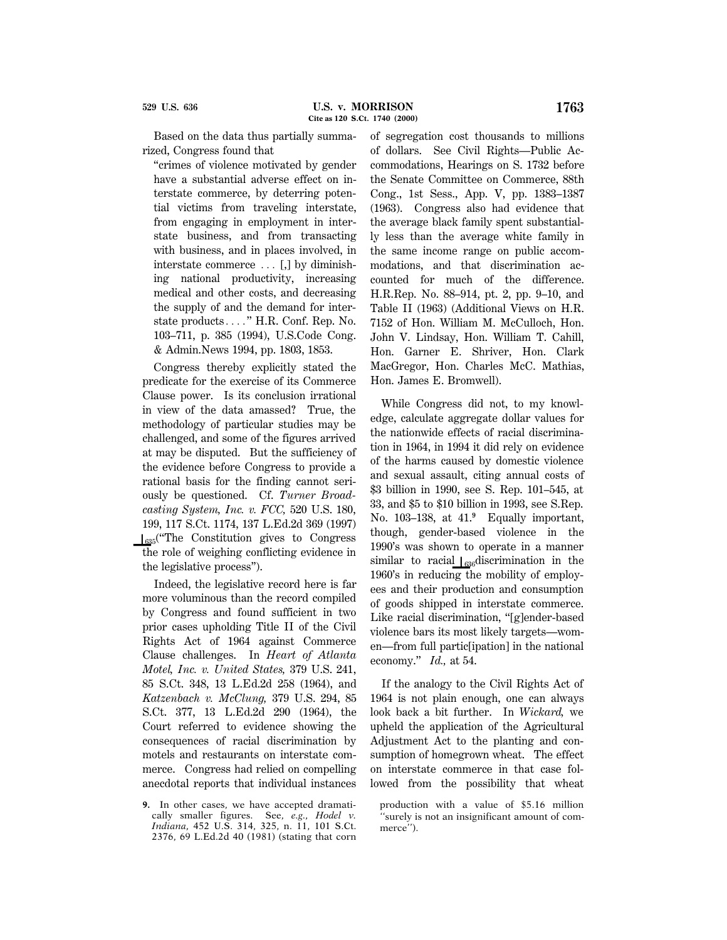**529 U.S. 636**

Based on the data thus partially summarized, Congress found that

''crimes of violence motivated by gender have a substantial adverse effect on interstate commerce, by deterring potential victims from traveling interstate, from engaging in employment in interstate business, and from transacting with business, and in places involved, in interstate commerce  $\ldots$  [,] by diminishing national productivity, increasing medical and other costs, and decreasing the supply of and the demand for interstate products $\ldots$ ." H.R. Conf. Rep. No. 103–711, p. 385 (1994), U.S.Code Cong. & Admin.News 1994, pp. 1803, 1853.

Congress thereby explicitly stated the predicate for the exercise of its Commerce Clause power. Is its conclusion irrational in view of the data amassed? True, the methodology of particular studies may be challenged, and some of the figures arrived at may be disputed. But the sufficiency of the evidence before Congress to provide a rational basis for the finding cannot seriously be questioned. Cf. *Turner Broadcasting System, Inc. v. FCC,* 520 U.S. 180, 199, 117 S.Ct. 1174, 137 L.Ed.2d 369 (1997)  $\log$ <sup>635</sup> ("The Constitution gives to Congress") the role of weighing conflicting evidence in the legislative process'').

Indeed, the legislative record here is far more voluminous than the record compiled by Congress and found sufficient in two prior cases upholding Title II of the Civil Rights Act of 1964 against Commerce Clause challenges. In *Heart of Atlanta Motel, Inc. v. United States,* 379 U.S. 241, 85 S.Ct. 348, 13 L.Ed.2d 258 (1964), and *Katzenbach v. McClung,* 379 U.S. 294, 85 S.Ct. 377, 13 L.Ed.2d 290 (1964), the Court referred to evidence showing the consequences of racial discrimination by motels and restaurants on interstate commerce. Congress had relied on compelling anecdotal reports that individual instances

of segregation cost thousands to millions of dollars. See Civil Rights—Public Accommodations, Hearings on S. 1732 before the Senate Committee on Commerce, 88th Cong., 1st Sess., App. V, pp. 1383–1387 (1963). Congress also had evidence that the average black family spent substantially less than the average white family in the same income range on public accommodations, and that discrimination accounted for much of the difference. H.R.Rep. No. 88–914, pt. 2, pp. 9–10, and Table II (1963) (Additional Views on H.R. 7152 of Hon. William M. McCulloch, Hon. John V. Lindsay, Hon. William T. Cahill, Hon. Garner E. Shriver, Hon. Clark MacGregor, Hon. Charles McC. Mathias, Hon. James E. Bromwell).

While Congress did not, to my knowledge, calculate aggregate dollar values for the nationwide effects of racial discrimination in 1964, in 1994 it did rely on evidence of the harms caused by domestic violence and sexual assault, citing annual costs of \$3 billion in 1990, see S. Rep. 101–545, at 33, and \$5 to \$10 billion in 1993, see S.Rep. No. 103–138, at 41.**<sup>9</sup>** Equally important, though, gender-based violence in the 1990's was shown to operate in a manner similar to racial  $\int_{636}$ discrimination in the 1960's in reducing the mobility of employees and their production and consumption of goods shipped in interstate commerce. Like racial discrimination, ''[g]ender-based violence bars its most likely targets—women—from full partic[ipation] in the national economy.'' *Id.,* at 54.

If the analogy to the Civil Rights Act of 1964 is not plain enough, one can always look back a bit further. In *Wickard,* we upheld the application of the Agricultural Adjustment Act to the planting and consumption of homegrown wheat. The effect on interstate commerce in that case followed from the possibility that wheat

**<sup>9.</sup>** In other cases, we have accepted dramatically smaller figures. See, *e.g., Hodel v. Indiana,* 452 U.S. 314, 325, n. 11, 101 S.Ct. 2376, 69 L.Ed.2d 40 (1981) (stating that corn

production with a value of \$5.16 million 'surely is not an insignificant amount of commerce'').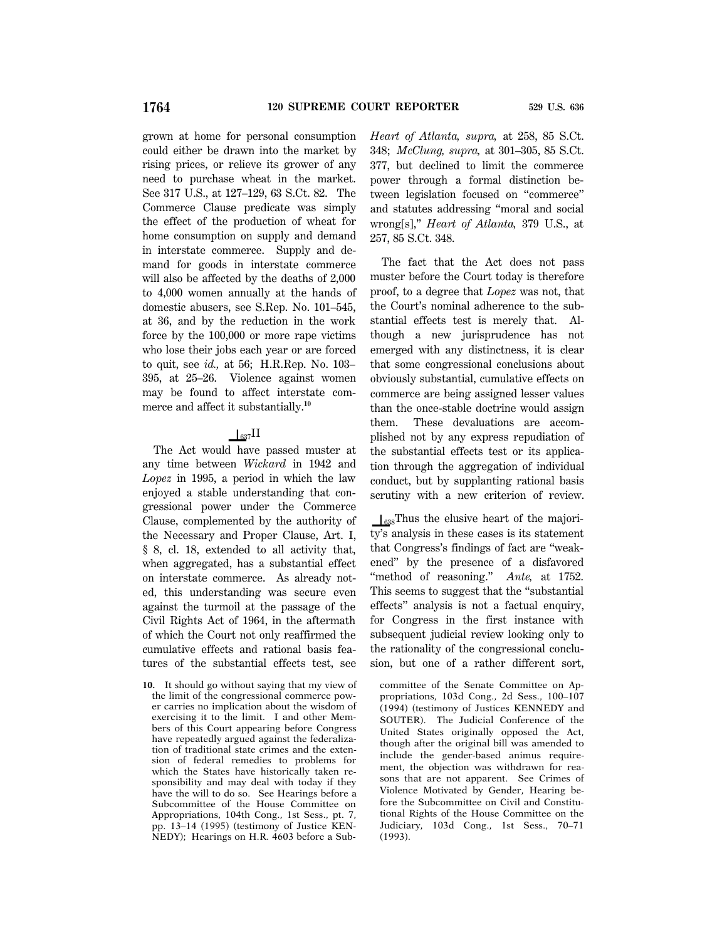grown at home for personal consumption could either be drawn into the market by rising prices, or relieve its grower of any need to purchase wheat in the market. See 317 U.S., at 127–129, 63 S.Ct. 82. The Commerce Clause predicate was simply the effect of the production of wheat for home consumption on supply and demand in interstate commerce. Supply and demand for goods in interstate commerce will also be affected by the deaths of 2,000 to 4,000 women annually at the hands of domestic abusers, see S.Rep. No. 101–545, at 36, and by the reduction in the work force by the 100,000 or more rape victims who lose their jobs each year or are forced to quit, see *id.,* at 56; H.R.Rep. No. 103– 395, at 25–26. Violence against women may be found to affect interstate commerce and affect it substantially.**<sup>10</sup>**

# $\frac{1}{637}$ II

The Act would have passed muster at any time between *Wickard* in 1942 and *Lopez* in 1995, a period in which the law enjoyed a stable understanding that congressional power under the Commerce Clause, complemented by the authority of the Necessary and Proper Clause, Art. I, § 8, cl. 18, extended to all activity that, when aggregated, has a substantial effect on interstate commerce. As already noted, this understanding was secure even against the turmoil at the passage of the Civil Rights Act of 1964, in the aftermath of which the Court not only reaffirmed the cumulative effects and rational basis features of the substantial effects test, see

**10.** It should go without saying that my view of the limit of the congressional commerce power carries no implication about the wisdom of exercising it to the limit. I and other Members of this Court appearing before Congress have repeatedly argued against the federalization of traditional state crimes and the extension of federal remedies to problems for which the States have historically taken responsibility and may deal with today if they have the will to do so. See Hearings before a Subcommittee of the House Committee on Appropriations, 104th Cong., 1st Sess., pt. 7, pp. 13–14 (1995) (testimony of Justice KEN-NEDY); Hearings on H.R. 4603 before a Sub*Heart of Atlanta, supra,* at 258, 85 S.Ct. 348; *McClung, supra,* at 301–305, 85 S.Ct. 377, but declined to limit the commerce power through a formal distinction between legislation focused on ''commerce'' and statutes addressing ''moral and social wrong[s],'' *Heart of Atlanta,* 379 U.S., at 257, 85 S.Ct. 348.

The fact that the Act does not pass muster before the Court today is therefore proof, to a degree that *Lopez* was not, that the Court's nominal adherence to the substantial effects test is merely that. Although a new jurisprudence has not emerged with any distinctness, it is clear that some congressional conclusions about obviously substantial, cumulative effects on commerce are being assigned lesser values than the once-stable doctrine would assign them. These devaluations are accomplished not by any express repudiation of the substantial effects test or its application through the aggregation of individual conduct, but by supplanting rational basis scrutiny with a new criterion of review.

 $\log_8$ Thus the elusive heart of the majority's analysis in these cases is its statement that Congress's findings of fact are ''weakened'' by the presence of a disfavored "method of reasoning." Ante, at 1752. This seems to suggest that the ''substantial effects'' analysis is not a factual enquiry, for Congress in the first instance with subsequent judicial review looking only to the rationality of the congressional conclusion, but one of a rather different sort,

committee of the Senate Committee on Appropriations, 103d Cong., 2d Sess., 100–107 (1994) (testimony of Justices KENNEDY and SOUTER). The Judicial Conference of the United States originally opposed the Act, though after the original bill was amended to include the gender-based animus requirement, the objection was withdrawn for reasons that are not apparent. See Crimes of Violence Motivated by Gender, Hearing before the Subcommittee on Civil and Constitutional Rights of the House Committee on the Judiciary, 103d Cong., 1st Sess., 70–71 (1993).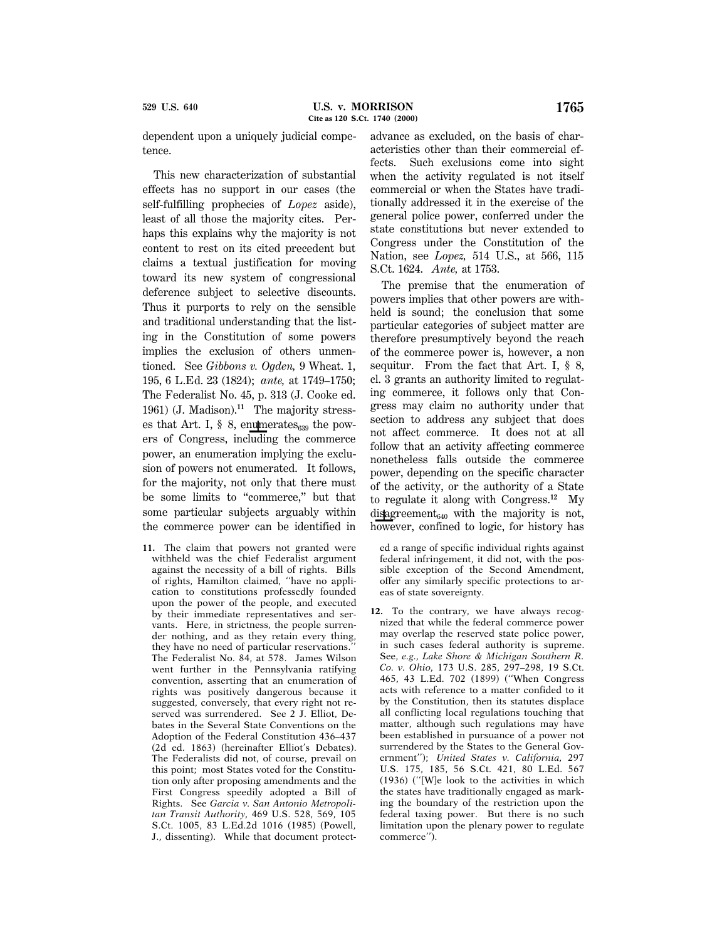dependent upon a uniquely judicial competence.

This new characterization of substantial effects has no support in our cases (the self-fulfilling prophecies of *Lopez* aside), least of all those the majority cites. Perhaps this explains why the majority is not content to rest on its cited precedent but claims a textual justification for moving toward its new system of congressional deference subject to selective discounts. Thus it purports to rely on the sensible and traditional understanding that the listing in the Constitution of some powers implies the exclusion of others unmentioned. See *Gibbons v. Ogden,* 9 Wheat. 1, 195, 6 L.Ed. 23 (1824); *ante,* at 1749–1750; The Federalist No. 45, p. 313 (J. Cooke ed. 1961) (J. Madison).**<sup>11</sup>** The majority stresses that Art. I, § 8, enumerates $_{639}$  the powers of Congress, including the commerce power, an enumeration implying the exclusion of powers not enumerated. It follows, for the majority, not only that there must be some limits to ''commerce,'' but that some particular subjects arguably within the commerce power can be identified in

**11.** The claim that powers not granted were withheld was the chief Federalist argument against the necessity of a bill of rights. Bills of rights, Hamilton claimed, ''have no application to constitutions professedly founded upon the power of the people, and executed by their immediate representatives and servants. Here, in strictness, the people surrender nothing, and as they retain every thing, they have no need of particular reservations.'' The Federalist No. 84, at 578. James Wilson went further in the Pennsylvania ratifying convention, asserting that an enumeration of rights was positively dangerous because it suggested, conversely, that every right not reserved was surrendered. See 2 J. Elliot, Debates in the Several State Conventions on the Adoption of the Federal Constitution 436–437 (2d ed. 1863) (hereinafter Elliot's Debates). The Federalists did not, of course, prevail on this point; most States voted for the Constitution only after proposing amendments and the First Congress speedily adopted a Bill of Rights. See *Garcia v. San Antonio Metropolitan Transit Authority,* 469 U.S. 528, 569, 105 S.Ct. 1005, 83 L.Ed.2d 1016 (1985) (Powell, J., dissenting). While that document protectadvance as excluded, on the basis of characteristics other than their commercial effects. Such exclusions come into sight when the activity regulated is not itself commercial or when the States have traditionally addressed it in the exercise of the general police power, conferred under the state constitutions but never extended to Congress under the Constitution of the Nation, see *Lopez,* 514 U.S., at 566, 115 S.Ct. 1624. *Ante,* at 1753.

The premise that the enumeration of powers implies that other powers are withheld is sound; the conclusion that some particular categories of subject matter are therefore presumptively beyond the reach of the commerce power is, however, a non sequitur. From the fact that Art. I,  $\S$  8, cl. 3 grants an authority limited to regulating commerce, it follows only that Congress may claim no authority under that section to address any subject that does not affect commerce. It does not at all follow that an activity affecting commerce nonetheless falls outside the commerce power, depending on the specific character of the activity, or the authority of a State to regulate it along with Congress.**<sup>12</sup>** My disagreement<sub>640</sub> with the majority is not, however, confined to logic, for history has

ed a range of specific individual rights against federal infringement, it did not, with the possible exception of the Second Amendment, offer any similarly specific protections to areas of state sovereignty.

**12.** To the contrary, we have always recognized that while the federal commerce power may overlap the reserved state police power, in such cases federal authority is supreme. See, *e.g., Lake Shore & Michigan Southern R. Co. v. Ohio,* 173 U.S. 285, 297–298, 19 S.Ct. 465, 43 L.Ed. 702 (1899) (''When Congress acts with reference to a matter confided to it by the Constitution, then its statutes displace all conflicting local regulations touching that matter, although such regulations may have been established in pursuance of a power not surrendered by the States to the General Government''); *United States v. California,* 297 U.S. 175, 185, 56 S.Ct. 421, 80 L.Ed. 567 (1936) (''[W]e look to the activities in which the states have traditionally engaged as marking the boundary of the restriction upon the federal taxing power. But there is no such limitation upon the plenary power to regulate commerce'').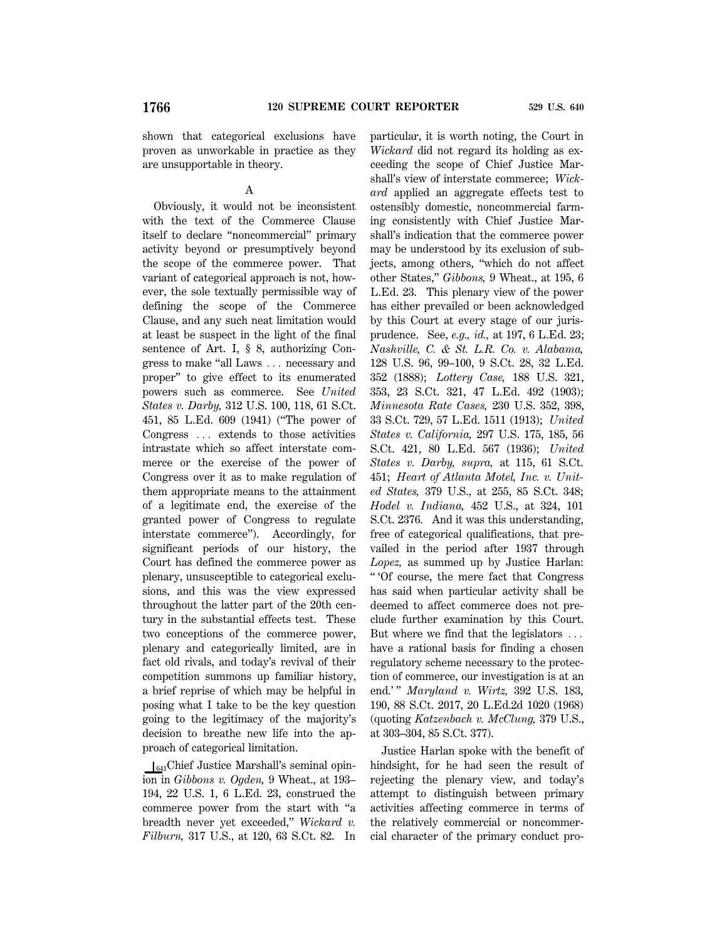shown that categorical exclusions have proven as unworkable in practice as they are unsupportable in theory.

# A

Obviously, it would not be inconsistent with the text of the Commerce Clause itself to declare ''noncommercial'' primary activity beyond or presumptively beyond the scope of the commerce power. That variant of categorical approach is not, however, the sole textually permissible way of defining the scope of the Commerce Clause, and any such neat limitation would at least be suspect in the light of the final sentence of Art. I, § 8, authorizing Congress to make "all Laws ... necessary and proper'' to give effect to its enumerated powers such as commerce. See *United States v. Darby,* 312 U.S. 100, 118, 61 S.Ct. 451, 85 L.Ed. 609 (1941) (''The power of  $Congress \dots$  extends to those activities intrastate which so affect interstate commerce or the exercise of the power of Congress over it as to make regulation of them appropriate means to the attainment of a legitimate end, the exercise of the granted power of Congress to regulate interstate commerce''). Accordingly, for significant periods of our history, the Court has defined the commerce power as plenary, unsusceptible to categorical exclusions, and this was the view expressed throughout the latter part of the 20th century in the substantial effects test. These two conceptions of the commerce power, plenary and categorically limited, are in fact old rivals, and today's revival of their competition summons up familiar history, a brief reprise of which may be helpful in posing what I take to be the key question going to the legitimacy of the majority's decision to breathe new life into the approach of categorical limitation.

 $\int_{641}$ Chief Justice Marshall's seminal opinion in *Gibbons v. Ogden,* 9 Wheat., at 193– 194, 22 U.S. 1, 6 L.Ed. 23, construed the commerce power from the start with ''a breadth never yet exceeded,'' *Wickard v. Filburn,* 317 U.S., at 120, 63 S.Ct. 82. In

particular, it is worth noting, the Court in *Wickard* did not regard its holding as exceeding the scope of Chief Justice Marshall's view of interstate commerce; *Wickard* applied an aggregate effects test to ostensibly domestic, noncommercial farming consistently with Chief Justice Marshall's indication that the commerce power may be understood by its exclusion of subjects, among others, ''which do not affect other States,'' *Gibbons,* 9 Wheat., at 195, 6 L.Ed. 23. This plenary view of the power has either prevailed or been acknowledged by this Court at every stage of our jurisprudence. See, *e.g., id.,* at 197, 6 L.Ed. 23; *Nashville, C. & St. L.R. Co. v. Alabama,* 128 U.S. 96, 99–100, 9 S.Ct. 28, 32 L.Ed. 352 (1888); *Lottery Case,* 188 U.S. 321, 353, 23 S.Ct. 321, 47 L.Ed. 492 (1903); *Minnesota Rate Cases,* 230 U.S. 352, 398, 33 S.Ct. 729, 57 L.Ed. 1511 (1913); *United States v. California,* 297 U.S. 175, 185, 56 S.Ct. 421, 80 L.Ed. 567 (1936); *United States v. Darby, supra,* at 115, 61 S.Ct. 451; *Heart of Atlanta Motel, Inc. v. United States,* 379 U.S., at 255, 85 S.Ct. 348; *Hodel v. Indiana,* 452 U.S., at 324, 101 S.Ct. 2376. And it was this understanding, free of categorical qualifications, that prevailed in the period after 1937 through *Lopez,* as summed up by Justice Harlan: '' 'Of course, the mere fact that Congress has said when particular activity shall be deemed to affect commerce does not preclude further examination by this Court. But where we find that the legislators  $\ldots$ have a rational basis for finding a chosen regulatory scheme necessary to the protection of commerce, our investigation is at an end.' '' *Maryland v. Wirtz,* 392 U.S. 183, 190, 88 S.Ct. 2017, 20 L.Ed.2d 1020 (1968) (quoting *Katzenbach v. McClung,* 379 U.S., at 303–304, 85 S.Ct. 377).

Justice Harlan spoke with the benefit of hindsight, for he had seen the result of rejecting the plenary view, and today's attempt to distinguish between primary activities affecting commerce in terms of the relatively commercial or noncommercial character of the primary conduct pro-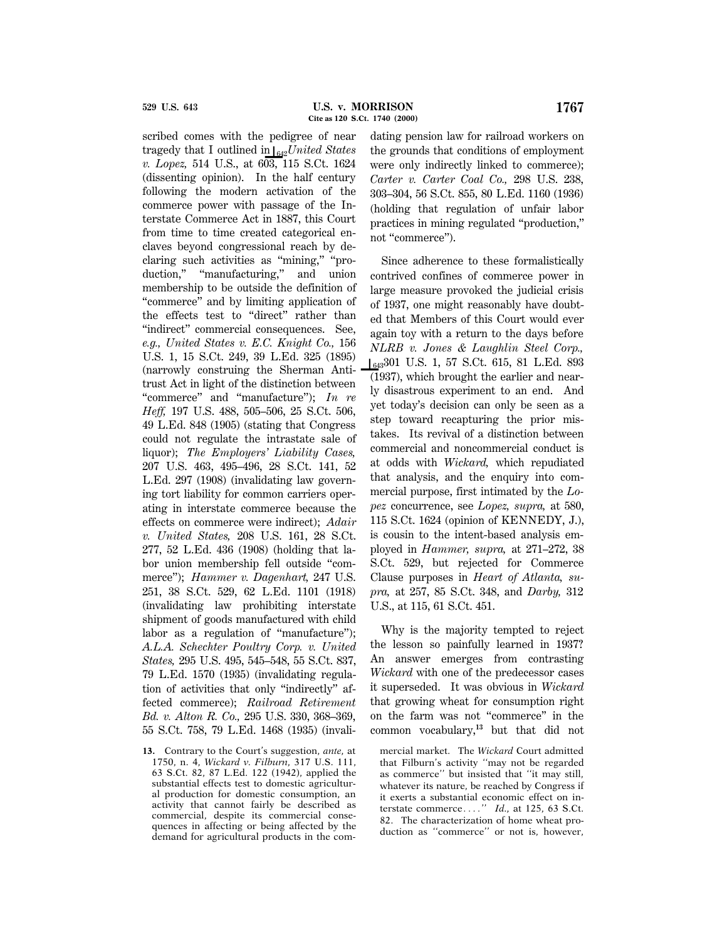scribed comes with the pedigree of near tragedy that I outlined in  $\int_{642}$ *United States v. Lopez,* 514 U.S., at 603, 115 S.Ct. 1624 (dissenting opinion). In the half century following the modern activation of the commerce power with passage of the Interstate Commerce Act in 1887, this Court from time to time created categorical enclaves beyond congressional reach by declaring such activities as ''mining,'' ''production," "manufacturing," and union membership to be outside the definition of ''commerce'' and by limiting application of the effects test to ''direct'' rather than "indirect" commercial consequences. See, *e.g., United States v. E.C. Knight Co.,* 156 U.S. 1, 15 S.Ct. 249, 39 L.Ed. 325 (1895) (narrowly construing the Sherman Antitrust Act in light of the distinction between ''commerce'' and ''manufacture''); *In re Heff,* 197 U.S. 488, 505–506, 25 S.Ct. 506, 49 L.Ed. 848 (1905) (stating that Congress could not regulate the intrastate sale of liquor); *The Employers' Liability Cases,* 207 U.S. 463, 495–496, 28 S.Ct. 141, 52 L.Ed. 297 (1908) (invalidating law governing tort liability for common carriers operating in interstate commerce because the effects on commerce were indirect); *Adair v. United States,* 208 U.S. 161, 28 S.Ct. 277, 52 L.Ed. 436 (1908) (holding that labor union membership fell outside ''commerce''); *Hammer v. Dagenhart,* 247 U.S. 251, 38 S.Ct. 529, 62 L.Ed. 1101 (1918) (invalidating law prohibiting interstate shipment of goods manufactured with child labor as a regulation of "manufacture"); *A.L.A. Schechter Poultry Corp. v. United States,* 295 U.S. 495, 545–548, 55 S.Ct. 837, 79 L.Ed. 1570 (1935) (invalidating regulation of activities that only ''indirectly'' affected commerce); *Railroad Retirement Bd. v. Alton R. Co.,* 295 U.S. 330, 368–369, 55 S.Ct. 758, 79 L.Ed. 1468 (1935) (invali-

**13.** Contrary to the Court's suggestion, *ante,* at 1750, n. 4, *Wickard v. Filburn,* 317 U.S. 111, 63 S.Ct. 82, 87 L.Ed. 122 (1942), applied the substantial effects test to domestic agricultural production for domestic consumption, an activity that cannot fairly be described as commercial, despite its commercial consequences in affecting or being affected by the demand for agricultural products in the com-

dating pension law for railroad workers on the grounds that conditions of employment were only indirectly linked to commerce); *Carter v. Carter Coal Co.,* 298 U.S. 238, 303–304, 56 S.Ct. 855, 80 L.Ed. 1160 (1936) (holding that regulation of unfair labor practices in mining regulated ''production,'' not "commerce").

Since adherence to these formalistically contrived confines of commerce power in large measure provoked the judicial crisis of 1937, one might reasonably have doubted that Members of this Court would ever again toy with a return to the days before *NLRB v. Jones & Laughlin Steel Corp.,* S643301 U.S. 1, 57 S.Ct. 615, 81 L.Ed. 893 (1937), which brought the earlier and nearly disastrous experiment to an end. And yet today's decision can only be seen as a step toward recapturing the prior mistakes. Its revival of a distinction between commercial and noncommercial conduct is at odds with *Wickard,* which repudiated that analysis, and the enquiry into commercial purpose, first intimated by the *Lopez* concurrence, see *Lopez, supra,* at 580, 115 S.Ct. 1624 (opinion of KENNEDY, J.), is cousin to the intent-based analysis employed in *Hammer, supra,* at 271–272, 38 S.Ct. 529, but rejected for Commerce Clause purposes in *Heart of Atlanta, supra,* at 257, 85 S.Ct. 348, and *Darby,* 312 U.S., at 115, 61 S.Ct. 451.

Why is the majority tempted to reject the lesson so painfully learned in 1937? An answer emerges from contrasting *Wickard* with one of the predecessor cases it superseded. It was obvious in *Wickard* that growing wheat for consumption right on the farm was not ''commerce'' in the common vocabulary,**<sup>13</sup>** but that did not

mercial market. The *Wickard* Court admitted that Filburn's activity ''may not be regarded as commerce'' but insisted that ''it may still, whatever its nature, be reached by Congress if it exerts a substantial economic effect on interstate commerce $\ldots$ " *Id.*, at 125, 63 S.Ct. 82. The characterization of home wheat production as ''commerce'' or not is, however,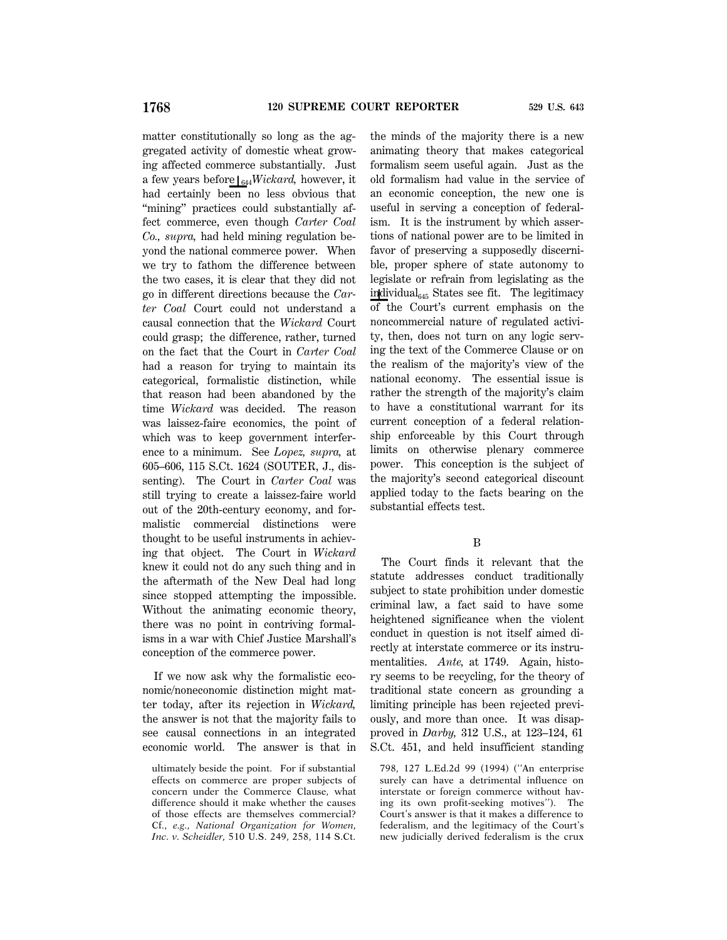matter constitutionally so long as the aggregated activity of domestic wheat growing affected commerce substantially. Just a few years before  $\mathcal{L}_{644}Wickard$ , however, it had certainly been no less obvious that "mining" practices could substantially affect commerce, even though *Carter Coal Co., supra,* had held mining regulation beyond the national commerce power. When we try to fathom the difference between the two cases, it is clear that they did not go in different directions because the *Carter Coal* Court could not understand a causal connection that the *Wickard* Court could grasp; the difference, rather, turned on the fact that the Court in *Carter Coal* had a reason for trying to maintain its categorical, formalistic distinction, while that reason had been abandoned by the time *Wickard* was decided. The reason was laissez-faire economics, the point of which was to keep government interference to a minimum. See *Lopez, supra,* at 605–606, 115 S.Ct. 1624 (SOUTER, J., dissenting). The Court in *Carter Coal* was still trying to create a laissez-faire world out of the 20th-century economy, and formalistic commercial distinctions were thought to be useful instruments in achieving that object. The Court in *Wickard* knew it could not do any such thing and in the aftermath of the New Deal had long since stopped attempting the impossible. Without the animating economic theory, there was no point in contriving formalisms in a war with Chief Justice Marshall's conception of the commerce power.

If we now ask why the formalistic economic/noneconomic distinction might matter today, after its rejection in *Wickard,* the answer is not that the majority fails to see causal connections in an integrated economic world. The answer is that in the minds of the majority there is a new animating theory that makes categorical formalism seem useful again. Just as the old formalism had value in the service of an economic conception, the new one is useful in serving a conception of federalism. It is the instrument by which assertions of national power are to be limited in favor of preserving a supposedly discernible, proper sphere of state autonomy to legislate or refrain from legislating as the individual $_{645}$  States see fit. The legitimacy of the Court's current emphasis on the noncommercial nature of regulated activity, then, does not turn on any logic serving the text of the Commerce Clause or on the realism of the majority's view of the national economy. The essential issue is rather the strength of the majority's claim to have a constitutional warrant for its current conception of a federal relationship enforceable by this Court through limits on otherwise plenary commerce power. This conception is the subject of the majority's second categorical discount applied today to the facts bearing on the substantial effects test.

#### B

The Court finds it relevant that the statute addresses conduct traditionally subject to state prohibition under domestic criminal law, a fact said to have some heightened significance when the violent conduct in question is not itself aimed directly at interstate commerce or its instrumentalities. *Ante,* at 1749. Again, history seems to be recycling, for the theory of traditional state concern as grounding a limiting principle has been rejected previously, and more than once. It was disapproved in *Darby,* 312 U.S., at 123–124, 61 S.Ct. 451, and held insufficient standing

798, 127 L.Ed.2d 99 (1994) (''An enterprise surely can have a detrimental influence on interstate or foreign commerce without having its own profit-seeking motives''). The Court's answer is that it makes a difference to federalism, and the legitimacy of the Court's new judicially derived federalism is the crux

ultimately beside the point. For if substantial effects on commerce are proper subjects of concern under the Commerce Clause, what difference should it make whether the causes of those effects are themselves commercial? Cf., *e.g., National Organization for Women, Inc. v. Scheidler,* 510 U.S. 249, 258, 114 S.Ct.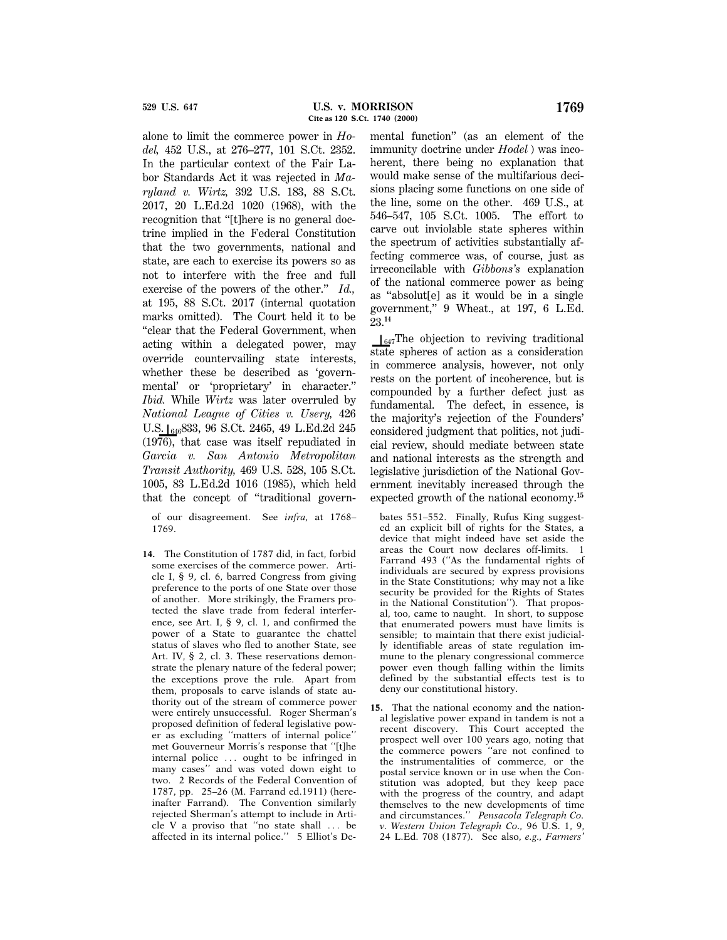mental function'' (as an element of the

*del,* 452 U.S., at 276–277, 101 S.Ct. 2352. In the particular context of the Fair Labor Standards Act it was rejected in *Maryland v. Wirtz,* 392 U.S. 183, 88 S.Ct. 2017, 20 L.Ed.2d 1020 (1968), with the recognition that "[t]here is no general doctrine implied in the Federal Constitution that the two governments, national and state, are each to exercise its powers so as not to interfere with the free and full exercise of the powers of the other.'' *Id.,* at 195, 88 S.Ct. 2017 (internal quotation marks omitted). The Court held it to be ''clear that the Federal Government, when acting within a delegated power, may override countervailing state interests, whether these be described as 'governmental' or 'proprietary' in character.'' *Ibid.* While *Wirtz* was later overruled by *National League of Cities v. Usery,* 426 U.S.  $\int_{646} 833, 96$  S.Ct. 2465, 49 L.Ed.2d 245 (1976), that case was itself repudiated in *Garcia v. San Antonio Metropolitan Transit Authority,* 469 U.S. 528, 105 S.Ct. 1005, 83 L.Ed.2d 1016 (1985), which held that the concept of ''traditional govern-

alone to limit the commerce power in *Ho-*

of our disagreement. See *infra,* at 1768– 1769.

**14.** The Constitution of 1787 did, in fact, forbid some exercises of the commerce power. Article I, § 9, cl. 6, barred Congress from giving preference to the ports of one State over those of another. More strikingly, the Framers protected the slave trade from federal interference, see Art. I, § 9, cl. 1, and confirmed the power of a State to guarantee the chattel status of slaves who fled to another State, see Art. IV, § 2, cl. 3. These reservations demonstrate the plenary nature of the federal power; the exceptions prove the rule. Apart from them, proposals to carve islands of state authority out of the stream of commerce power were entirely unsuccessful. Roger Sherman's proposed definition of federal legislative power as excluding ''matters of internal police'' met Gouverneur Morris's response that ''[t]he internal police ... ought to be infringed in many cases'' and was voted down eight to two. 2 Records of the Federal Convention of 1787, pp. 25–26 (M. Farrand ed.1911) (hereinafter Farrand). The Convention similarly rejected Sherman's attempt to include in Article V a proviso that "no state shall  $\ldots$  be affected in its internal police.'' 5 Elliot's Deimmunity doctrine under *Hodel* ) was incoherent, there being no explanation that would make sense of the multifarious decisions placing some functions on one side of the line, some on the other. 469 U.S., at 546–547, 105 S.Ct. 1005. The effort to carve out inviolable state spheres within the spectrum of activities substantially affecting commerce was, of course, just as irreconcilable with *Gibbons's* explanation of the national commerce power as being as ''absolut[e] as it would be in a single government,'' 9 Wheat., at 197, 6 L.Ed. 23.**<sup>14</sup>**

 $\int_{647}$ The objection to reviving traditional state spheres of action as a consideration in commerce analysis, however, not only rests on the portent of incoherence, but is compounded by a further defect just as fundamental. The defect, in essence, is the majority's rejection of the Founders' considered judgment that politics, not judicial review, should mediate between state and national interests as the strength and legislative jurisdiction of the National Government inevitably increased through the expected growth of the national economy.**<sup>15</sup>**

bates 551–552. Finally, Rufus King suggested an explicit bill of rights for the States, a device that might indeed have set aside the areas the Court now declares off-limits. 1 Farrand 493 (''As the fundamental rights of individuals are secured by express provisions in the State Constitutions; why may not a like security be provided for the Rights of States in the National Constitution''). That proposal, too, came to naught. In short, to suppose that enumerated powers must have limits is sensible; to maintain that there exist judicially identifiable areas of state regulation immune to the plenary congressional commerce power even though falling within the limits defined by the substantial effects test is to deny our constitutional history.

**15.** That the national economy and the national legislative power expand in tandem is not a recent discovery. This Court accepted the prospect well over 100 years ago, noting that the commerce powers ''are not confined to the instrumentalities of commerce, or the postal service known or in use when the Constitution was adopted, but they keep pace with the progress of the country, and adapt themselves to the new developments of time and circumstances.'' *Pensacola Telegraph Co. v. Western Union Telegraph Co.,* 96 U.S. 1, 9, 24 L.Ed. 708 (1877). See also, *e.g., Farmers'*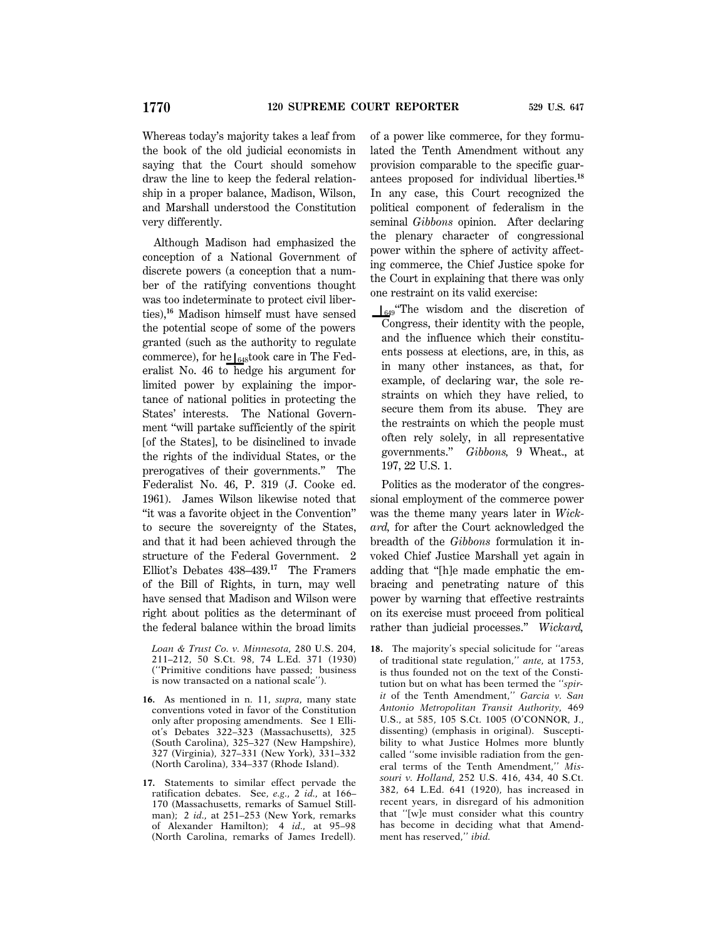Whereas today's majority takes a leaf from the book of the old judicial economists in saying that the Court should somehow draw the line to keep the federal relationship in a proper balance, Madison, Wilson, and Marshall understood the Constitution very differently.

Although Madison had emphasized the conception of a National Government of discrete powers (a conception that a number of the ratifying conventions thought was too indeterminate to protect civil liberties),**<sup>16</sup>** Madison himself must have sensed the potential scope of some of the powers granted (such as the authority to regulate commerce), for he  $\epsilon_{648}$ took care in The Federalist No. 46 to hedge his argument for limited power by explaining the importance of national politics in protecting the States' interests. The National Government ''will partake sufficiently of the spirit [of the States], to be disinclined to invade the rights of the individual States, or the prerogatives of their governments.'' The Federalist No. 46, P. 319 (J. Cooke ed. 1961). James Wilson likewise noted that ''it was a favorite object in the Convention'' to secure the sovereignty of the States, and that it had been achieved through the structure of the Federal Government. 2 Elliot's Debates 438–439.**<sup>17</sup>** The Framers of the Bill of Rights, in turn, may well have sensed that Madison and Wilson were right about politics as the determinant of the federal balance within the broad limits

- **16.** As mentioned in n. 11, *supra,* many state conventions voted in favor of the Constitution only after proposing amendments. See 1 Elliot's Debates 322–323 (Massachusetts), 325 (South Carolina), 325–327 (New Hampshire), 327 (Virginia), 327–331 (New York), 331–332 (North Carolina), 334–337 (Rhode Island).
- **17.** Statements to similar effect pervade the ratification debates. See, *e.g.,* 2 *id.,* at 166– 170 (Massachusetts, remarks of Samuel Stillman); 2 *id.,* at 251–253 (New York, remarks of Alexander Hamilton); 4 *id.,* at 95–98 (North Carolina, remarks of James Iredell).

of a power like commerce, for they formulated the Tenth Amendment without any provision comparable to the specific guarantees proposed for individual liberties.**<sup>18</sup>** In any case, this Court recognized the political component of federalism in the seminal *Gibbons* opinion. After declaring the plenary character of congressional power within the sphere of activity affecting commerce, the Chief Justice spoke for the Court in explaining that there was only one restraint on its valid exercise:

 $\log_9$ "The wisdom and the discretion of Congress, their identity with the people, and the influence which their constituents possess at elections, are, in this, as in many other instances, as that, for example, of declaring war, the sole restraints on which they have relied, to secure them from its abuse. They are the restraints on which the people must often rely solely, in all representative governments.'' *Gibbons,* 9 Wheat., at 197, 22 U.S. 1.

Politics as the moderator of the congressional employment of the commerce power was the theme many years later in *Wickard,* for after the Court acknowledged the breadth of the *Gibbons* formulation it invoked Chief Justice Marshall yet again in adding that ''[h]e made emphatic the embracing and penetrating nature of this power by warning that effective restraints on its exercise must proceed from political rather than judicial processes.'' *Wickard,*

**18.** The majority's special solicitude for ''areas of traditional state regulation,'' *ante,* at 1753, is thus founded not on the text of the Constitution but on what has been termed the ''*spirit* of the Tenth Amendment,'' *Garcia v. San Antonio Metropolitan Transit Authority,* 469 U.S., at 585, 105 S.Ct. 1005 (O'CONNOR, J., dissenting) (emphasis in original). Susceptibility to what Justice Holmes more bluntly called ''some invisible radiation from the general terms of the Tenth Amendment,'' *Missouri v. Holland,* 252 U.S. 416, 434, 40 S.Ct. 382, 64 L.Ed. 641 (1920), has increased in recent years, in disregard of his admonition that ''[w]e must consider what this country has become in deciding what that Amendment has reserved,'' *ibid.*

*Loan & Trust Co. v. Minnesota,* 280 U.S. 204, 211–212, 50 S.Ct. 98, 74 L.Ed. 371 (1930) (''Primitive conditions have passed; business is now transacted on a national scale'').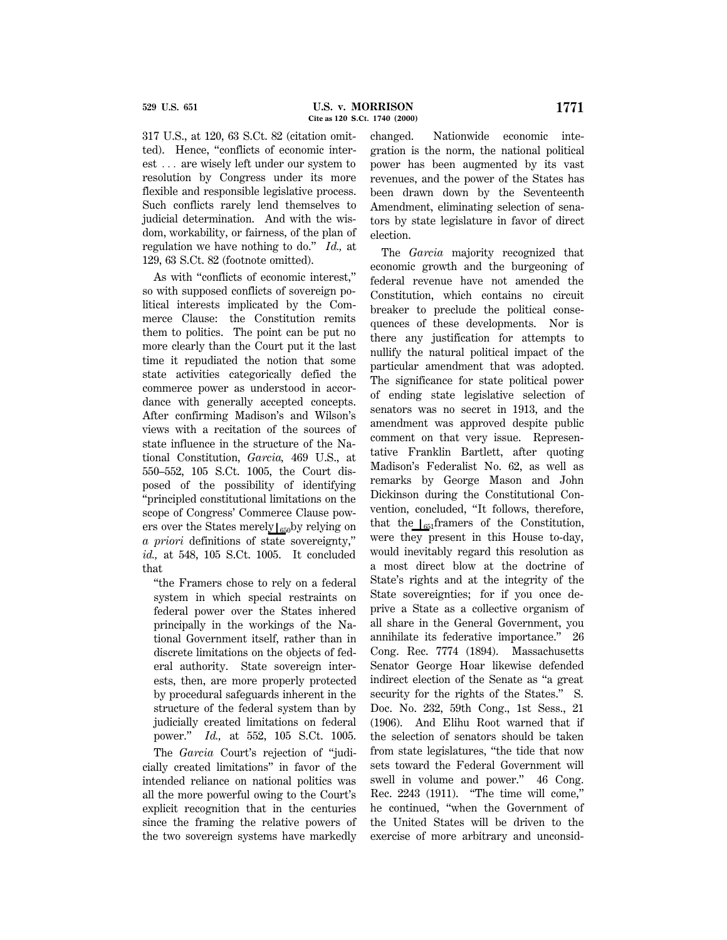317 U.S., at 120, 63 S.Ct. 82 (citation omitted). Hence, ''conflicts of economic interest . . . are wisely left under our system to resolution by Congress under its more flexible and responsible legislative process. Such conflicts rarely lend themselves to judicial determination. And with the wisdom, workability, or fairness, of the plan of regulation we have nothing to do.'' *Id.,* at 129, 63 S.Ct. 82 (footnote omitted).

As with ''conflicts of economic interest,'' so with supposed conflicts of sovereign political interests implicated by the Commerce Clause: the Constitution remits them to politics. The point can be put no more clearly than the Court put it the last time it repudiated the notion that some state activities categorically defied the commerce power as understood in accordance with generally accepted concepts. After confirming Madison's and Wilson's views with a recitation of the sources of state influence in the structure of the National Constitution, *Garcia,* 469 U.S., at 550–552, 105 S.Ct. 1005, the Court disposed of the possibility of identifying ''principled constitutional limitations on the scope of Congress' Commerce Clause powers over the States merely  $\lfloor_{650}$ by relying on *a priori* definitions of state sovereignty,'' *id.,* at 548, 105 S.Ct. 1005. It concluded that

''the Framers chose to rely on a federal system in which special restraints on federal power over the States inhered principally in the workings of the National Government itself, rather than in discrete limitations on the objects of federal authority. State sovereign interests, then, are more properly protected by procedural safeguards inherent in the structure of the federal system than by judicially created limitations on federal power.'' *Id.,* at 552, 105 S.Ct. 1005.

The *Garcia* Court's rejection of ''judicially created limitations'' in favor of the intended reliance on national politics was all the more powerful owing to the Court's explicit recognition that in the centuries since the framing the relative powers of the two sovereign systems have markedly

changed. Nationwide economic integration is the norm, the national political power has been augmented by its vast revenues, and the power of the States has been drawn down by the Seventeenth Amendment, eliminating selection of senators by state legislature in favor of direct election.

The *Garcia* majority recognized that economic growth and the burgeoning of federal revenue have not amended the Constitution, which contains no circuit breaker to preclude the political consequences of these developments. Nor is there any justification for attempts to nullify the natural political impact of the particular amendment that was adopted. The significance for state political power of ending state legislative selection of senators was no secret in 1913, and the amendment was approved despite public comment on that very issue. Representative Franklin Bartlett, after quoting Madison's Federalist No. 62, as well as remarks by George Mason and John Dickinson during the Constitutional Convention, concluded, ''It follows, therefore, that the  $\int_{651}$ framers of the Constitution, were they present in this House to-day, would inevitably regard this resolution as a most direct blow at the doctrine of State's rights and at the integrity of the State sovereignties; for if you once deprive a State as a collective organism of all share in the General Government, you annihilate its federative importance.'' 26 Cong. Rec. 7774 (1894). Massachusetts Senator George Hoar likewise defended indirect election of the Senate as ''a great security for the rights of the States." S. Doc. No. 232, 59th Cong., 1st Sess., 21 (1906). And Elihu Root warned that if the selection of senators should be taken from state legislatures, ''the tide that now sets toward the Federal Government will swell in volume and power." 46 Cong. Rec. 2243 (1911). ''The time will come,'' he continued, ''when the Government of the United States will be driven to the exercise of more arbitrary and unconsid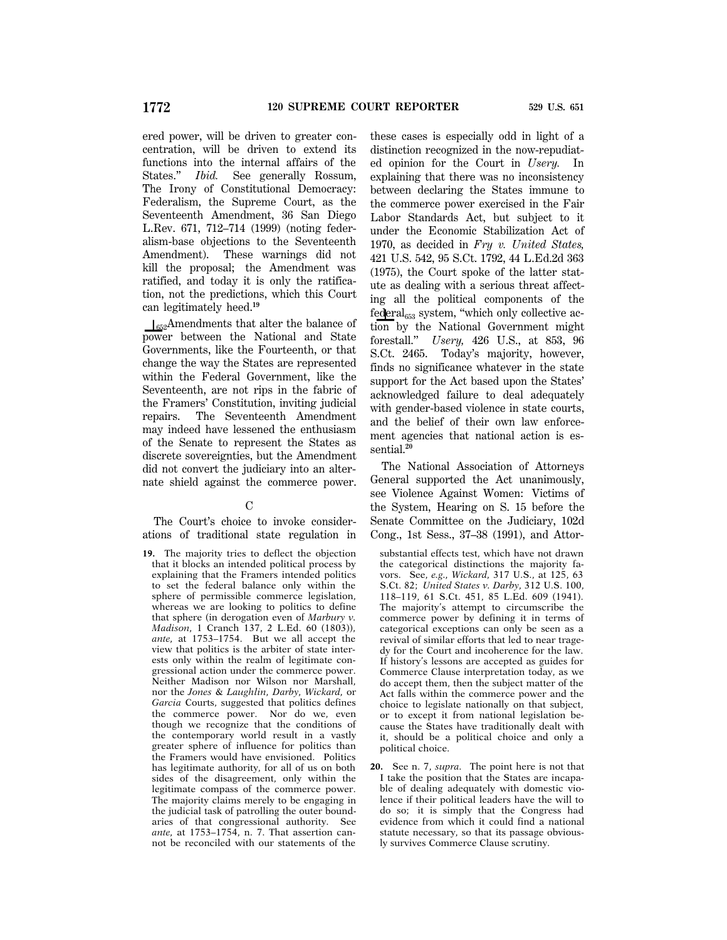ered power, will be driven to greater concentration, will be driven to extend its functions into the internal affairs of the States.'' *Ibid.* See generally Rossum, The Irony of Constitutional Democracy: Federalism, the Supreme Court, as the Seventeenth Amendment, 36 San Diego L.Rev. 671, 712–714 (1999) (noting federalism-base objections to the Seventeenth Amendment). These warnings did not kill the proposal; the Amendment was ratified, and today it is only the ratification, not the predictions, which this Court can legitimately heed.**<sup>19</sup>**

 $\log_2$ Amendments that alter the balance of power between the National and State Governments, like the Fourteenth, or that change the way the States are represented within the Federal Government, like the Seventeenth, are not rips in the fabric of the Framers' Constitution, inviting judicial repairs. The Seventeenth Amendment may indeed have lessened the enthusiasm of the Senate to represent the States as discrete sovereignties, but the Amendment did not convert the judiciary into an alternate shield against the commerce power.

#### $\mathcal C$

The Court's choice to invoke considerations of traditional state regulation in

**19.** The majority tries to deflect the objection that it blocks an intended political process by explaining that the Framers intended politics to set the federal balance only within the sphere of permissible commerce legislation, whereas we are looking to politics to define that sphere (in derogation even of *Marbury v. Madison,* 1 Cranch 137, 2 L.Ed. 60 (1803)), *ante,* at 1753–1754. But we all accept the view that politics is the arbiter of state interests only within the realm of legitimate congressional action under the commerce power. Neither Madison nor Wilson nor Marshall, nor the *Jones* & *Laughlin, Darby, Wickard,* or *Garcia* Courts, suggested that politics defines the commerce power. Nor do we, even though we recognize that the conditions of the contemporary world result in a vastly greater sphere of influence for politics than the Framers would have envisioned. Politics has legitimate authority, for all of us on both sides of the disagreement, only within the legitimate compass of the commerce power. The majority claims merely to be engaging in the judicial task of patrolling the outer boundaries of that congressional authority. See *ante,* at 1753–1754, n. 7. That assertion cannot be reconciled with our statements of the these cases is especially odd in light of a distinction recognized in the now-repudiated opinion for the Court in *Usery.* In explaining that there was no inconsistency between declaring the States immune to the commerce power exercised in the Fair Labor Standards Act, but subject to it under the Economic Stabilization Act of 1970, as decided in *Fry v. United States,* 421 U.S. 542, 95 S.Ct. 1792, 44 L.Ed.2d 363 (1975), the Court spoke of the latter statute as dealing with a serious threat affecting all the political components of the  $f_{653}$  system, "which only collective action by the National Government might forestall.'' *Usery,* 426 U.S., at 853, 96 S.Ct. 2465. Today's majority, however, finds no significance whatever in the state support for the Act based upon the States' acknowledged failure to deal adequately with gender-based violence in state courts, and the belief of their own law enforcement agencies that national action is essential.**<sup>20</sup>**

The National Association of Attorneys General supported the Act unanimously, see Violence Against Women: Victims of the System, Hearing on S. 15 before the Senate Committee on the Judiciary, 102d Cong., 1st Sess., 37–38 (1991), and Attor-

- substantial effects test, which have not drawn the categorical distinctions the majority favors. See, *e.g., Wickard,* 317 U.S., at 125, 63 S.Ct. 82; *United States v. Darby,* 312 U.S. 100, 118–119, 61 S.Ct. 451, 85 L.Ed. 609 (1941). The majority's attempt to circumscribe the commerce power by defining it in terms of categorical exceptions can only be seen as a revival of similar efforts that led to near tragedy for the Court and incoherence for the law. If history's lessons are accepted as guides for Commerce Clause interpretation today, as we do accept them, then the subject matter of the Act falls within the commerce power and the choice to legislate nationally on that subject, or to except it from national legislation because the States have traditionally dealt with it, should be a political choice and only a political choice.
- **20.** See n. 7, *supra.* The point here is not that I take the position that the States are incapable of dealing adequately with domestic violence if their political leaders have the will to do so; it is simply that the Congress had evidence from which it could find a national statute necessary, so that its passage obviously survives Commerce Clause scrutiny.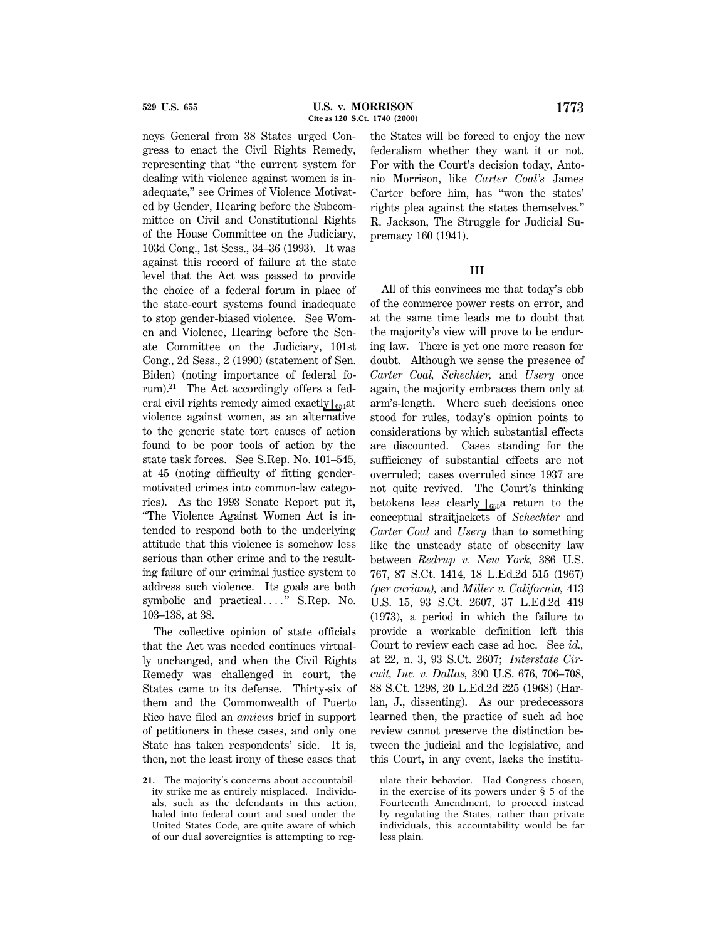neys General from 38 States urged Congress to enact the Civil Rights Remedy, representing that ''the current system for dealing with violence against women is inadequate,'' see Crimes of Violence Motivated by Gender, Hearing before the Subcommittee on Civil and Constitutional Rights of the House Committee on the Judiciary, 103d Cong., 1st Sess., 34–36 (1993). It was against this record of failure at the state level that the Act was passed to provide the choice of a federal forum in place of the state-court systems found inadequate to stop gender-biased violence. See Women and Violence, Hearing before the Senate Committee on the Judiciary, 101st Cong., 2d Sess., 2 (1990) (statement of Sen. Biden) (noting importance of federal forum).**<sup>21</sup>** The Act accordingly offers a federal civil rights remedy aimed exactly  $\int_{654}$ at violence against women, as an alternative to the generic state tort causes of action found to be poor tools of action by the state task forces. See S.Rep. No. 101–545, at 45 (noting difficulty of fitting gendermotivated crimes into common-law categories). As the 1993 Senate Report put it, ''The Violence Against Women Act is intended to respond both to the underlying attitude that this violence is somehow less serious than other crime and to the resulting failure of our criminal justice system to address such violence. Its goals are both symbolic and practical...." S.Rep. No. 103–138, at 38.

The collective opinion of state officials that the Act was needed continues virtually unchanged, and when the Civil Rights Remedy was challenged in court, the States came to its defense. Thirty-six of them and the Commonwealth of Puerto Rico have filed an *amicus* brief in support of petitioners in these cases, and only one State has taken respondents' side. It is, then, not the least irony of these cases that

**21.** The majority's concerns about accountability strike me as entirely misplaced. Individuals, such as the defendants in this action, haled into federal court and sued under the United States Code, are quite aware of which of our dual sovereignties is attempting to regthe States will be forced to enjoy the new federalism whether they want it or not. For with the Court's decision today, Antonio Morrison, like *Carter Coal's* James Carter before him, has ''won the states' rights plea against the states themselves.'' R. Jackson, The Struggle for Judicial Supremacy 160 (1941).

### III

All of this convinces me that today's ebb of the commerce power rests on error, and at the same time leads me to doubt that the majority's view will prove to be enduring law. There is yet one more reason for doubt. Although we sense the presence of *Carter Coal, Schechter,* and *Usery* once again, the majority embraces them only at arm's-length. Where such decisions once stood for rules, today's opinion points to considerations by which substantial effects are discounted. Cases standing for the sufficiency of substantial effects are not overruled; cases overruled since 1937 are not quite revived. The Court's thinking betokens less clearly  $\int_{655}a$  return to the conceptual straitjackets of *Schechter* and *Carter Coal* and *Usery* than to something like the unsteady state of obscenity law between *Redrup v. New York,* 386 U.S. 767, 87 S.Ct. 1414, 18 L.Ed.2d 515 (1967) *(per curiam),* and *Miller v. California,* 413 U.S. 15, 93 S.Ct. 2607, 37 L.Ed.2d 419 (1973), a period in which the failure to provide a workable definition left this Court to review each case ad hoc. See *id.,* at 22, n. 3, 93 S.Ct. 2607; *Interstate Circuit, Inc. v. Dallas,* 390 U.S. 676, 706–708, 88 S.Ct. 1298, 20 L.Ed.2d 225 (1968) (Harlan, J., dissenting). As our predecessors learned then, the practice of such ad hoc review cannot preserve the distinction between the judicial and the legislative, and this Court, in any event, lacks the institu-

ulate their behavior. Had Congress chosen, in the exercise of its powers under § 5 of the Fourteenth Amendment, to proceed instead by regulating the States, rather than private individuals, this accountability would be far less plain.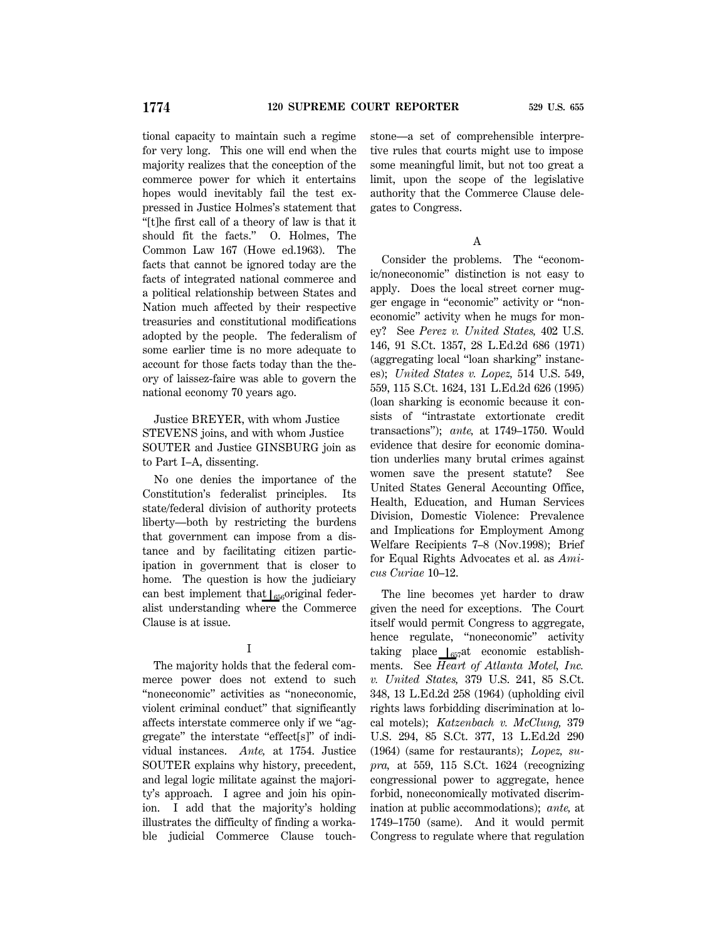tional capacity to maintain such a regime for very long. This one will end when the majority realizes that the conception of the commerce power for which it entertains hopes would inevitably fail the test expressed in Justice Holmes's statement that ''[t]he first call of a theory of law is that it should fit the facts.'' O. Holmes, The Common Law 167 (Howe ed.1963). The facts that cannot be ignored today are the facts of integrated national commerce and a political relationship between States and Nation much affected by their respective treasuries and constitutional modifications adopted by the people. The federalism of some earlier time is no more adequate to account for those facts today than the theory of laissez-faire was able to govern the national economy 70 years ago.

Justice BREYER, with whom Justice STEVENS joins, and with whom Justice SOUTER and Justice GINSBURG join as to Part I–A, dissenting.

No one denies the importance of the Constitution's federalist principles. Its state/federal division of authority protects liberty—both by restricting the burdens that government can impose from a distance and by facilitating citizen participation in government that is closer to home. The question is how the judiciary can best implement that  $\int_{656}$ original federalist understanding where the Commerce Clause is at issue.

### I

The majority holds that the federal commerce power does not extend to such ''noneconomic'' activities as ''noneconomic, violent criminal conduct'' that significantly affects interstate commerce only if we ''aggregate'' the interstate ''effect[s]'' of individual instances. *Ante,* at 1754. Justice SOUTER explains why history, precedent, and legal logic militate against the majority's approach. I agree and join his opinion. I add that the majority's holding illustrates the difficulty of finding a workable judicial Commerce Clause touchstone—a set of comprehensible interpretive rules that courts might use to impose some meaningful limit, but not too great a limit, upon the scope of the legislative authority that the Commerce Clause delegates to Congress.

A

Consider the problems. The "economic/noneconomic'' distinction is not easy to apply. Does the local street corner mugger engage in ''economic'' activity or ''noneconomic'' activity when he mugs for money? See *Perez v. United States,* 402 U.S. 146, 91 S.Ct. 1357, 28 L.Ed.2d 686 (1971) (aggregating local ''loan sharking'' instances); *United States v. Lopez,* 514 U.S. 549, 559, 115 S.Ct. 1624, 131 L.Ed.2d 626 (1995) (loan sharking is economic because it consists of ''intrastate extortionate credit transactions''); *ante,* at 1749–1750. Would evidence that desire for economic domination underlies many brutal crimes against women save the present statute? See United States General Accounting Office, Health, Education, and Human Services Division, Domestic Violence: Prevalence and Implications for Employment Among Welfare Recipients 7–8 (Nov.1998); Brief for Equal Rights Advocates et al. as *Amicus Curiae* 10–12.

The line becomes yet harder to draw given the need for exceptions. The Court itself would permit Congress to aggregate, hence regulate, "noneconomic" activity taking place  $I_{657}$ at economic establishments. See *Heart of Atlanta Motel, Inc. v. United States,* 379 U.S. 241, 85 S.Ct. 348, 13 L.Ed.2d 258 (1964) (upholding civil rights laws forbidding discrimination at local motels); *Katzenbach v. McClung,* 379 U.S. 294, 85 S.Ct. 377, 13 L.Ed.2d 290 (1964) (same for restaurants); *Lopez, supra,* at 559, 115 S.Ct. 1624 (recognizing congressional power to aggregate, hence forbid, noneconomically motivated discrimination at public accommodations); *ante,* at 1749–1750 (same). And it would permit Congress to regulate where that regulation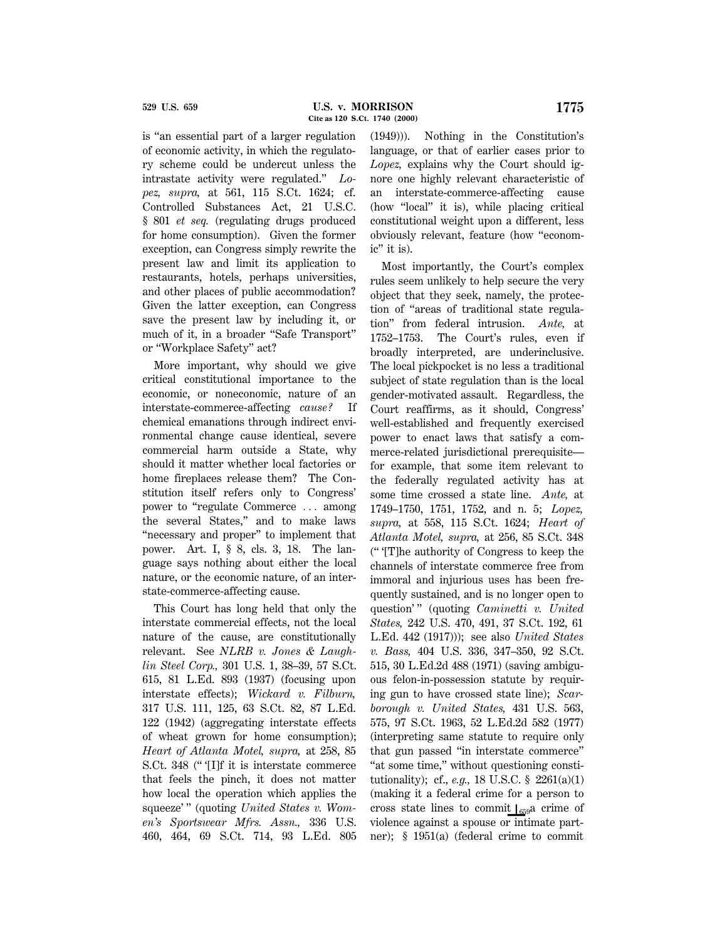is ''an essential part of a larger regulation of economic activity, in which the regulatory scheme could be undercut unless the intrastate activity were regulated.'' *Lopez, supra,* at 561, 115 S.Ct. 1624; cf. Controlled Substances Act, 21 U.S.C. § 801 *et seq.* (regulating drugs produced for home consumption). Given the former exception, can Congress simply rewrite the present law and limit its application to restaurants, hotels, perhaps universities, and other places of public accommodation? Given the latter exception, can Congress save the present law by including it, or much of it, in a broader ''Safe Transport'' or ''Workplace Safety'' act?

More important, why should we give critical constitutional importance to the economic, or noneconomic, nature of an interstate-commerce-affecting *cause?* If chemical emanations through indirect environmental change cause identical, severe commercial harm outside a State, why should it matter whether local factories or home fireplaces release them? The Constitution itself refers only to Congress' power to "regulate Commerce ... among the several States,'' and to make laws ''necessary and proper'' to implement that power. Art. I, § 8, cls. 3, 18. The language says nothing about either the local nature, or the economic nature, of an interstate-commerce-affecting cause.

This Court has long held that only the interstate commercial effects, not the local nature of the cause, are constitutionally relevant. See *NLRB v. Jones & Laughlin Steel Corp.,* 301 U.S. 1, 38–39, 57 S.Ct. 615, 81 L.Ed. 893 (1937) (focusing upon interstate effects); *Wickard v. Filburn,* 317 U.S. 111, 125, 63 S.Ct. 82, 87 L.Ed. 122 (1942) (aggregating interstate effects of wheat grown for home consumption); *Heart of Atlanta Motel, supra,* at 258, 85 S.Ct. 348 ('' '[I]f it is interstate commerce that feels the pinch, it does not matter how local the operation which applies the squeeze' '' (quoting *United States v. Women's Sportswear Mfrs. Assn.,* 336 U.S. 460, 464, 69 S.Ct. 714, 93 L.Ed. 805

(1949))). Nothing in the Constitution's language, or that of earlier cases prior to *Lopez,* explains why the Court should ignore one highly relevant characteristic of an interstate-commerce-affecting cause (how "local" it is), while placing critical constitutional weight upon a different, less obviously relevant, feature (how ''economic'' it is).

Most importantly, the Court's complex rules seem unlikely to help secure the very object that they seek, namely, the protection of ''areas of traditional state regulation'' from federal intrusion. *Ante,* at 1752–1753. The Court's rules, even if broadly interpreted, are underinclusive. The local pickpocket is no less a traditional subject of state regulation than is the local gender-motivated assault. Regardless, the Court reaffirms, as it should, Congress' well-established and frequently exercised power to enact laws that satisfy a commerce-related jurisdictional prerequisite for example, that some item relevant to the federally regulated activity has at some time crossed a state line. *Ante,* at 1749–1750, 1751, 1752, and n. 5; *Lopez, supra,* at 558, 115 S.Ct. 1624; *Heart of Atlanta Motel, supra,* at 256, 85 S.Ct. 348 ('' '[T]he authority of Congress to keep the channels of interstate commerce free from immoral and injurious uses has been frequently sustained, and is no longer open to question' '' (quoting *Caminetti v. United States,* 242 U.S. 470, 491, 37 S.Ct. 192, 61 L.Ed. 442 (1917))); see also *United States v. Bass,* 404 U.S. 336, 347–350, 92 S.Ct. 515, 30 L.Ed.2d 488 (1971) (saving ambiguous felon-in-possession statute by requiring gun to have crossed state line); *Scarborough v. United States,* 431 U.S. 563, 575, 97 S.Ct. 1963, 52 L.Ed.2d 582 (1977) (interpreting same statute to require only that gun passed ''in interstate commerce'' "at some time," without questioning constitutionality); cf., *e.g.,* 18 U.S.C. § 2261(a)(1) (making it a federal crime for a person to cross state lines to commit  $\int_{659}$ a crime of violence against a spouse or intimate partner); § 1951(a) (federal crime to commit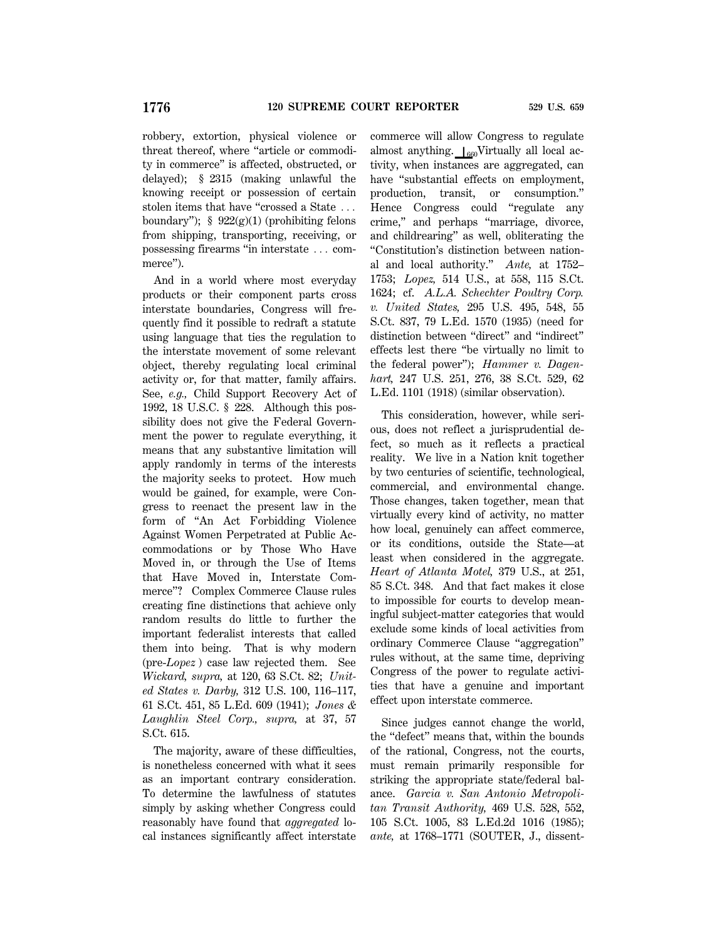robbery, extortion, physical violence or threat thereof, where ''article or commodity in commerce'' is affected, obstructed, or delayed); § 2315 (making unlawful the knowing receipt or possession of certain stolen items that have "crossed a State... boundary");  $\S 922(g)(1)$  (prohibiting felons from shipping, transporting, receiving, or possessing firearms "in interstate ... commerce").

And in a world where most everyday products or their component parts cross interstate boundaries, Congress will frequently find it possible to redraft a statute using language that ties the regulation to the interstate movement of some relevant object, thereby regulating local criminal activity or, for that matter, family affairs. See, *e.g.,* Child Support Recovery Act of 1992, 18 U.S.C. § 228. Although this possibility does not give the Federal Government the power to regulate everything, it means that any substantive limitation will apply randomly in terms of the interests the majority seeks to protect. How much would be gained, for example, were Congress to reenact the present law in the form of ''An Act Forbidding Violence Against Women Perpetrated at Public Accommodations or by Those Who Have Moved in, or through the Use of Items that Have Moved in, Interstate Commerce''? Complex Commerce Clause rules creating fine distinctions that achieve only random results do little to further the important federalist interests that called them into being. That is why modern (pre-*Lopez* ) case law rejected them. See *Wickard, supra,* at 120, 63 S.Ct. 82; *United States v. Darby,* 312 U.S. 100, 116–117, 61 S.Ct. 451, 85 L.Ed. 609 (1941); *Jones & Laughlin Steel Corp., supra,* at 37, 57 S.Ct. 615.

The majority, aware of these difficulties, is nonetheless concerned with what it sees as an important contrary consideration. To determine the lawfulness of statutes simply by asking whether Congress could reasonably have found that *aggregated* local instances significantly affect interstate

commerce will allow Congress to regulate almost anything.  $I_{660}$ Virtually all local activity, when instances are aggregated, can have "substantial effects on employment, production, transit, or consumption.'' Hence Congress could ''regulate any crime,'' and perhaps ''marriage, divorce, and childrearing'' as well, obliterating the ''Constitution's distinction between national and local authority.'' *Ante,* at 1752– 1753; *Lopez,* 514 U.S., at 558, 115 S.Ct. 1624; cf. *A.L.A. Schechter Poultry Corp. v. United States,* 295 U.S. 495, 548, 55 S.Ct. 837, 79 L.Ed. 1570 (1935) (need for distinction between ''direct'' and ''indirect'' effects lest there ''be virtually no limit to the federal power''); *Hammer v. Dagenhart,* 247 U.S. 251, 276, 38 S.Ct. 529, 62 L.Ed. 1101 (1918) (similar observation).

This consideration, however, while serious, does not reflect a jurisprudential defect, so much as it reflects a practical reality. We live in a Nation knit together by two centuries of scientific, technological, commercial, and environmental change. Those changes, taken together, mean that virtually every kind of activity, no matter how local, genuinely can affect commerce, or its conditions, outside the State—at least when considered in the aggregate. *Heart of Atlanta Motel,* 379 U.S., at 251, 85 S.Ct. 348. And that fact makes it close to impossible for courts to develop meaningful subject-matter categories that would exclude some kinds of local activities from ordinary Commerce Clause ''aggregation'' rules without, at the same time, depriving Congress of the power to regulate activities that have a genuine and important effect upon interstate commerce.

Since judges cannot change the world, the ''defect'' means that, within the bounds of the rational, Congress, not the courts, must remain primarily responsible for striking the appropriate state/federal balance. *Garcia v. San Antonio Metropolitan Transit Authority,* 469 U.S. 528, 552, 105 S.Ct. 1005, 83 L.Ed.2d 1016 (1985); *ante,* at 1768–1771 (SOUTER, J., dissent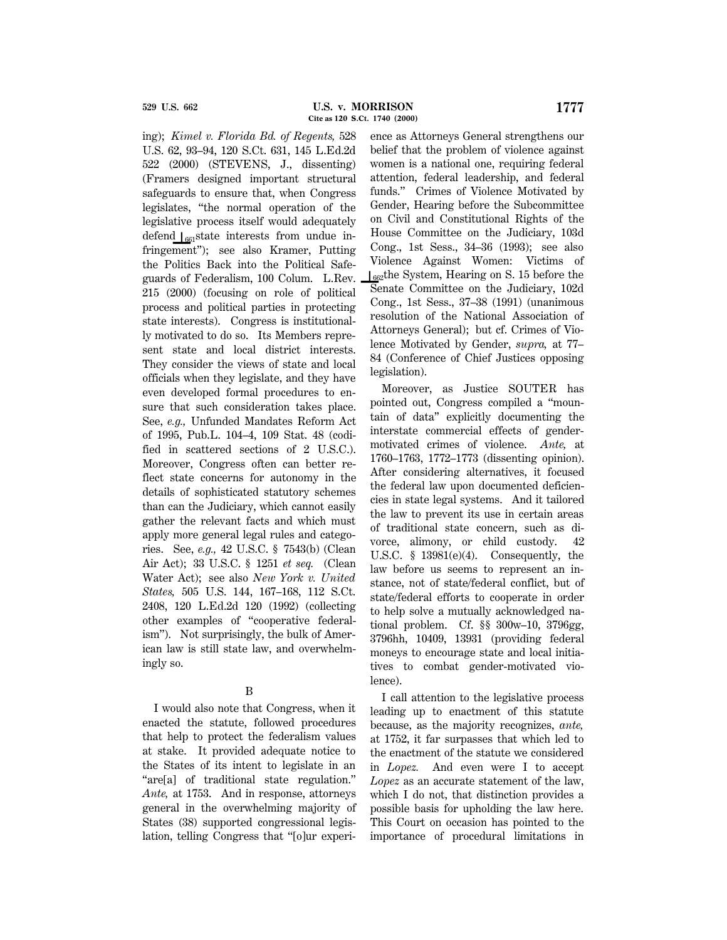ing); *Kimel v. Florida Bd. of Regents,* 528 U.S. 62, 93–94, 120 S.Ct. 631, 145 L.Ed.2d 522 (2000) (STEVENS, J., dissenting) (Framers designed important structural safeguards to ensure that, when Congress legislates, ''the normal operation of the legislative process itself would adequately defend  $\int_{661}$ state interests from undue infringement''); see also Kramer, Putting the Politics Back into the Political Safeguards of Federalism, 100 Colum. L.Rev. 215 (2000) (focusing on role of political process and political parties in protecting state interests). Congress is institutionally motivated to do so. Its Members represent state and local district interests. They consider the views of state and local officials when they legislate, and they have even developed formal procedures to ensure that such consideration takes place. See, *e.g.,* Unfunded Mandates Reform Act of 1995, Pub.L. 104–4, 109 Stat. 48 (codified in scattered sections of 2 U.S.C.). Moreover, Congress often can better reflect state concerns for autonomy in the details of sophisticated statutory schemes than can the Judiciary, which cannot easily gather the relevant facts and which must apply more general legal rules and categories. See, *e.g.,* 42 U.S.C. § 7543(b) (Clean Air Act); 33 U.S.C. § 1251 *et seq.* (Clean Water Act); see also *New York v. United States,* 505 U.S. 144, 167–168, 112 S.Ct. 2408, 120 L.Ed.2d 120 (1992) (collecting other examples of ''cooperative federalism''). Not surprisingly, the bulk of American law is still state law, and overwhelmingly so.

# B

I would also note that Congress, when it enacted the statute, followed procedures that help to protect the federalism values at stake. It provided adequate notice to the States of its intent to legislate in an ''are[a] of traditional state regulation.'' *Ante,* at 1753. And in response, attorneys general in the overwhelming majority of States (38) supported congressional legislation, telling Congress that ''[o]ur experi-

ence as Attorneys General strengthens our belief that the problem of violence against women is a national one, requiring federal attention, federal leadership, and federal funds.'' Crimes of Violence Motivated by Gender, Hearing before the Subcommittee on Civil and Constitutional Rights of the House Committee on the Judiciary, 103d Cong., 1st Sess., 34–36 (1993); see also Violence Against Women: Victims of  $I<sub>662</sub>$ the System, Hearing on S. 15 before the Senate Committee on the Judiciary, 102d Cong., 1st Sess., 37–38 (1991) (unanimous resolution of the National Association of Attorneys General); but cf. Crimes of Violence Motivated by Gender, *supra,* at 77– 84 (Conference of Chief Justices opposing legislation).

Moreover, as Justice SOUTER has pointed out, Congress compiled a ''mountain of data'' explicitly documenting the interstate commercial effects of gendermotivated crimes of violence. *Ante,* at 1760–1763, 1772–1773 (dissenting opinion). After considering alternatives, it focused the federal law upon documented deficiencies in state legal systems. And it tailored the law to prevent its use in certain areas of traditional state concern, such as divorce, alimony, or child custody. 42 U.S.C. § 13981(e)(4). Consequently, the law before us seems to represent an instance, not of state/federal conflict, but of state/federal efforts to cooperate in order to help solve a mutually acknowledged national problem. Cf. §§ 300w–10, 3796gg, 3796hh, 10409, 13931 (providing federal moneys to encourage state and local initiatives to combat gender-motivated violence).

I call attention to the legislative process leading up to enactment of this statute because, as the majority recognizes, *ante,* at 1752, it far surpasses that which led to the enactment of the statute we considered in *Lopez.* And even were I to accept *Lopez* as an accurate statement of the law, which I do not, that distinction provides a possible basis for upholding the law here. This Court on occasion has pointed to the importance of procedural limitations in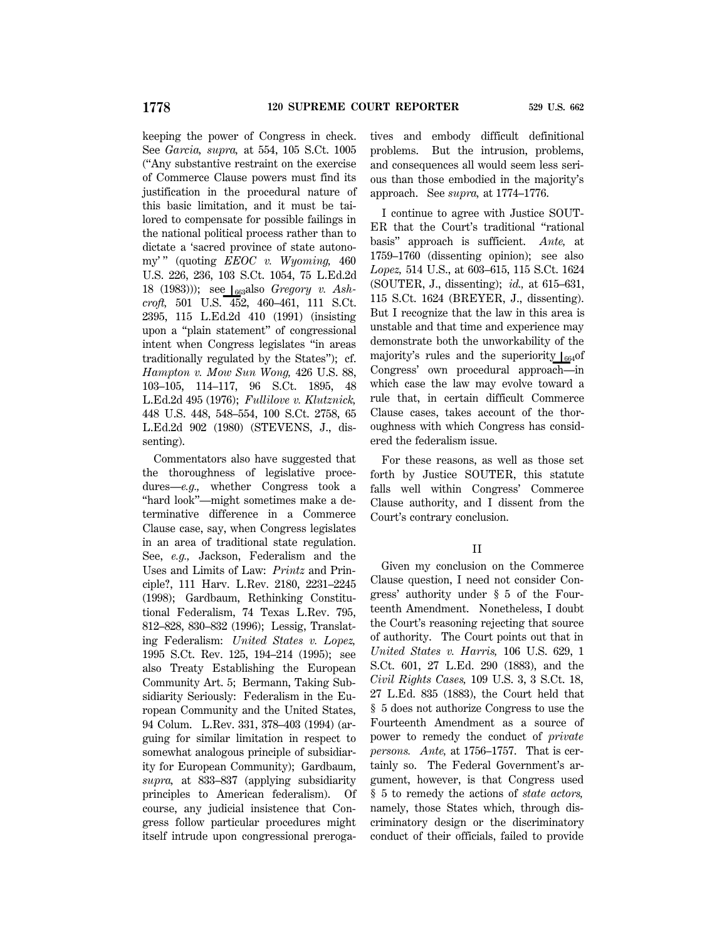keeping the power of Congress in check. See *Garcia, supra,* at 554, 105 S.Ct. 1005 (''Any substantive restraint on the exercise of Commerce Clause powers must find its justification in the procedural nature of this basic limitation, and it must be tailored to compensate for possible failings in the national political process rather than to dictate a 'sacred province of state autonomy' '' (quoting *EEOC v. Wyoming,* 460 U.S. 226, 236, 103 S.Ct. 1054, 75 L.Ed.2d 18 (1983))); see  $\left| \right|_6$ salso *Gregory v. Ashcroft,* 501 U.S. 452, 460–461, 111 S.Ct. 2395, 115 L.Ed.2d 410 (1991) (insisting upon a ''plain statement'' of congressional intent when Congress legislates ''in areas traditionally regulated by the States''); cf. *Hampton v. Mow Sun Wong,* 426 U.S. 88, 103–105, 114–117, 96 S.Ct. 1895, 48 L.Ed.2d 495 (1976); *Fullilove v. Klutznick,* 448 U.S. 448, 548–554, 100 S.Ct. 2758, 65 L.Ed.2d 902 (1980) (STEVENS, J., dissenting).

Commentators also have suggested that the thoroughness of legislative procedures—*e.g.,* whether Congress took a ''hard look''—might sometimes make a determinative difference in a Commerce Clause case, say, when Congress legislates in an area of traditional state regulation. See, *e.g.,* Jackson, Federalism and the Uses and Limits of Law: *Printz* and Principle?, 111 Harv. L.Rev. 2180, 2231–2245 (1998); Gardbaum, Rethinking Constitutional Federalism, 74 Texas L.Rev. 795, 812–828, 830–832 (1996); Lessig, Translating Federalism: *United States v. Lopez,* 1995 S.Ct. Rev. 125, 194–214 (1995); see also Treaty Establishing the European Community Art. 5; Bermann, Taking Subsidiarity Seriously: Federalism in the European Community and the United States, 94 Colum. L.Rev. 331, 378–403 (1994) (arguing for similar limitation in respect to somewhat analogous principle of subsidiarity for European Community); Gardbaum, *supra,* at 833–837 (applying subsidiarity principles to American federalism). Of course, any judicial insistence that Congress follow particular procedures might itself intrude upon congressional prerogatives and embody difficult definitional problems. But the intrusion, problems, and consequences all would seem less serious than those embodied in the majority's approach. See *supra,* at 1774–1776.

I continue to agree with Justice SOUT-ER that the Court's traditional "rational basis'' approach is sufficient. *Ante,* at 1759–1760 (dissenting opinion); see also *Lopez,* 514 U.S., at 603–615, 115 S.Ct. 1624 (SOUTER, J., dissenting); *id.,* at 615–631, 115 S.Ct. 1624 (BREYER, J., dissenting). But I recognize that the law in this area is unstable and that time and experience may demonstrate both the unworkability of the majority's rules and the superiority  $\log_6 66$ Congress' own procedural approach—in which case the law may evolve toward a rule that, in certain difficult Commerce Clause cases, takes account of the thoroughness with which Congress has considered the federalism issue.

For these reasons, as well as those set forth by Justice SOUTER, this statute falls well within Congress' Commerce Clause authority, and I dissent from the Court's contrary conclusion.

### II

Given my conclusion on the Commerce Clause question, I need not consider Congress' authority under § 5 of the Fourteenth Amendment. Nonetheless, I doubt the Court's reasoning rejecting that source of authority. The Court points out that in *United States v. Harris,* 106 U.S. 629, 1 S.Ct. 601, 27 L.Ed. 290 (1883), and the *Civil Rights Cases,* 109 U.S. 3, 3 S.Ct. 18, 27 L.Ed. 835 (1883), the Court held that § 5 does not authorize Congress to use the Fourteenth Amendment as a source of power to remedy the conduct of *private persons. Ante,* at 1756–1757. That is certainly so. The Federal Government's argument, however, is that Congress used § 5 to remedy the actions of *state actors,* namely, those States which, through discriminatory design or the discriminatory conduct of their officials, failed to provide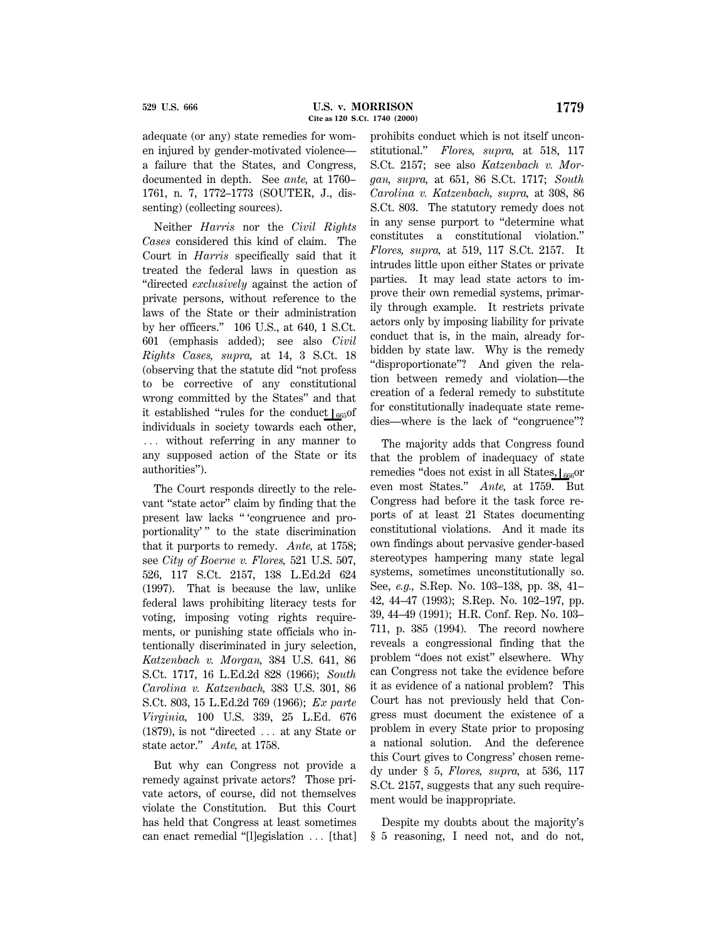adequate (or any) state remedies for women injured by gender-motivated violence a failure that the States, and Congress, documented in depth. See *ante,* at 1760– 1761, n. 7, 1772–1773 (SOUTER, J., dissenting) (collecting sources).

Neither *Harris* nor the *Civil Rights Cases* considered this kind of claim. The Court in *Harris* specifically said that it treated the federal laws in question as ''directed *exclusively* against the action of private persons, without reference to the laws of the State or their administration by her officers.'' 106 U.S., at 640, 1 S.Ct. 601 (emphasis added); see also *Civil Rights Cases, supra,* at 14, 3 S.Ct. 18 (observing that the statute did ''not profess to be corrective of any constitutional wrong committed by the States'' and that it established "rules for the conduct  $\mathcal{L}_{665}$ individuals in society towards each other,  $\ldots$  without referring in any manner to any supposed action of the State or its authorities'').

The Court responds directly to the relevant "state actor" claim by finding that the present law lacks '' 'congruence and proportionality'" to the state discrimination that it purports to remedy. *Ante,* at 1758; see *City of Boerne v. Flores,* 521 U.S. 507, 526, 117 S.Ct. 2157, 138 L.Ed.2d 624 (1997). That is because the law, unlike federal laws prohibiting literacy tests for voting, imposing voting rights requirements, or punishing state officials who intentionally discriminated in jury selection, *Katzenbach v. Morgan,* 384 U.S. 641, 86 S.Ct. 1717, 16 L.Ed.2d 828 (1966); *South Carolina v. Katzenbach,* 383 U.S. 301, 86 S.Ct. 803, 15 L.Ed.2d 769 (1966); *Ex parte Virginia,* 100 U.S. 339, 25 L.Ed. 676  $(1879)$ , is not "directed  $\ldots$  at any State or state actor.'' *Ante,* at 1758.

But why can Congress not provide a remedy against private actors? Those private actors, of course, did not themselves violate the Constitution. But this Court has held that Congress at least sometimes can enact remedial "[l]egislation ... [that] prohibits conduct which is not itself unconstitutional.'' *Flores, supra,* at 518, 117 S.Ct. 2157; see also *Katzenbach v. Morgan, supra,* at 651, 86 S.Ct. 1717; *South Carolina v. Katzenbach, supra,* at 308, 86 S.Ct. 803. The statutory remedy does not in any sense purport to ''determine what constitutes a constitutional violation.'' *Flores, supra,* at 519, 117 S.Ct. 2157. It intrudes little upon either States or private parties. It may lead state actors to improve their own remedial systems, primarily through example. It restricts private actors only by imposing liability for private conduct that is, in the main, already forbidden by state law. Why is the remedy "disproportionate"? And given the relation between remedy and violation—the creation of a federal remedy to substitute for constitutionally inadequate state remedies—where is the lack of ''congruence''?

The majority adds that Congress found that the problem of inadequacy of state remedies "does not exist in all States,  $\frac{1}{666}$ or even most States.'' *Ante,* at 1759. But Congress had before it the task force reports of at least 21 States documenting constitutional violations. And it made its own findings about pervasive gender-based stereotypes hampering many state legal systems, sometimes unconstitutionally so. See, *e.g.,* S.Rep. No. 103–138, pp. 38, 41– 42, 44–47 (1993); S.Rep. No. 102–197, pp. 39, 44–49 (1991); H.R. Conf. Rep. No. 103– 711, p. 385 (1994). The record nowhere reveals a congressional finding that the problem ''does not exist'' elsewhere. Why can Congress not take the evidence before it as evidence of a national problem? This Court has not previously held that Congress must document the existence of a problem in every State prior to proposing a national solution. And the deference this Court gives to Congress' chosen remedy under § 5, *Flores, supra,* at 536, 117 S.Ct. 2157, suggests that any such requirement would be inappropriate.

Despite my doubts about the majority's § 5 reasoning, I need not, and do not,